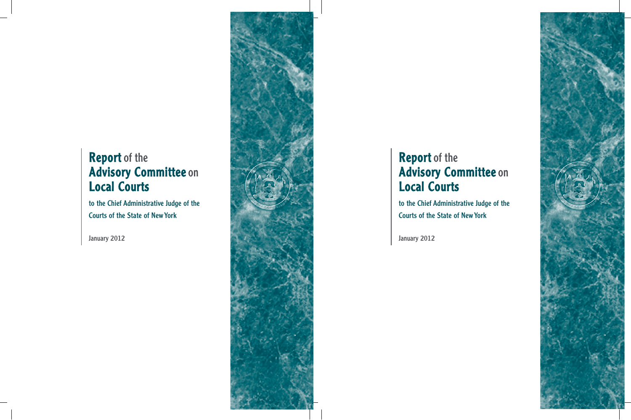# Report of the Advisory Committee on Local Courts

to the Chief Administrative Judge of the Courts of the State of NewYork

January 2012

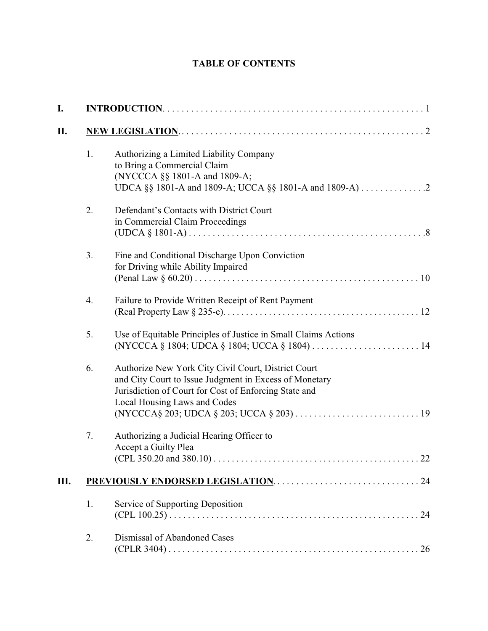# **TABLE OF CONTENTS**

| I.   |    |                                                                                                                                                                                                        |  |
|------|----|--------------------------------------------------------------------------------------------------------------------------------------------------------------------------------------------------------|--|
| П.   |    |                                                                                                                                                                                                        |  |
|      | 1. | Authorizing a Limited Liability Company<br>to Bring a Commercial Claim<br>(NYCCCA §§ 1801-A and 1809-A;<br>UDCA §§ 1801-A and 1809-A; UCCA §§ 1801-A and 1809-A) 2                                     |  |
|      | 2. | Defendant's Contacts with District Court<br>in Commercial Claim Proceedings                                                                                                                            |  |
|      | 3. | Fine and Conditional Discharge Upon Conviction<br>for Driving while Ability Impaired                                                                                                                   |  |
|      | 4. | Failure to Provide Written Receipt of Rent Payment                                                                                                                                                     |  |
|      | 5. | Use of Equitable Principles of Justice in Small Claims Actions                                                                                                                                         |  |
|      | 6. | Authorize New York City Civil Court, District Court<br>and City Court to Issue Judgment in Excess of Monetary<br>Jurisdiction of Court for Cost of Enforcing State and<br>Local Housing Laws and Codes |  |
|      | 7. | Authorizing a Judicial Hearing Officer to<br>Accept a Guilty Plea                                                                                                                                      |  |
| III. |    |                                                                                                                                                                                                        |  |
|      | 1. | Service of Supporting Deposition                                                                                                                                                                       |  |
|      | 2. | Dismissal of Abandoned Cases                                                                                                                                                                           |  |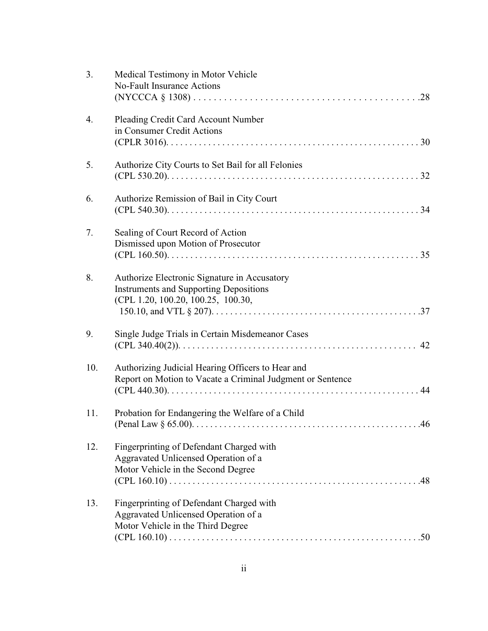| 3.  | Medical Testimony in Motor Vehicle<br><b>No-Fault Insurance Actions</b>                                                             |
|-----|-------------------------------------------------------------------------------------------------------------------------------------|
| 4.  | Pleading Credit Card Account Number<br>in Consumer Credit Actions                                                                   |
| 5.  | Authorize City Courts to Set Bail for all Felonies                                                                                  |
| 6.  | Authorize Remission of Bail in City Court                                                                                           |
| 7.  | Sealing of Court Record of Action<br>Dismissed upon Motion of Prosecutor                                                            |
| 8.  | Authorize Electronic Signature in Accusatory<br><b>Instruments and Supporting Depositions</b><br>(CPL 1.20, 100.20, 100.25, 100.30, |
| 9.  | Single Judge Trials in Certain Misdemeanor Cases                                                                                    |
| 10. | Authorizing Judicial Hearing Officers to Hear and<br>Report on Motion to Vacate a Criminal Judgment or Sentence                     |
| 11. | Probation for Endangering the Welfare of a Child                                                                                    |
| 12. | Fingerprinting of Defendant Charged with<br>Aggravated Unlicensed Operation of a<br>Motor Vehicle in the Second Degree<br>.48       |
| 13. | Fingerprinting of Defendant Charged with<br>Aggravated Unlicensed Operation of a<br>Motor Vehicle in the Third Degree               |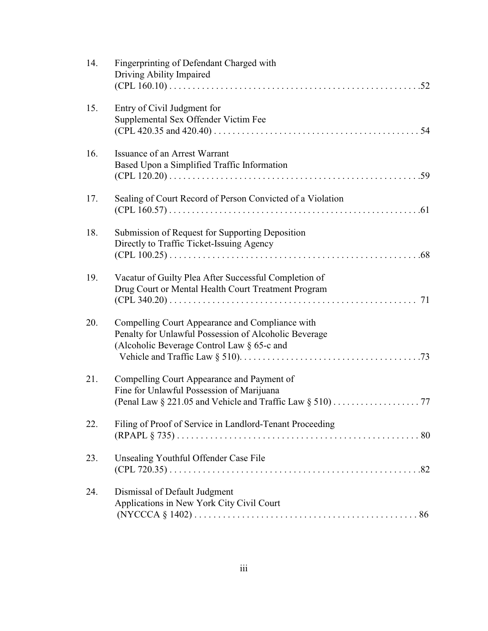| 14. | Fingerprinting of Defendant Charged with<br>Driving Ability Impaired                                                                                   |
|-----|--------------------------------------------------------------------------------------------------------------------------------------------------------|
| 15. | Entry of Civil Judgment for<br>Supplemental Sex Offender Victim Fee                                                                                    |
| 16. | Issuance of an Arrest Warrant<br>Based Upon a Simplified Traffic Information                                                                           |
| 17. | Sealing of Court Record of Person Convicted of a Violation                                                                                             |
| 18. | Submission of Request for Supporting Deposition<br>Directly to Traffic Ticket-Issuing Agency                                                           |
| 19. | Vacatur of Guilty Plea After Successful Completion of<br>Drug Court or Mental Health Court Treatment Program                                           |
| 20. | Compelling Court Appearance and Compliance with<br>Penalty for Unlawful Possession of Alcoholic Beverage<br>(Alcoholic Beverage Control Law § 65-c and |
| 21. | Compelling Court Appearance and Payment of<br>Fine for Unlawful Possession of Marijuana                                                                |
| 22. | Filing of Proof of Service in Landlord-Tenant Proceeding                                                                                               |
| 23. | Unsealing Youthful Offender Case File                                                                                                                  |
| 24. | Dismissal of Default Judgment<br>Applications in New York City Civil Court                                                                             |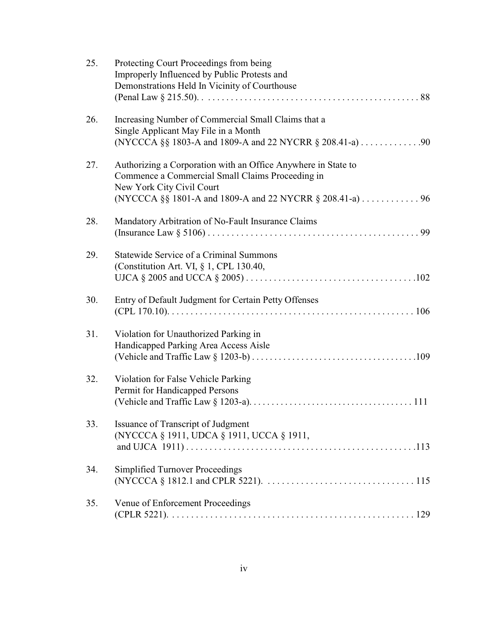| 25. | Protecting Court Proceedings from being<br>Improperly Influenced by Public Protests and<br>Demonstrations Held In Vicinity of Courthouse                                                                   |
|-----|------------------------------------------------------------------------------------------------------------------------------------------------------------------------------------------------------------|
| 26. | Increasing Number of Commercial Small Claims that a<br>Single Applicant May File in a Month<br>(NYCCCA §§ 1803-A and 1809-A and 22 NYCRR § 208.41-a) 90                                                    |
| 27. | Authorizing a Corporation with an Office Anywhere in State to<br>Commence a Commercial Small Claims Proceeding in<br>New York City Civil Court<br>(NYCCCA §§ 1801-A and 1809-A and 22 NYCRR § 208.41-a) 96 |
| 28. | Mandatory Arbitration of No-Fault Insurance Claims                                                                                                                                                         |
| 29. | Statewide Service of a Criminal Summons<br>(Constitution Art. VI, § 1, CPL 130.40,                                                                                                                         |
| 30. | Entry of Default Judgment for Certain Petty Offenses                                                                                                                                                       |
| 31. | Violation for Unauthorized Parking in<br>Handicapped Parking Area Access Aisle                                                                                                                             |
| 32. | Violation for False Vehicle Parking<br>Permit for Handicapped Persons                                                                                                                                      |
| 33. | Issuance of Transcript of Judgment<br>(NYCCCA § 1911, UDCA § 1911, UCCA § 1911,                                                                                                                            |
| 34. | <b>Simplified Turnover Proceedings</b>                                                                                                                                                                     |
| 35. | Venue of Enforcement Proceedings                                                                                                                                                                           |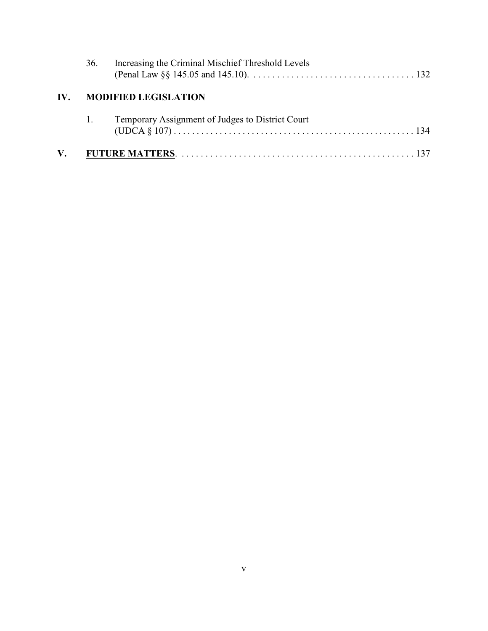| 36. | Increasing the Criminal Mischief Threshold Levels |
|-----|---------------------------------------------------|
|     | IV. MODIFIED LEGISLATION                          |
|     | Temporary Assignment of Judges to District Court  |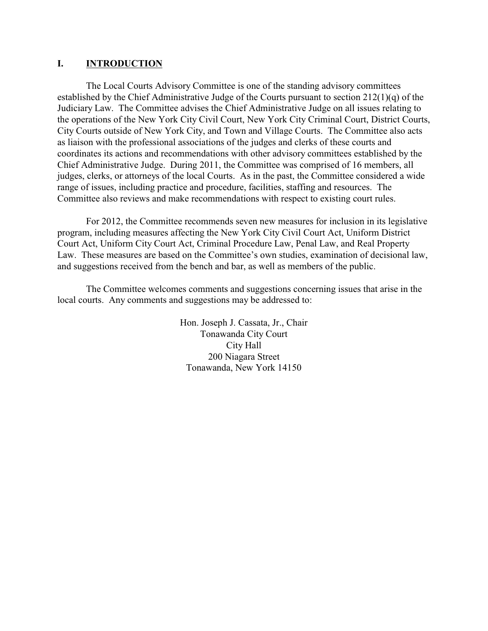# **I. INTRODUCTION**

The Local Courts Advisory Committee is one of the standing advisory committees established by the Chief Administrative Judge of the Courts pursuant to section 212(1)(q) of the Judiciary Law. The Committee advises the Chief Administrative Judge on all issues relating to the operations of the New York City Civil Court, New York City Criminal Court, District Courts, City Courts outside of New York City, and Town and Village Courts. The Committee also acts as liaison with the professional associations of the judges and clerks of these courts and coordinates its actions and recommendations with other advisory committees established by the Chief Administrative Judge. During 2011, the Committee was comprised of 16 members, all judges, clerks, or attorneys of the local Courts. As in the past, the Committee considered a wide range of issues, including practice and procedure, facilities, staffing and resources. The Committee also reviews and make recommendations with respect to existing court rules.

For 2012, the Committee recommends seven new measures for inclusion in its legislative program, including measures affecting the New York City Civil Court Act, Uniform District Court Act, Uniform City Court Act, Criminal Procedure Law, Penal Law, and Real Property Law. These measures are based on the Committee's own studies, examination of decisional law, and suggestions received from the bench and bar, as well as members of the public.

The Committee welcomes comments and suggestions concerning issues that arise in the local courts. Any comments and suggestions may be addressed to:

> Hon. Joseph J. Cassata, Jr., Chair Tonawanda City Court City Hall 200 Niagara Street Tonawanda, New York 14150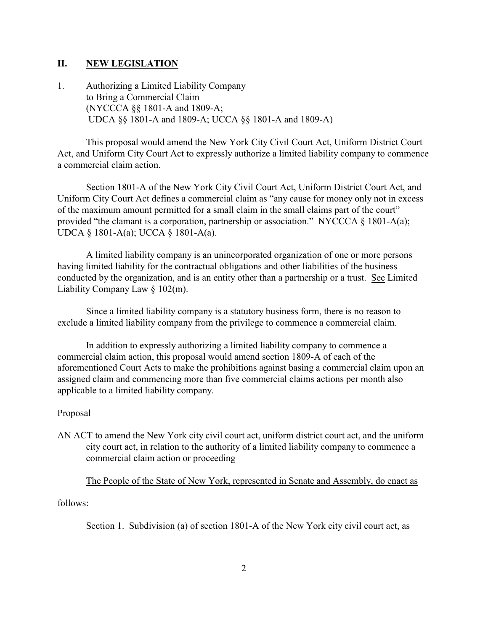# **II. NEW LEGISLATION**

1. Authorizing a Limited Liability Company to Bring a Commercial Claim (NYCCCA §§ 1801-A and 1809-A; UDCA §§ 1801-A and 1809-A; UCCA §§ 1801-A and 1809-A)

This proposal would amend the New York City Civil Court Act, Uniform District Court Act, and Uniform City Court Act to expressly authorize a limited liability company to commence a commercial claim action.

Section 1801-A of the New York City Civil Court Act, Uniform District Court Act, and Uniform City Court Act defines a commercial claim as "any cause for money only not in excess of the maximum amount permitted for a small claim in the small claims part of the court" provided "the clamant is a corporation, partnership or association." NYCCCA § 1801-A(a); UDCA § 1801-A(a); UCCA § 1801-A(a).

A limited liability company is an unincorporated organization of one or more persons having limited liability for the contractual obligations and other liabilities of the business conducted by the organization, and is an entity other than a partnership or a trust. See Limited Liability Company Law § 102(m).

Since a limited liability company is a statutory business form, there is no reason to exclude a limited liability company from the privilege to commence a commercial claim.

In addition to expressly authorizing a limited liability company to commence a commercial claim action, this proposal would amend section 1809-A of each of the aforementioned Court Acts to make the prohibitions against basing a commercial claim upon an assigned claim and commencing more than five commercial claims actions per month also applicable to a limited liability company.

#### Proposal

AN ACT to amend the New York city civil court act, uniform district court act, and the uniform city court act, in relation to the authority of a limited liability company to commence a commercial claim action or proceeding

### The People of the State of New York, represented in Senate and Assembly, do enact as

#### follows:

Section 1. Subdivision (a) of section 1801-A of the New York city civil court act, as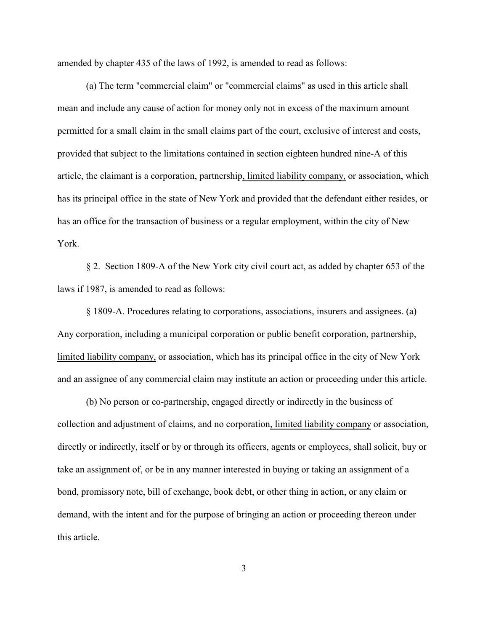amended by chapter 435 of the laws of 1992, is amended to read as follows:

(a) The term "commercial claim" or "commercial claims" as used in this article shall mean and include any cause of action for money only not in excess of the maximum amount permitted for a small claim in the small claims part of the court, exclusive of interest and costs, provided that subject to the limitations contained in section eighteen hundred nine-A of this article, the claimant is a corporation, partnership, limited liability company, or association, which has its principal office in the state of New York and provided that the defendant either resides, or has an office for the transaction of business or a regular employment, within the city of New York.

§ 2. Section 1809-A of the New York city civil court act, as added by chapter 653 of the laws if 1987, is amended to read as follows:

§ 1809-A. Procedures relating to corporations, associations, insurers and assignees. (a) Any corporation, including a municipal corporation or public benefit corporation, partnership, limited liability company, or association, which has its principal office in the city of New York and an assignee of any commercial claim may institute an action or proceeding under this article.

(b) No person or co-partnership, engaged directly or indirectly in the business of collection and adjustment of claims, and no corporation, limited liability company or association, directly or indirectly, itself or by or through its officers, agents or employees, shall solicit, buy or take an assignment of, or be in any manner interested in buying or taking an assignment of a bond, promissory note, bill of exchange, book debt, or other thing in action, or any claim or demand, with the intent and for the purpose of bringing an action or proceeding thereon under this article.

3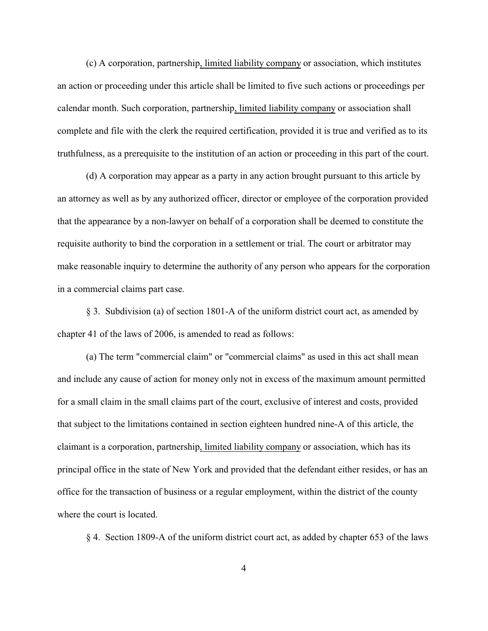(c) A corporation, partnership, limited liability company or association, which institutes an action or proceeding under this article shall be limited to five such actions or proceedings per calendar month. Such corporation, partnership, limited liability company or association shall complete and file with the clerk the required certification, provided it is true and verified as to its truthfulness, as a prerequisite to the institution of an action or proceeding in this part of the court.

(d) A corporation may appear as a party in any action brought pursuant to this article by an attorney as well as by any authorized officer, director or employee of the corporation provided that the appearance by a non-lawyer on behalf of a corporation shall be deemed to constitute the requisite authority to bind the corporation in a settlement or trial. The court or arbitrator may make reasonable inquiry to determine the authority of any person who appears for the corporation in a commercial claims part case.

§ 3. Subdivision (a) of section 1801-A of the uniform district court act, as amended by chapter 41 of the laws of 2006, is amended to read as follows:

(a) The term "commercial claim" or "commercial claims" as used in this act shall mean and include any cause of action for money only not in excess of the maximum amount permitted for a small claim in the small claims part of the court, exclusive of interest and costs, provided that subject to the limitations contained in section eighteen hundred nine-A of this article, the claimant is a corporation, partnership, limited liability company or association, which has its principal office in the state of New York and provided that the defendant either resides, or has an office for the transaction of business or a regular employment, within the district of the county where the court is located.

§ 4. Section 1809-A of the uniform district court act, as added by chapter 653 of the laws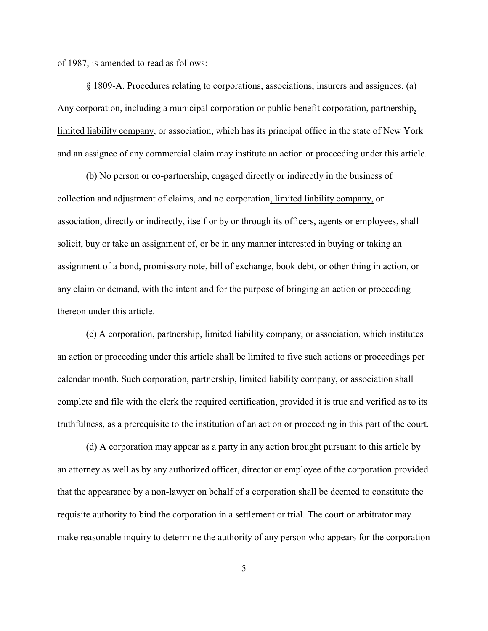of 1987, is amended to read as follows:

§ 1809-A. Procedures relating to corporations, associations, insurers and assignees. (a) Any corporation, including a municipal corporation or public benefit corporation, partnership, limited liability company, or association, which has its principal office in the state of New York and an assignee of any commercial claim may institute an action or proceeding under this article.

(b) No person or co-partnership, engaged directly or indirectly in the business of collection and adjustment of claims, and no corporation, limited liability company, or association, directly or indirectly, itself or by or through its officers, agents or employees, shall solicit, buy or take an assignment of, or be in any manner interested in buying or taking an assignment of a bond, promissory note, bill of exchange, book debt, or other thing in action, or any claim or demand, with the intent and for the purpose of bringing an action or proceeding thereon under this article.

(c) A corporation, partnership, limited liability company, or association, which institutes an action or proceeding under this article shall be limited to five such actions or proceedings per calendar month. Such corporation, partnership, limited liability company, or association shall complete and file with the clerk the required certification, provided it is true and verified as to its truthfulness, as a prerequisite to the institution of an action or proceeding in this part of the court.

(d) A corporation may appear as a party in any action brought pursuant to this article by an attorney as well as by any authorized officer, director or employee of the corporation provided that the appearance by a non-lawyer on behalf of a corporation shall be deemed to constitute the requisite authority to bind the corporation in a settlement or trial. The court or arbitrator may make reasonable inquiry to determine the authority of any person who appears for the corporation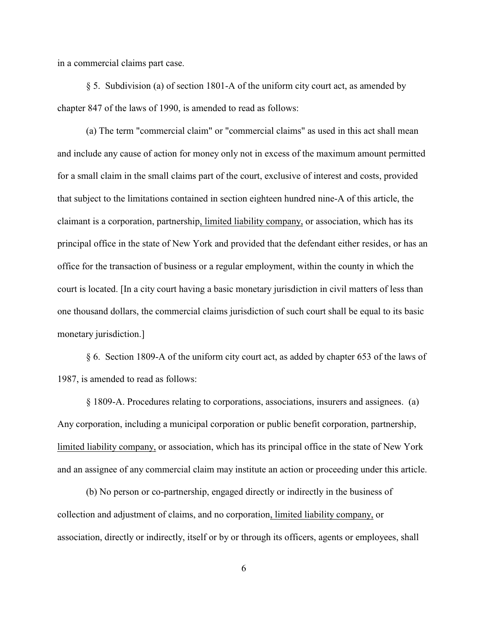in a commercial claims part case.

§ 5. Subdivision (a) of section 1801-A of the uniform city court act, as amended by chapter 847 of the laws of 1990, is amended to read as follows:

(a) The term "commercial claim" or "commercial claims" as used in this act shall mean and include any cause of action for money only not in excess of the maximum amount permitted for a small claim in the small claims part of the court, exclusive of interest and costs, provided that subject to the limitations contained in section eighteen hundred nine-A of this article, the claimant is a corporation, partnership, limited liability company, or association, which has its principal office in the state of New York and provided that the defendant either resides, or has an office for the transaction of business or a regular employment, within the county in which the court is located. [In a city court having a basic monetary jurisdiction in civil matters of less than one thousand dollars, the commercial claims jurisdiction of such court shall be equal to its basic monetary jurisdiction.]

§ 6. Section 1809-A of the uniform city court act, as added by chapter 653 of the laws of 1987, is amended to read as follows:

§ 1809-A. Procedures relating to corporations, associations, insurers and assignees. (a) Any corporation, including a municipal corporation or public benefit corporation, partnership, limited liability company, or association, which has its principal office in the state of New York and an assignee of any commercial claim may institute an action or proceeding under this article.

(b) No person or co-partnership, engaged directly or indirectly in the business of collection and adjustment of claims, and no corporation, limited liability company, or association, directly or indirectly, itself or by or through its officers, agents or employees, shall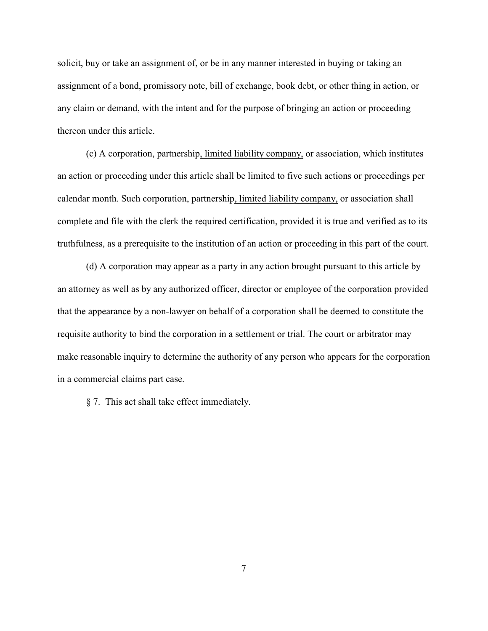solicit, buy or take an assignment of, or be in any manner interested in buying or taking an assignment of a bond, promissory note, bill of exchange, book debt, or other thing in action, or any claim or demand, with the intent and for the purpose of bringing an action or proceeding thereon under this article.

(c) A corporation, partnership, limited liability company, or association, which institutes an action or proceeding under this article shall be limited to five such actions or proceedings per calendar month. Such corporation, partnership, limited liability company, or association shall complete and file with the clerk the required certification, provided it is true and verified as to its truthfulness, as a prerequisite to the institution of an action or proceeding in this part of the court.

(d) A corporation may appear as a party in any action brought pursuant to this article by an attorney as well as by any authorized officer, director or employee of the corporation provided that the appearance by a non-lawyer on behalf of a corporation shall be deemed to constitute the requisite authority to bind the corporation in a settlement or trial. The court or arbitrator may make reasonable inquiry to determine the authority of any person who appears for the corporation in a commercial claims part case.

§ 7. This act shall take effect immediately.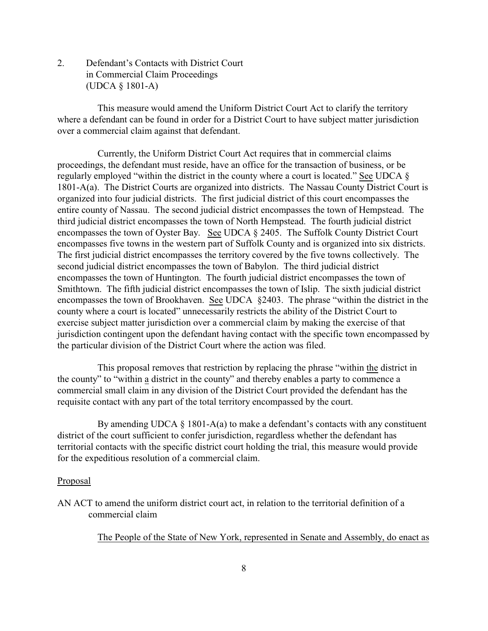2. Defendant's Contacts with District Court in Commercial Claim Proceedings (UDCA § 1801-A)

This measure would amend the Uniform District Court Act to clarify the territory where a defendant can be found in order for a District Court to have subject matter jurisdiction over a commercial claim against that defendant.

Currently, the Uniform District Court Act requires that in commercial claims proceedings, the defendant must reside, have an office for the transaction of business, or be regularly employed "within the district in the county where a court is located." See UDCA § 1801-A(a). The District Courts are organized into districts. The Nassau County District Court is organized into four judicial districts. The first judicial district of this court encompasses the entire county of Nassau. The second judicial district encompasses the town of Hempstead. The third judicial district encompasses the town of North Hempstead. The fourth judicial district encompasses the town of Oyster Bay. See UDCA § 2405. The Suffolk County District Court encompasses five towns in the western part of Suffolk County and is organized into six districts. The first judicial district encompasses the territory covered by the five towns collectively. The second judicial district encompasses the town of Babylon. The third judicial district encompasses the town of Huntington. The fourth judicial district encompasses the town of Smithtown. The fifth judicial district encompasses the town of Islip. The sixth judicial district encompasses the town of Brookhaven. See UDCA §2403. The phrase "within the district in the county where a court is located" unnecessarily restricts the ability of the District Court to exercise subject matter jurisdiction over a commercial claim by making the exercise of that jurisdiction contingent upon the defendant having contact with the specific town encompassed by the particular division of the District Court where the action was filed.

This proposal removes that restriction by replacing the phrase "within the district in the county" to "within a district in the county" and thereby enables a party to commence a commercial small claim in any division of the District Court provided the defendant has the requisite contact with any part of the total territory encompassed by the court.

By amending UDCA  $\S$  1801-A(a) to make a defendant's contacts with any constituent district of the court sufficient to confer jurisdiction, regardless whether the defendant has territorial contacts with the specific district court holding the trial, this measure would provide for the expeditious resolution of a commercial claim.

#### Proposal

AN ACT to amend the uniform district court act, in relation to the territorial definition of a commercial claim

The People of the State of New York, represented in Senate and Assembly, do enact as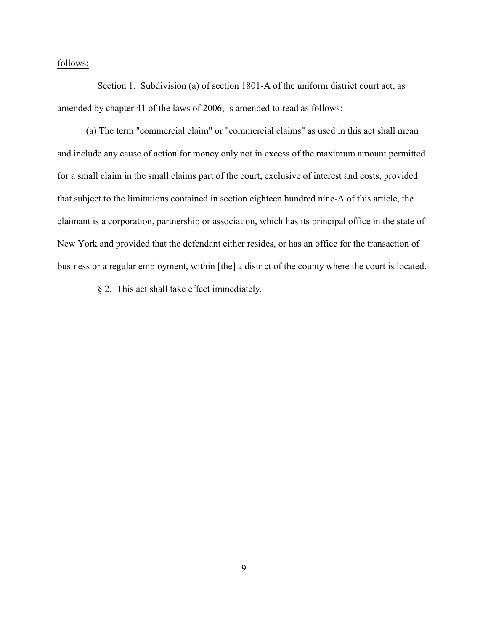follows:

Section 1. Subdivision (a) of section 1801-A of the uniform district court act, as amended by chapter 41 of the laws of 2006, is amended to read as follows:

(a) The term "commercial claim" or "commercial claims" as used in this act shall mean and include any cause of action for money only not in excess of the maximum amount permitted for a small claim in the small claims part of the court, exclusive of interest and costs, provided that subject to the limitations contained in section eighteen hundred nine-A of this article, the claimant is a corporation, partnership or association, which has its principal office in the state of New York and provided that the defendant either resides, or has an office for the transaction of business or a regular employment, within [the] a district of the county where the court is located.

§ 2. This act shall take effect immediately.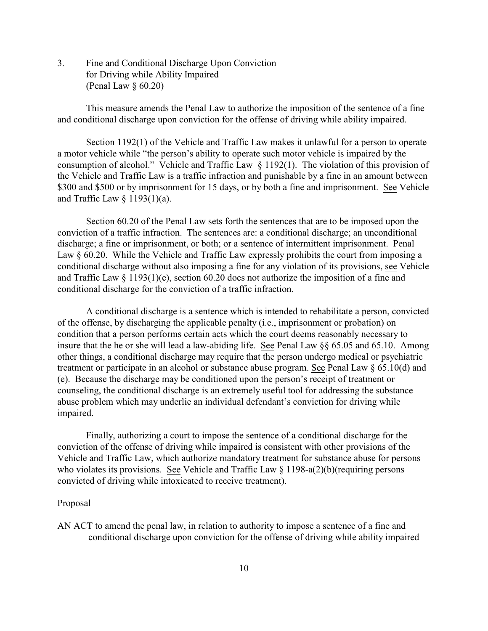3. Fine and Conditional Discharge Upon Conviction for Driving while Ability Impaired (Penal Law § 60.20)

This measure amends the Penal Law to authorize the imposition of the sentence of a fine and conditional discharge upon conviction for the offense of driving while ability impaired.

Section 1192(1) of the Vehicle and Traffic Law makes it unlawful for a person to operate a motor vehicle while "the person's ability to operate such motor vehicle is impaired by the consumption of alcohol." Vehicle and Traffic Law § 1192(1). The violation of this provision of the Vehicle and Traffic Law is a traffic infraction and punishable by a fine in an amount between \$300 and \$500 or by imprisonment for 15 days, or by both a fine and imprisonment. See Vehicle and Traffic Law  $\S$  1193(1)(a).

Section 60.20 of the Penal Law sets forth the sentences that are to be imposed upon the conviction of a traffic infraction. The sentences are: a conditional discharge; an unconditional discharge; a fine or imprisonment, or both; or a sentence of intermittent imprisonment. Penal Law § 60.20. While the Vehicle and Traffic Law expressly prohibits the court from imposing a conditional discharge without also imposing a fine for any violation of its provisions, see Vehicle and Traffic Law  $\S$  1193(1)(e), section 60.20 does not authorize the imposition of a fine and conditional discharge for the conviction of a traffic infraction.

A conditional discharge is a sentence which is intended to rehabilitate a person, convicted of the offense, by discharging the applicable penalty (i.e., imprisonment or probation) on condition that a person performs certain acts which the court deems reasonably necessary to insure that the he or she will lead a law-abiding life. See Penal Law §§ 65.05 and 65.10. Among other things, a conditional discharge may require that the person undergo medical or psychiatric treatment or participate in an alcohol or substance abuse program. See Penal Law § 65.10(d) and (e). Because the discharge may be conditioned upon the person's receipt of treatment or counseling, the conditional discharge is an extremely useful tool for addressing the substance abuse problem which may underlie an individual defendant's conviction for driving while impaired.

Finally, authorizing a court to impose the sentence of a conditional discharge for the conviction of the offense of driving while impaired is consistent with other provisions of the Vehicle and Traffic Law, which authorize mandatory treatment for substance abuse for persons who violates its provisions. See Vehicle and Traffic Law  $\S$  1198-a(2)(b)(requiring persons convicted of driving while intoxicated to receive treatment).

#### Proposal

AN ACT to amend the penal law, in relation to authority to impose a sentence of a fine and conditional discharge upon conviction for the offense of driving while ability impaired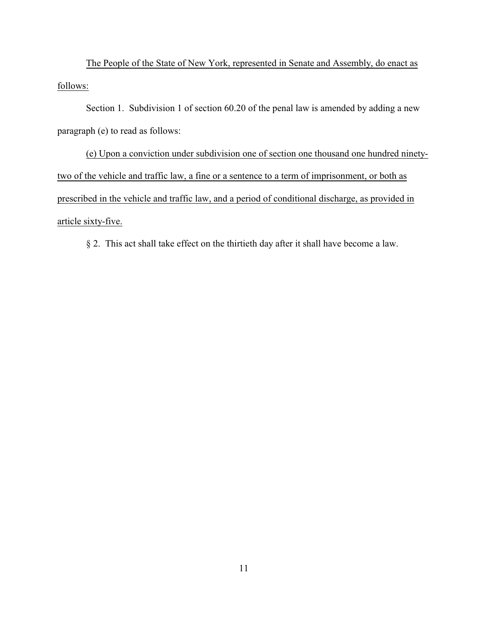The People of the State of New York, represented in Senate and Assembly, do enact as follows:

Section 1. Subdivision 1 of section 60.20 of the penal law is amended by adding a new paragraph (e) to read as follows:

(e) Upon a conviction under subdivision one of section one thousand one hundred ninetytwo of the vehicle and traffic law, a fine or a sentence to a term of imprisonment, or both as prescribed in the vehicle and traffic law, and a period of conditional discharge, as provided in article sixty-five.

§ 2. This act shall take effect on the thirtieth day after it shall have become a law.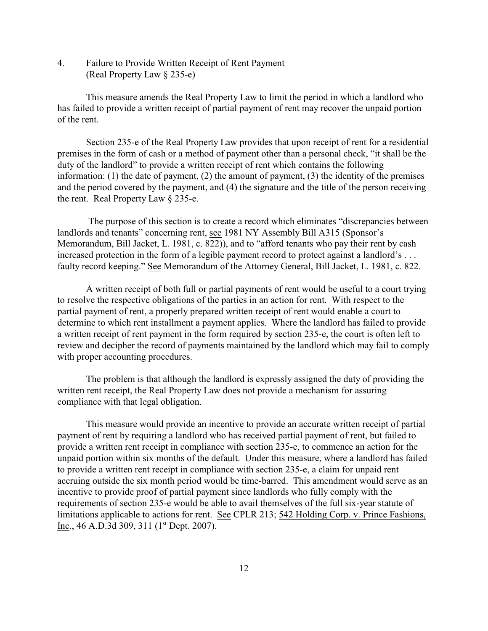4. Failure to Provide Written Receipt of Rent Payment (Real Property Law § 235-e)

This measure amends the Real Property Law to limit the period in which a landlord who has failed to provide a written receipt of partial payment of rent may recover the unpaid portion of the rent.

Section 235-e of the Real Property Law provides that upon receipt of rent for a residential premises in the form of cash or a method of payment other than a personal check, "it shall be the duty of the landlord" to provide a written receipt of rent which contains the following information: (1) the date of payment, (2) the amount of payment, (3) the identity of the premises and the period covered by the payment, and (4) the signature and the title of the person receiving the rent. Real Property Law § 235-e.

 The purpose of this section is to create a record which eliminates "discrepancies between landlords and tenants" concerning rent, see 1981 NY Assembly Bill A315 (Sponsor's Memorandum, Bill Jacket, L. 1981, c. 822)), and to "afford tenants who pay their rent by cash increased protection in the form of a legible payment record to protect against a landlord's . . . faulty record keeping." See Memorandum of the Attorney General, Bill Jacket, L. 1981, c. 822.

A written receipt of both full or partial payments of rent would be useful to a court trying to resolve the respective obligations of the parties in an action for rent. With respect to the partial payment of rent, a properly prepared written receipt of rent would enable a court to determine to which rent installment a payment applies. Where the landlord has failed to provide a written receipt of rent payment in the form required by section 235-e, the court is often left to review and decipher the record of payments maintained by the landlord which may fail to comply with proper accounting procedures.

The problem is that although the landlord is expressly assigned the duty of providing the written rent receipt, the Real Property Law does not provide a mechanism for assuring compliance with that legal obligation.

This measure would provide an incentive to provide an accurate written receipt of partial payment of rent by requiring a landlord who has received partial payment of rent, but failed to provide a written rent receipt in compliance with section 235-e, to commence an action for the unpaid portion within six months of the default. Under this measure, where a landlord has failed to provide a written rent receipt in compliance with section 235-e, a claim for unpaid rent accruing outside the six month period would be time-barred. This amendment would serve as an incentive to provide proof of partial payment since landlords who fully comply with the requirements of section 235-e would be able to avail themselves of the full six-year statute of limitations applicable to actions for rent. See CPLR 213; 542 Holding Corp. v. Prince Fashions, Inc., 46 A.D.3d 309, 311 ( $1<sup>st</sup>$  Dept. 2007).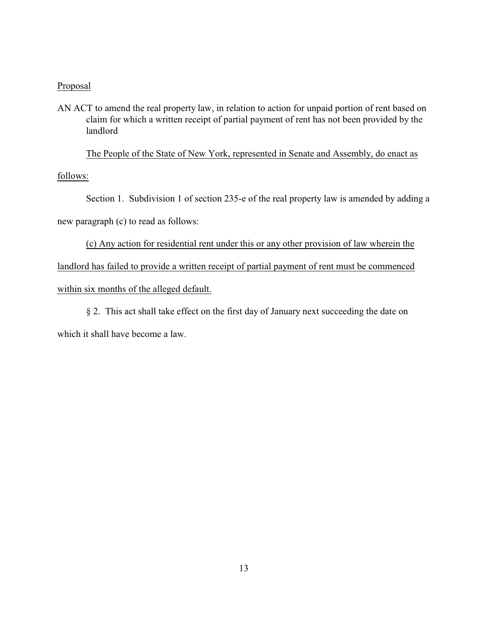#### Proposal

AN ACT to amend the real property law, in relation to action for unpaid portion of rent based on claim for which a written receipt of partial payment of rent has not been provided by the landlord

The People of the State of New York, represented in Senate and Assembly, do enact as

follows:

Section 1. Subdivision 1 of section 235-e of the real property law is amended by adding a new paragraph (c) to read as follows:

(c) Any action for residential rent under this or any other provision of law wherein the landlord has failed to provide a written receipt of partial payment of rent must be commenced within six months of the alleged default.

§ 2. This act shall take effect on the first day of January next succeeding the date on which it shall have become a law.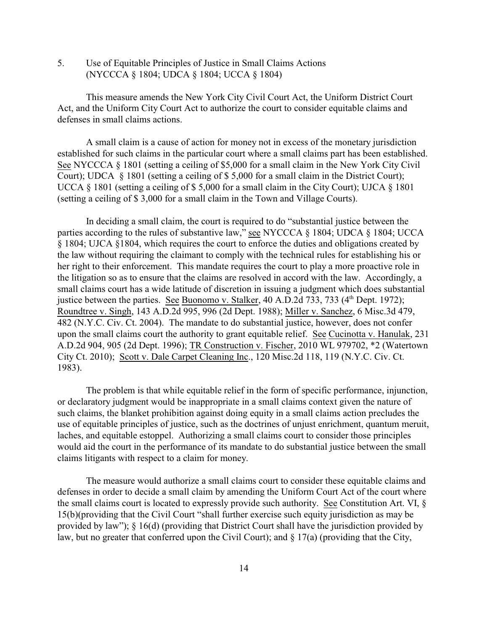5. Use of Equitable Principles of Justice in Small Claims Actions (NYCCCA § 1804; UDCA § 1804; UCCA § 1804)

This measure amends the New York City Civil Court Act, the Uniform District Court Act, and the Uniform City Court Act to authorize the court to consider equitable claims and defenses in small claims actions.

A small claim is a cause of action for money not in excess of the monetary jurisdiction established for such claims in the particular court where a small claims part has been established. See NYCCCA § 1801 (setting a ceiling of \$5,000 for a small claim in the New York City Civil Court); UDCA § 1801 (setting a ceiling of \$ 5,000 for a small claim in the District Court); UCCA § 1801 (setting a ceiling of \$ 5,000 for a small claim in the City Court); UJCA § 1801 (setting a ceiling of \$ 3,000 for a small claim in the Town and Village Courts).

In deciding a small claim, the court is required to do "substantial justice between the parties according to the rules of substantive law," see NYCCCA § 1804; UDCA § 1804; UCCA § 1804; UJCA §1804, which requires the court to enforce the duties and obligations created by the law without requiring the claimant to comply with the technical rules for establishing his or her right to their enforcement. This mandate requires the court to play a more proactive role in the litigation so as to ensure that the claims are resolved in accord with the law. Accordingly, a small claims court has a wide latitude of discretion in issuing a judgment which does substantial justice between the parties. See Buonomo v. Stalker, 40 A.D.2d 733, 733 (4<sup>th</sup> Dept. 1972); Roundtree v. Singh, 143 A.D.2d 995, 996 (2d Dept. 1988); Miller v. Sanchez, 6 Misc.3d 479, 482 (N.Y.C. Civ. Ct. 2004). The mandate to do substantial justice, however, does not confer upon the small claims court the authority to grant equitable relief. See Cucinotta v. Hanulak, 231 A.D.2d 904, 905 (2d Dept. 1996); TR Construction v. Fischer, 2010 WL 979702, \*2 (Watertown City Ct. 2010); Scott v. Dale Carpet Cleaning Inc., 120 Misc.2d 118, 119 (N.Y.C. Civ. Ct. 1983).

The problem is that while equitable relief in the form of specific performance, injunction, or declaratory judgment would be inappropriate in a small claims context given the nature of such claims, the blanket prohibition against doing equity in a small claims action precludes the use of equitable principles of justice, such as the doctrines of unjust enrichment, quantum meruit, laches, and equitable estoppel. Authorizing a small claims court to consider those principles would aid the court in the performance of its mandate to do substantial justice between the small claims litigants with respect to a claim for money.

The measure would authorize a small claims court to consider these equitable claims and defenses in order to decide a small claim by amending the Uniform Court Act of the court where the small claims court is located to expressly provide such authority. See Constitution Art. VI, § 15(b)(providing that the Civil Court "shall further exercise such equity jurisdiction as may be provided by law"); § 16(d) (providing that District Court shall have the jurisdiction provided by law, but no greater that conferred upon the Civil Court); and § 17(a) (providing that the City,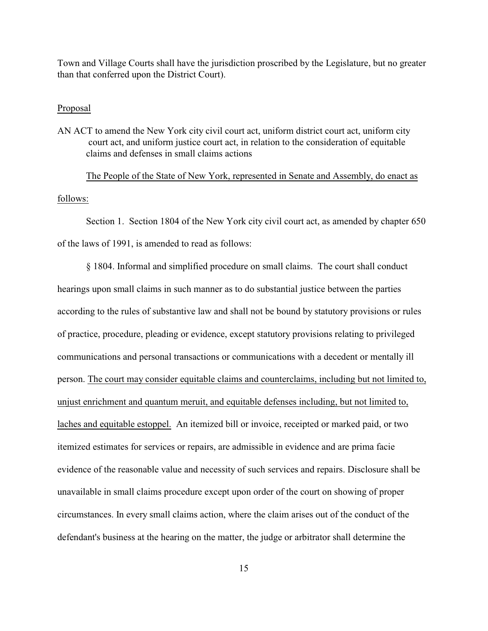Town and Village Courts shall have the jurisdiction proscribed by the Legislature, but no greater than that conferred upon the District Court).

#### Proposal

AN ACT to amend the New York city civil court act, uniform district court act, uniform city court act, and uniform justice court act, in relation to the consideration of equitable claims and defenses in small claims actions

The People of the State of New York, represented in Senate and Assembly, do enact as follows:

Section 1. Section 1804 of the New York city civil court act, as amended by chapter 650 of the laws of 1991, is amended to read as follows:

§ 1804. Informal and simplified procedure on small claims. The court shall conduct hearings upon small claims in such manner as to do substantial justice between the parties according to the rules of substantive law and shall not be bound by statutory provisions or rules of practice, procedure, pleading or evidence, except statutory provisions relating to privileged communications and personal transactions or communications with a decedent or mentally ill person. The court may consider equitable claims and counterclaims, including but not limited to, unjust enrichment and quantum meruit, and equitable defenses including, but not limited to, laches and equitable estoppel. An itemized bill or invoice, receipted or marked paid, or two itemized estimates for services or repairs, are admissible in evidence and are prima facie evidence of the reasonable value and necessity of such services and repairs. Disclosure shall be unavailable in small claims procedure except upon order of the court on showing of proper circumstances. In every small claims action, where the claim arises out of the conduct of the defendant's business at the hearing on the matter, the judge or arbitrator shall determine the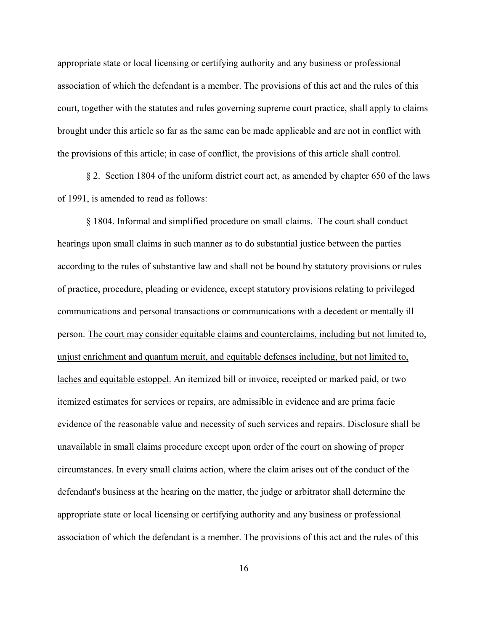appropriate state or local licensing or certifying authority and any business or professional association of which the defendant is a member. The provisions of this act and the rules of this court, together with the statutes and rules governing supreme court practice, shall apply to claims brought under this article so far as the same can be made applicable and are not in conflict with the provisions of this article; in case of conflict, the provisions of this article shall control.

§ 2. Section 1804 of the uniform district court act, as amended by chapter 650 of the laws of 1991, is amended to read as follows:

§ 1804. Informal and simplified procedure on small claims. The court shall conduct hearings upon small claims in such manner as to do substantial justice between the parties according to the rules of substantive law and shall not be bound by statutory provisions or rules of practice, procedure, pleading or evidence, except statutory provisions relating to privileged communications and personal transactions or communications with a decedent or mentally ill person. The court may consider equitable claims and counterclaims, including but not limited to, unjust enrichment and quantum meruit, and equitable defenses including, but not limited to, laches and equitable estoppel. An itemized bill or invoice, receipted or marked paid, or two itemized estimates for services or repairs, are admissible in evidence and are prima facie evidence of the reasonable value and necessity of such services and repairs. Disclosure shall be unavailable in small claims procedure except upon order of the court on showing of proper circumstances. In every small claims action, where the claim arises out of the conduct of the defendant's business at the hearing on the matter, the judge or arbitrator shall determine the appropriate state or local licensing or certifying authority and any business or professional association of which the defendant is a member. The provisions of this act and the rules of this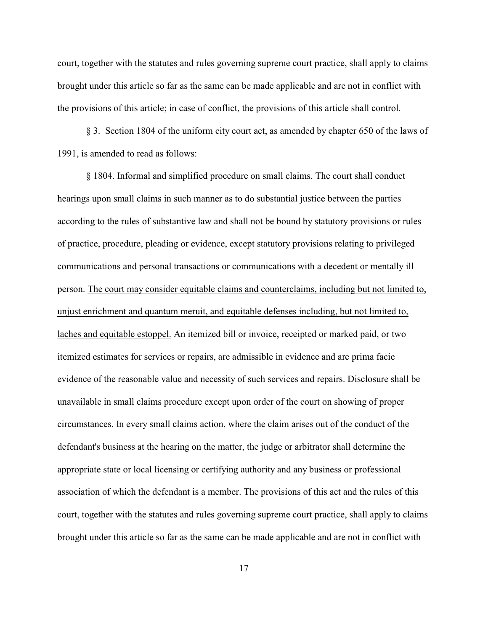court, together with the statutes and rules governing supreme court practice, shall apply to claims brought under this article so far as the same can be made applicable and are not in conflict with the provisions of this article; in case of conflict, the provisions of this article shall control.

§ 3. Section 1804 of the uniform city court act, as amended by chapter 650 of the laws of 1991, is amended to read as follows:

§ 1804. Informal and simplified procedure on small claims. The court shall conduct hearings upon small claims in such manner as to do substantial justice between the parties according to the rules of substantive law and shall not be bound by statutory provisions or rules of practice, procedure, pleading or evidence, except statutory provisions relating to privileged communications and personal transactions or communications with a decedent or mentally ill person. The court may consider equitable claims and counterclaims, including but not limited to, unjust enrichment and quantum meruit, and equitable defenses including, but not limited to, laches and equitable estoppel. An itemized bill or invoice, receipted or marked paid, or two itemized estimates for services or repairs, are admissible in evidence and are prima facie evidence of the reasonable value and necessity of such services and repairs. Disclosure shall be unavailable in small claims procedure except upon order of the court on showing of proper circumstances. In every small claims action, where the claim arises out of the conduct of the defendant's business at the hearing on the matter, the judge or arbitrator shall determine the appropriate state or local licensing or certifying authority and any business or professional association of which the defendant is a member. The provisions of this act and the rules of this court, together with the statutes and rules governing supreme court practice, shall apply to claims brought under this article so far as the same can be made applicable and are not in conflict with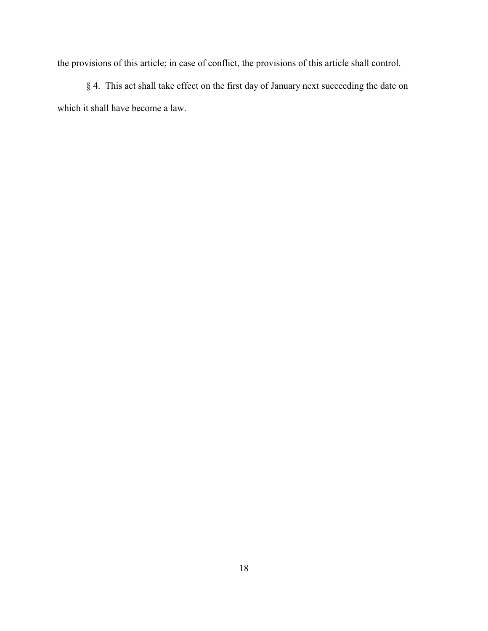the provisions of this article; in case of conflict, the provisions of this article shall control.

§ 4. This act shall take effect on the first day of January next succeeding the date on which it shall have become a law.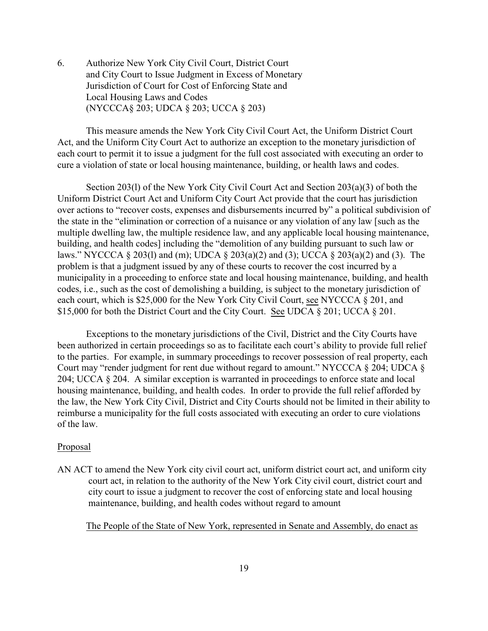6. Authorize New York City Civil Court, District Court and City Court to Issue Judgment in Excess of Monetary Jurisdiction of Court for Cost of Enforcing State and Local Housing Laws and Codes (NYCCCA§ 203; UDCA § 203; UCCA § 203)

This measure amends the New York City Civil Court Act, the Uniform District Court Act, and the Uniform City Court Act to authorize an exception to the monetary jurisdiction of each court to permit it to issue a judgment for the full cost associated with executing an order to cure a violation of state or local housing maintenance, building, or health laws and codes.

Section 203(l) of the New York City Civil Court Act and Section 203(a)(3) of both the Uniform District Court Act and Uniform City Court Act provide that the court has jurisdiction over actions to "recover costs, expenses and disbursements incurred by" a political subdivision of the state in the "elimination or correction of a nuisance or any violation of any law [such as the multiple dwelling law, the multiple residence law, and any applicable local housing maintenance, building, and health codes] including the "demolition of any building pursuant to such law or laws." NYCCCA § 203(l) and (m); UDCA § 203(a)(2) and (3); UCCA § 203(a)(2) and (3). The problem is that a judgment issued by any of these courts to recover the cost incurred by a municipality in a proceeding to enforce state and local housing maintenance, building, and health codes, i.e., such as the cost of demolishing a building, is subject to the monetary jurisdiction of each court, which is \$25,000 for the New York City Civil Court, see NYCCCA § 201, and \$15,000 for both the District Court and the City Court. See UDCA § 201; UCCA § 201.

Exceptions to the monetary jurisdictions of the Civil, District and the City Courts have been authorized in certain proceedings so as to facilitate each court's ability to provide full relief to the parties. For example, in summary proceedings to recover possession of real property, each Court may "render judgment for rent due without regard to amount." NYCCCA § 204; UDCA § 204; UCCA § 204. A similar exception is warranted in proceedings to enforce state and local housing maintenance, building, and health codes. In order to provide the full relief afforded by the law, the New York City Civil, District and City Courts should not be limited in their ability to reimburse a municipality for the full costs associated with executing an order to cure violations of the law.

#### Proposal

AN ACT to amend the New York city civil court act, uniform district court act, and uniform city court act, in relation to the authority of the New York City civil court, district court and city court to issue a judgment to recover the cost of enforcing state and local housing maintenance, building, and health codes without regard to amount

The People of the State of New York, represented in Senate and Assembly, do enact as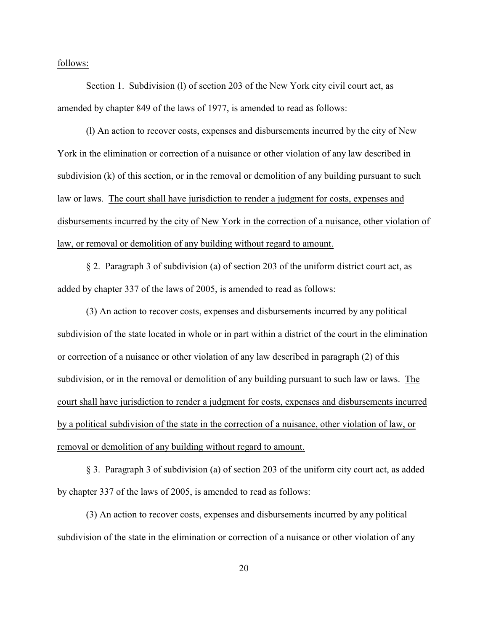follows:

Section 1. Subdivision (1) of section 203 of the New York city civil court act, as amended by chapter 849 of the laws of 1977, is amended to read as follows:

(l) An action to recover costs, expenses and disbursements incurred by the city of New York in the elimination or correction of a nuisance or other violation of any law described in subdivision (k) of this section, or in the removal or demolition of any building pursuant to such law or laws. The court shall have jurisdiction to render a judgment for costs, expenses and disbursements incurred by the city of New York in the correction of a nuisance, other violation of law, or removal or demolition of any building without regard to amount.

§ 2. Paragraph 3 of subdivision (a) of section 203 of the uniform district court act, as added by chapter 337 of the laws of 2005, is amended to read as follows:

(3) An action to recover costs, expenses and disbursements incurred by any political subdivision of the state located in whole or in part within a district of the court in the elimination or correction of a nuisance or other violation of any law described in paragraph (2) of this subdivision, or in the removal or demolition of any building pursuant to such law or laws. The court shall have jurisdiction to render a judgment for costs, expenses and disbursements incurred by a political subdivision of the state in the correction of a nuisance, other violation of law, or removal or demolition of any building without regard to amount.

§ 3. Paragraph 3 of subdivision (a) of section 203 of the uniform city court act, as added by chapter 337 of the laws of 2005, is amended to read as follows:

(3) An action to recover costs, expenses and disbursements incurred by any political subdivision of the state in the elimination or correction of a nuisance or other violation of any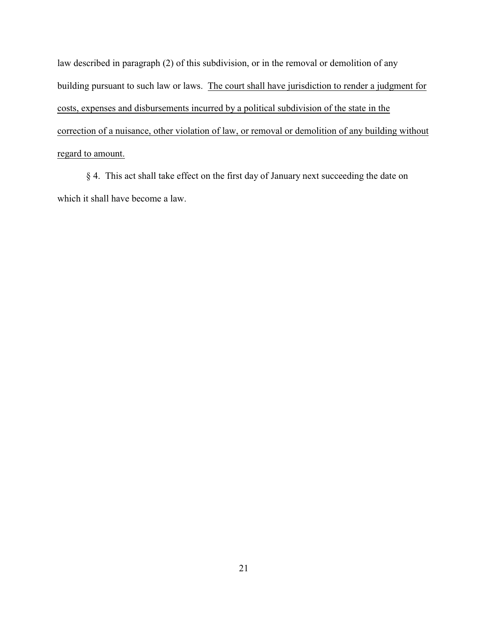law described in paragraph (2) of this subdivision, or in the removal or demolition of any building pursuant to such law or laws. The court shall have jurisdiction to render a judgment for costs, expenses and disbursements incurred by a political subdivision of the state in the correction of a nuisance, other violation of law, or removal or demolition of any building without regard to amount.

§ 4. This act shall take effect on the first day of January next succeeding the date on which it shall have become a law.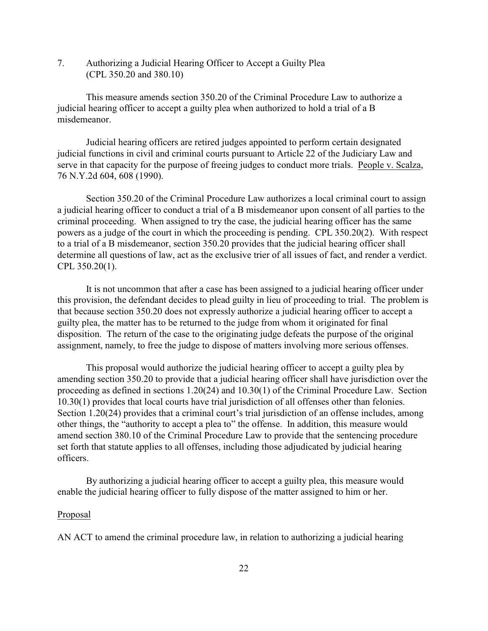7. Authorizing a Judicial Hearing Officer to Accept a Guilty Plea (CPL 350.20 and 380.10)

This measure amends section 350.20 of the Criminal Procedure Law to authorize a judicial hearing officer to accept a guilty plea when authorized to hold a trial of a B misdemeanor.

Judicial hearing officers are retired judges appointed to perform certain designated judicial functions in civil and criminal courts pursuant to Article 22 of the Judiciary Law and serve in that capacity for the purpose of freeing judges to conduct more trials. People v. Scalza, 76 N.Y.2d 604, 608 (1990).

Section 350.20 of the Criminal Procedure Law authorizes a local criminal court to assign a judicial hearing officer to conduct a trial of a B misdemeanor upon consent of all parties to the criminal proceeding. When assigned to try the case, the judicial hearing officer has the same powers as a judge of the court in which the proceeding is pending. CPL 350.20(2). With respect to a trial of a B misdemeanor, section 350.20 provides that the judicial hearing officer shall determine all questions of law, act as the exclusive trier of all issues of fact, and render a verdict. CPL 350.20(1).

It is not uncommon that after a case has been assigned to a judicial hearing officer under this provision, the defendant decides to plead guilty in lieu of proceeding to trial. The problem is that because section 350.20 does not expressly authorize a judicial hearing officer to accept a guilty plea, the matter has to be returned to the judge from whom it originated for final disposition. The return of the case to the originating judge defeats the purpose of the original assignment, namely, to free the judge to dispose of matters involving more serious offenses.

This proposal would authorize the judicial hearing officer to accept a guilty plea by amending section 350.20 to provide that a judicial hearing officer shall have jurisdiction over the proceeding as defined in sections 1.20(24) and 10.30(1) of the Criminal Procedure Law. Section 10.30(1) provides that local courts have trial jurisdiction of all offenses other than felonies. Section 1.20(24) provides that a criminal court's trial jurisdiction of an offense includes, among other things, the "authority to accept a plea to" the offense. In addition, this measure would amend section 380.10 of the Criminal Procedure Law to provide that the sentencing procedure set forth that statute applies to all offenses, including those adjudicated by judicial hearing officers.

By authorizing a judicial hearing officer to accept a guilty plea, this measure would enable the judicial hearing officer to fully dispose of the matter assigned to him or her.

#### Proposal

AN ACT to amend the criminal procedure law, in relation to authorizing a judicial hearing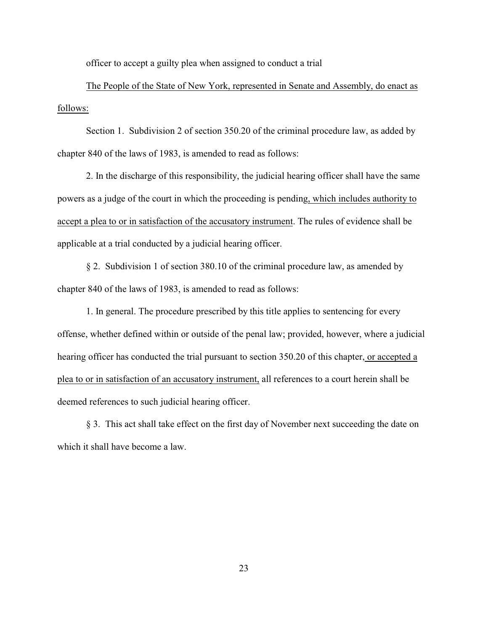officer to accept a guilty plea when assigned to conduct a trial

The People of the State of New York, represented in Senate and Assembly, do enact as follows:

Section 1. Subdivision 2 of section 350.20 of the criminal procedure law, as added by chapter 840 of the laws of 1983, is amended to read as follows:

2. In the discharge of this responsibility, the judicial hearing officer shall have the same powers as a judge of the court in which the proceeding is pending, which includes authority to accept a plea to or in satisfaction of the accusatory instrument. The rules of evidence shall be applicable at a trial conducted by a judicial hearing officer.

§ 2. Subdivision 1 of section 380.10 of the criminal procedure law, as amended by chapter 840 of the laws of 1983, is amended to read as follows:

1. In general. The procedure prescribed by this title applies to sentencing for every offense, whether defined within or outside of the penal law; provided, however, where a judicial hearing officer has conducted the trial pursuant to section 350.20 of this chapter, or accepted a plea to or in satisfaction of an accusatory instrument, all references to a court herein shall be deemed references to such judicial hearing officer.

§ 3. This act shall take effect on the first day of November next succeeding the date on which it shall have become a law.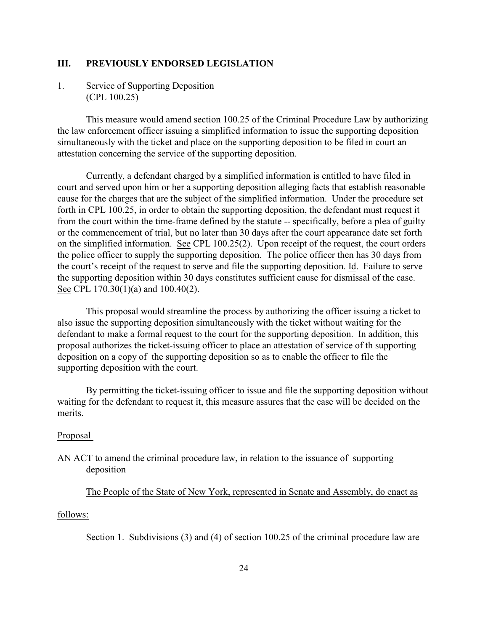#### **III. PREVIOUSLY ENDORSED LEGISLATION**

# 1. Service of Supporting Deposition (CPL 100.25)

This measure would amend section 100.25 of the Criminal Procedure Law by authorizing the law enforcement officer issuing a simplified information to issue the supporting deposition simultaneously with the ticket and place on the supporting deposition to be filed in court an attestation concerning the service of the supporting deposition.

Currently, a defendant charged by a simplified information is entitled to have filed in court and served upon him or her a supporting deposition alleging facts that establish reasonable cause for the charges that are the subject of the simplified information. Under the procedure set forth in CPL 100.25, in order to obtain the supporting deposition, the defendant must request it from the court within the time-frame defined by the statute -- specifically, before a plea of guilty or the commencement of trial, but no later than 30 days after the court appearance date set forth on the simplified information. See CPL 100.25(2). Upon receipt of the request, the court orders the police officer to supply the supporting deposition. The police officer then has 30 days from the court's receipt of the request to serve and file the supporting deposition. Id. Failure to serve the supporting deposition within 30 days constitutes sufficient cause for dismissal of the case. See CPL 170.30(1)(a) and 100.40(2).

This proposal would streamline the process by authorizing the officer issuing a ticket to also issue the supporting deposition simultaneously with the ticket without waiting for the defendant to make a formal request to the court for the supporting deposition. In addition, this proposal authorizes the ticket-issuing officer to place an attestation of service of th supporting deposition on a copy of the supporting deposition so as to enable the officer to file the supporting deposition with the court.

By permitting the ticket-issuing officer to issue and file the supporting deposition without waiting for the defendant to request it, this measure assures that the case will be decided on the merits.

#### Proposal

AN ACT to amend the criminal procedure law, in relation to the issuance of supporting deposition

The People of the State of New York, represented in Senate and Assembly, do enact as

#### follows:

Section 1. Subdivisions (3) and (4) of section 100.25 of the criminal procedure law are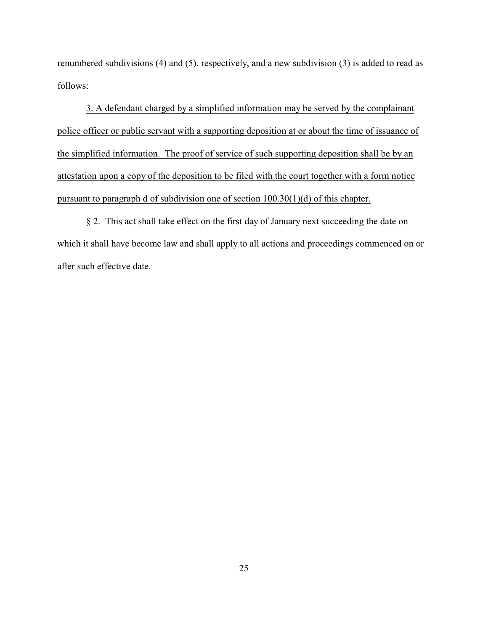renumbered subdivisions (4) and (5), respectively, and a new subdivision (3) is added to read as follows:

3. A defendant charged by a simplified information may be served by the complainant police officer or public servant with a supporting deposition at or about the time of issuance of the simplified information. The proof of service of such supporting deposition shall be by an attestation upon a copy of the deposition to be filed with the court together with a form notice pursuant to paragraph d of subdivision one of section 100.30(1)(d) of this chapter.

§ 2. This act shall take effect on the first day of January next succeeding the date on which it shall have become law and shall apply to all actions and proceedings commenced on or after such effective date.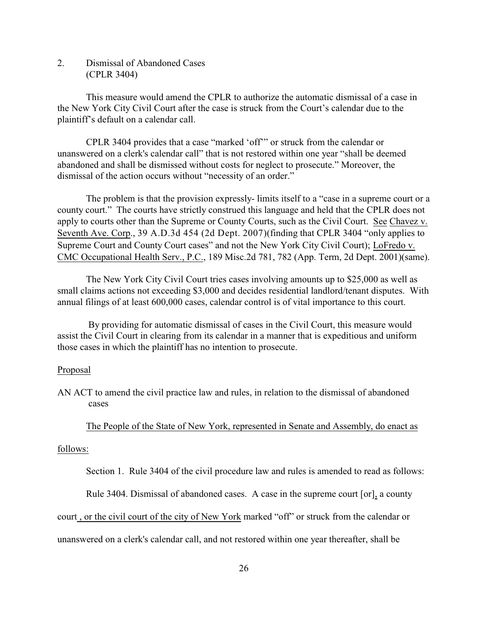2. Dismissal of Abandoned Cases (CPLR 3404)

This measure would amend the CPLR to authorize the automatic dismissal of a case in the New York City Civil Court after the case is struck from the Court's calendar due to the plaintiff's default on a calendar call.

CPLR 3404 provides that a case "marked 'off'" or struck from the calendar or unanswered on a clerk's calendar call" that is not restored within one year "shall be deemed abandoned and shall be dismissed without costs for neglect to prosecute." Moreover, the dismissal of the action occurs without "necessity of an order."

The problem is that the provision expressly- limits itself to a "case in a supreme court or a county court." The courts have strictly construed this language and held that the CPLR does not apply to courts other than the Supreme or County Courts, such as the Civil Court. See Chavez v. Seventh Ave. Corp., 39 A.D.3d 454 (2d Dept. 2007)(finding that CPLR 3404 "only applies to Supreme Court and County Court cases" and not the New York City Civil Court); LoFredo v. CMC Occupational Health Serv., P.C., 189 Misc.2d 781, 782 (App. Term, 2d Dept. 2001)(same).

The New York City Civil Court tries cases involving amounts up to \$25,000 as well as small claims actions not exceeding \$3,000 and decides residential landlord/tenant disputes. With annual filings of at least 600,000 cases, calendar control is of vital importance to this court.

 By providing for automatic dismissal of cases in the Civil Court, this measure would assist the Civil Court in clearing from its calendar in a manner that is expeditious and uniform those cases in which the plaintiff has no intention to prosecute.

### Proposal

AN ACT to amend the civil practice law and rules, in relation to the dismissal of abandoned cases

#### The People of the State of New York, represented in Senate and Assembly, do enact as

#### follows:

Section 1. Rule 3404 of the civil procedure law and rules is amended to read as follows:

Rule 3404. Dismissal of abandoned cases. A case in the supreme court [or], a county

court , or the civil court of the city of New York marked "off" or struck from the calendar or

unanswered on a clerk's calendar call, and not restored within one year thereafter, shall be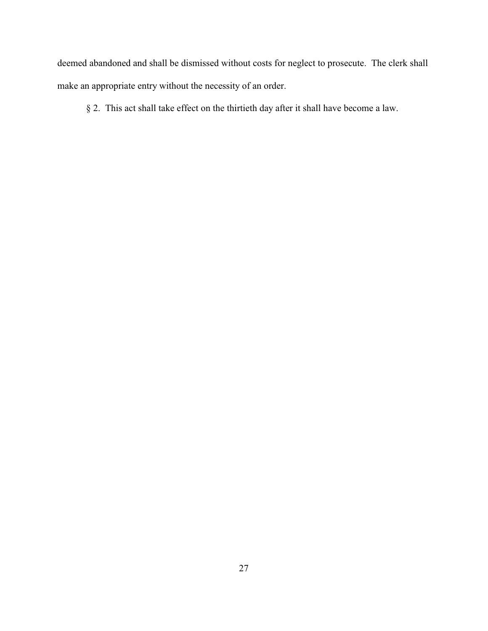deemed abandoned and shall be dismissed without costs for neglect to prosecute. The clerk shall make an appropriate entry without the necessity of an order.

§ 2. This act shall take effect on the thirtieth day after it shall have become a law.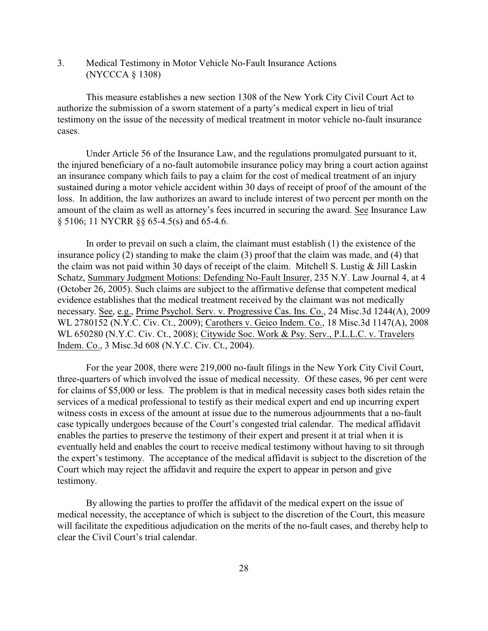3. Medical Testimony in Motor Vehicle No-Fault Insurance Actions (NYCCCA § 1308)

This measure establishes a new section 1308 of the New York City Civil Court Act to authorize the submission of a sworn statement of a party's medical expert in lieu of trial testimony on the issue of the necessity of medical treatment in motor vehicle no-fault insurance cases.

Under Article 56 of the Insurance Law, and the regulations promulgated pursuant to it, the injured beneficiary of a no-fault automobile insurance policy may bring a court action against an insurance company which fails to pay a claim for the cost of medical treatment of an injury sustained during a motor vehicle accident within 30 days of receipt of proof of the amount of the loss. In addition, the law authorizes an award to include interest of two percent per month on the amount of the claim as well as attorney's fees incurred in securing the award. See Insurance Law § 5106; 11 NYCRR §§ 65-4.5(s) and 65-4.6.

In order to prevail on such a claim, the claimant must establish (1) the existence of the insurance policy (2) standing to make the claim (3) proof that the claim was made, and (4) that the claim was not paid within 30 days of receipt of the claim. Mitchell S. Lustig & Jill Laskin Schatz, Summary Judgment Motions: Defending No-Fault Insurer, 235 N.Y. Law Journal 4, at 4 (October 26, 2005). Such claims are subject to the affirmative defense that competent medical evidence establishes that the medical treatment received by the claimant was not medically necessary. See, e.g., Prime Psychol. Serv. v. Progressive Cas. Ins. Co., 24 Misc.3d 1244(A), 2009 WL 2780152 (N.Y.C. Civ. Ct., 2009); Carothers v. Geico Indem. Co., 18 Misc.3d 1147(A), 2008 WL 650280 (N.Y.C. Civ. Ct., 2008); Citywide Soc. Work & Psy. Serv., P.L.L.C. v. Travelers Indem. Co., 3 Misc.3d 608 (N.Y.C. Civ. Ct., 2004).

For the year 2008, there were 219,000 no-fault filings in the New York City Civil Court, three-quarters of which involved the issue of medical necessity. Of these cases, 96 per cent were for claims of \$5,000 or less. The problem is that in medical necessity cases both sides retain the services of a medical professional to testify as their medical expert and end up incurring expert witness costs in excess of the amount at issue due to the numerous adjournments that a no-fault case typically undergoes because of the Court's congested trial calendar. The medical affidavit enables the parties to preserve the testimony of their expert and present it at trial when it is eventually held and enables the court to receive medical testimony without having to sit through the expert's testimony. The acceptance of the medical affidavit is subject to the discretion of the Court which may reject the affidavit and require the expert to appear in person and give testimony.

By allowing the parties to proffer the affidavit of the medical expert on the issue of medical necessity, the acceptance of which is subject to the discretion of the Court, this measure will facilitate the expeditious adjudication on the merits of the no-fault cases, and thereby help to clear the Civil Court's trial calendar.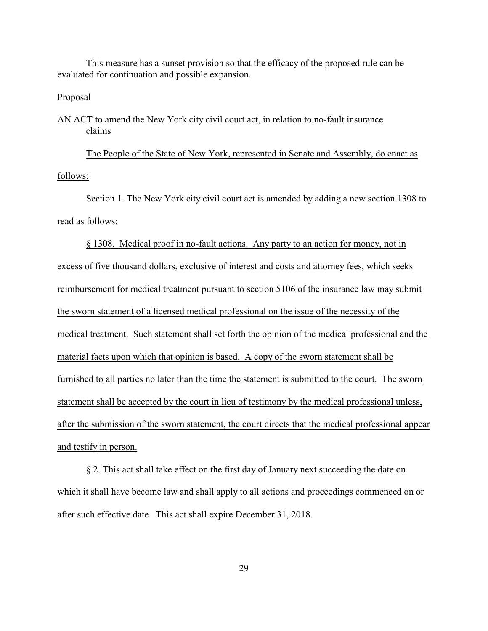This measure has a sunset provision so that the efficacy of the proposed rule can be evaluated for continuation and possible expansion.

#### Proposal

AN ACT to amend the New York city civil court act, in relation to no-fault insurance claims

The People of the State of New York, represented in Senate and Assembly, do enact as follows:

Section 1. The New York city civil court act is amended by adding a new section 1308 to read as follows:

§ 1308. Medical proof in no-fault actions. Any party to an action for money, not in excess of five thousand dollars, exclusive of interest and costs and attorney fees, which seeks reimbursement for medical treatment pursuant to section 5106 of the insurance law may submit the sworn statement of a licensed medical professional on the issue of the necessity of the medical treatment. Such statement shall set forth the opinion of the medical professional and the material facts upon which that opinion is based. A copy of the sworn statement shall be furnished to all parties no later than the time the statement is submitted to the court. The sworn statement shall be accepted by the court in lieu of testimony by the medical professional unless, after the submission of the sworn statement, the court directs that the medical professional appear and testify in person.

§ 2. This act shall take effect on the first day of January next succeeding the date on which it shall have become law and shall apply to all actions and proceedings commenced on or after such effective date. This act shall expire December 31, 2018.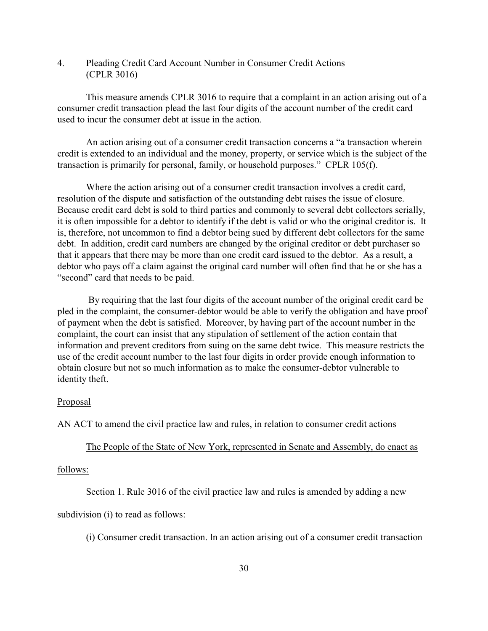4. Pleading Credit Card Account Number in Consumer Credit Actions (CPLR 3016)

This measure amends CPLR 3016 to require that a complaint in an action arising out of a consumer credit transaction plead the last four digits of the account number of the credit card used to incur the consumer debt at issue in the action.

An action arising out of a consumer credit transaction concerns a "a transaction wherein credit is extended to an individual and the money, property, or service which is the subject of the transaction is primarily for personal, family, or household purposes." CPLR 105(f).

Where the action arising out of a consumer credit transaction involves a credit card, resolution of the dispute and satisfaction of the outstanding debt raises the issue of closure. Because credit card debt is sold to third parties and commonly to several debt collectors serially, it is often impossible for a debtor to identify if the debt is valid or who the original creditor is. It is, therefore, not uncommon to find a debtor being sued by different debt collectors for the same debt. In addition, credit card numbers are changed by the original creditor or debt purchaser so that it appears that there may be more than one credit card issued to the debtor. As a result, a debtor who pays off a claim against the original card number will often find that he or she has a "second" card that needs to be paid.

 By requiring that the last four digits of the account number of the original credit card be pled in the complaint, the consumer-debtor would be able to verify the obligation and have proof of payment when the debt is satisfied. Moreover, by having part of the account number in the complaint, the court can insist that any stipulation of settlement of the action contain that information and prevent creditors from suing on the same debt twice. This measure restricts the use of the credit account number to the last four digits in order provide enough information to obtain closure but not so much information as to make the consumer-debtor vulnerable to identity theft.

### Proposal

AN ACT to amend the civil practice law and rules, in relation to consumer credit actions

# The People of the State of New York, represented in Senate and Assembly, do enact as

#### follows:

Section 1. Rule 3016 of the civil practice law and rules is amended by adding a new

# subdivision (i) to read as follows:

(i) Consumer credit transaction. In an action arising out of a consumer credit transaction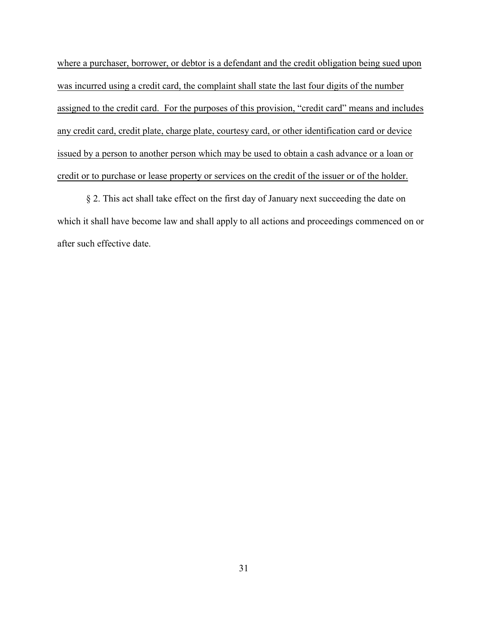where a purchaser, borrower, or debtor is a defendant and the credit obligation being sued upon was incurred using a credit card, the complaint shall state the last four digits of the number assigned to the credit card. For the purposes of this provision, "credit card" means and includes any credit card, credit plate, charge plate, courtesy card, or other identification card or device issued by a person to another person which may be used to obtain a cash advance or a loan or credit or to purchase or lease property or services on the credit of the issuer or of the holder.

§ 2. This act shall take effect on the first day of January next succeeding the date on which it shall have become law and shall apply to all actions and proceedings commenced on or after such effective date.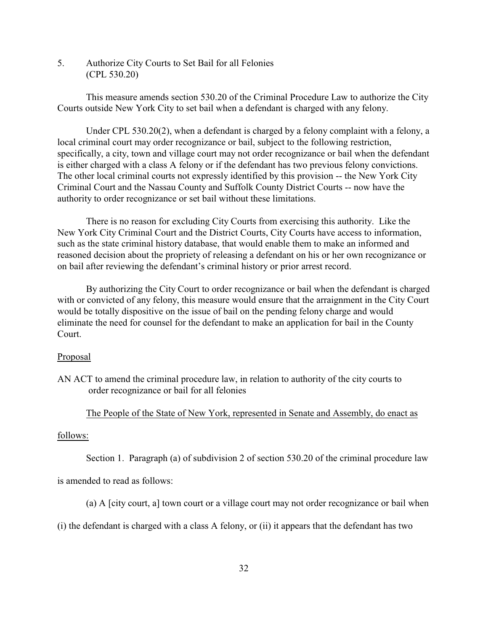5. Authorize City Courts to Set Bail for all Felonies (CPL 530.20)

This measure amends section 530.20 of the Criminal Procedure Law to authorize the City Courts outside New York City to set bail when a defendant is charged with any felony.

Under CPL 530.20(2), when a defendant is charged by a felony complaint with a felony, a local criminal court may order recognizance or bail, subject to the following restriction, specifically, a city, town and village court may not order recognizance or bail when the defendant is either charged with a class A felony or if the defendant has two previous felony convictions. The other local criminal courts not expressly identified by this provision -- the New York City Criminal Court and the Nassau County and Suffolk County District Courts -- now have the authority to order recognizance or set bail without these limitations.

There is no reason for excluding City Courts from exercising this authority. Like the New York City Criminal Court and the District Courts, City Courts have access to information, such as the state criminal history database, that would enable them to make an informed and reasoned decision about the propriety of releasing a defendant on his or her own recognizance or on bail after reviewing the defendant's criminal history or prior arrest record.

By authorizing the City Court to order recognizance or bail when the defendant is charged with or convicted of any felony, this measure would ensure that the arraignment in the City Court would be totally dispositive on the issue of bail on the pending felony charge and would eliminate the need for counsel for the defendant to make an application for bail in the County Court.

# Proposal

AN ACT to amend the criminal procedure law, in relation to authority of the city courts to order recognizance or bail for all felonies

# The People of the State of New York, represented in Senate and Assembly, do enact as

# follows:

Section 1. Paragraph (a) of subdivision 2 of section 530.20 of the criminal procedure law

is amended to read as follows:

(a) A [city court, a] town court or a village court may not order recognizance or bail when

(i) the defendant is charged with a class A felony, or (ii) it appears that the defendant has two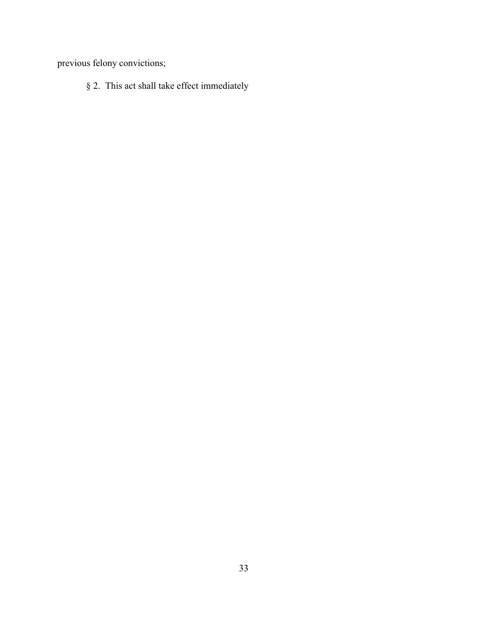previous felony convictions;

§ 2. This act shall take effect immediately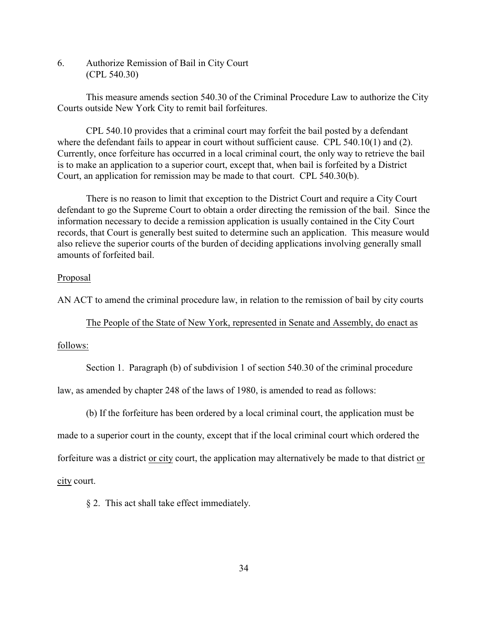6. Authorize Remission of Bail in City Court (CPL 540.30)

This measure amends section 540.30 of the Criminal Procedure Law to authorize the City Courts outside New York City to remit bail forfeitures.

CPL 540.10 provides that a criminal court may forfeit the bail posted by a defendant where the defendant fails to appear in court without sufficient cause. CPL 540.10(1) and (2). Currently, once forfeiture has occurred in a local criminal court, the only way to retrieve the bail is to make an application to a superior court, except that, when bail is forfeited by a District Court, an application for remission may be made to that court. CPL 540.30(b).

There is no reason to limit that exception to the District Court and require a City Court defendant to go the Supreme Court to obtain a order directing the remission of the bail. Since the information necessary to decide a remission application is usually contained in the City Court records, that Court is generally best suited to determine such an application. This measure would also relieve the superior courts of the burden of deciding applications involving generally small amounts of forfeited bail.

## Proposal

AN ACT to amend the criminal procedure law, in relation to the remission of bail by city courts

The People of the State of New York, represented in Senate and Assembly, do enact as

### follows:

Section 1. Paragraph (b) of subdivision 1 of section 540.30 of the criminal procedure

law, as amended by chapter 248 of the laws of 1980, is amended to read as follows:

(b) If the forfeiture has been ordered by a local criminal court, the application must be

made to a superior court in the county, except that if the local criminal court which ordered the

forfeiture was a district or city court, the application may alternatively be made to that district or

city court.

§ 2. This act shall take effect immediately.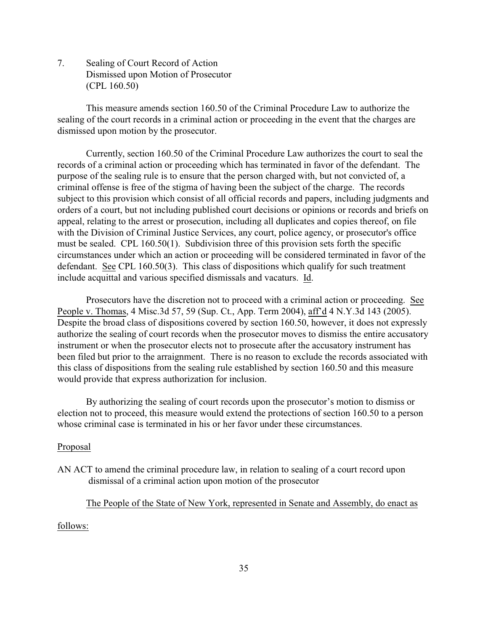7. Sealing of Court Record of Action Dismissed upon Motion of Prosecutor (CPL 160.50)

This measure amends section 160.50 of the Criminal Procedure Law to authorize the sealing of the court records in a criminal action or proceeding in the event that the charges are dismissed upon motion by the prosecutor.

Currently, section 160.50 of the Criminal Procedure Law authorizes the court to seal the records of a criminal action or proceeding which has terminated in favor of the defendant. The purpose of the sealing rule is to ensure that the person charged with, but not convicted of, a criminal offense is free of the stigma of having been the subject of the charge. The records subject to this provision which consist of all official records and papers, including judgments and orders of a court, but not including published court decisions or opinions or records and briefs on appeal, relating to the arrest or prosecution, including all duplicates and copies thereof, on file with the Division of Criminal Justice Services, any court, police agency, or prosecutor's office must be sealed. CPL 160.50(1). Subdivision three of this provision sets forth the specific circumstances under which an action or proceeding will be considered terminated in favor of the defendant. See CPL 160.50(3). This class of dispositions which qualify for such treatment include acquittal and various specified dismissals and vacaturs. Id.

Prosecutors have the discretion not to proceed with a criminal action or proceeding. See People v. Thomas, 4 Misc.3d 57, 59 (Sup. Ct., App. Term 2004), aff'd 4 N.Y.3d 143 (2005). Despite the broad class of dispositions covered by section 160.50, however, it does not expressly authorize the sealing of court records when the prosecutor moves to dismiss the entire accusatory instrument or when the prosecutor elects not to prosecute after the accusatory instrument has been filed but prior to the arraignment. There is no reason to exclude the records associated with this class of dispositions from the sealing rule established by section 160.50 and this measure would provide that express authorization for inclusion.

By authorizing the sealing of court records upon the prosecutor's motion to dismiss or election not to proceed, this measure would extend the protections of section 160.50 to a person whose criminal case is terminated in his or her favor under these circumstances.

# Proposal

AN ACT to amend the criminal procedure law, in relation to sealing of a court record upon dismissal of a criminal action upon motion of the prosecutor

The People of the State of New York, represented in Senate and Assembly, do enact as

# follows: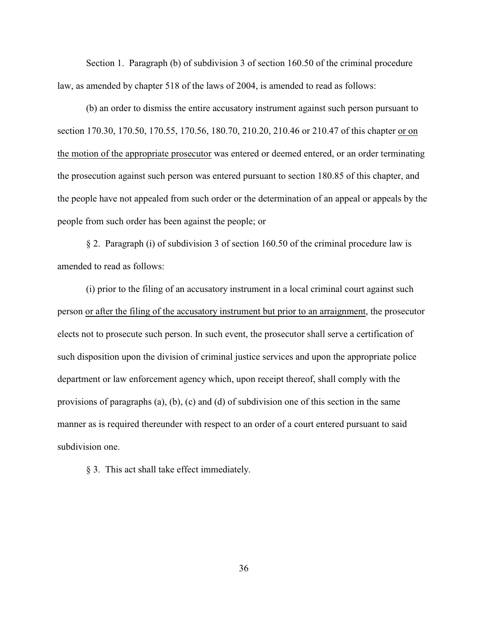Section 1. Paragraph (b) of subdivision 3 of section 160.50 of the criminal procedure law, as amended by chapter 518 of the laws of 2004, is amended to read as follows:

(b) an order to dismiss the entire accusatory instrument against such person pursuant to section 170.30, 170.50, 170.55, 170.56, 180.70, 210.20, 210.46 or 210.47 of this chapter or on the motion of the appropriate prosecutor was entered or deemed entered, or an order terminating the prosecution against such person was entered pursuant to section 180.85 of this chapter, and the people have not appealed from such order or the determination of an appeal or appeals by the people from such order has been against the people; or

§ 2. Paragraph (i) of subdivision 3 of section 160.50 of the criminal procedure law is amended to read as follows:

(i) prior to the filing of an accusatory instrument in a local criminal court against such person or after the filing of the accusatory instrument but prior to an arraignment, the prosecutor elects not to prosecute such person. In such event, the prosecutor shall serve a certification of such disposition upon the division of criminal justice services and upon the appropriate police department or law enforcement agency which, upon receipt thereof, shall comply with the provisions of paragraphs (a), (b), (c) and (d) of subdivision one of this section in the same manner as is required thereunder with respect to an order of a court entered pursuant to said subdivision one.

§ 3. This act shall take effect immediately.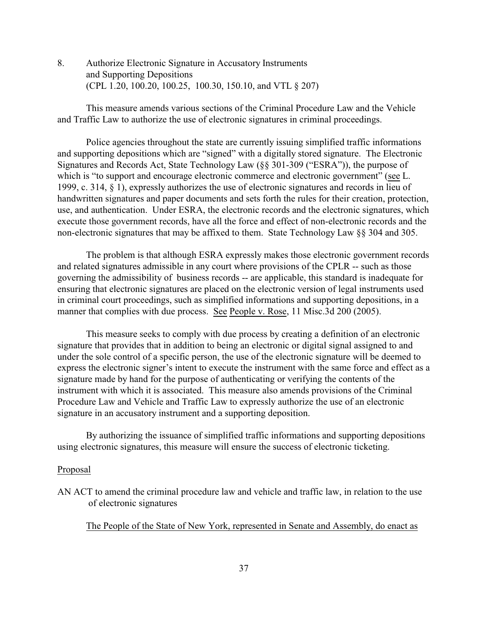8. Authorize Electronic Signature in Accusatory Instruments and Supporting Depositions (CPL 1.20, 100.20, 100.25, 100.30, 150.10, and VTL § 207)

This measure amends various sections of the Criminal Procedure Law and the Vehicle and Traffic Law to authorize the use of electronic signatures in criminal proceedings.

Police agencies throughout the state are currently issuing simplified traffic informations and supporting depositions which are "signed" with a digitally stored signature. The Electronic Signatures and Records Act, State Technology Law (§§ 301-309 ("ESRA")), the purpose of which is "to support and encourage electronic commerce and electronic government" (see L. 1999, c. 314, § 1), expressly authorizes the use of electronic signatures and records in lieu of handwritten signatures and paper documents and sets forth the rules for their creation, protection, use, and authentication. Under ESRA, the electronic records and the electronic signatures, which execute those government records, have all the force and effect of non-electronic records and the non-electronic signatures that may be affixed to them. State Technology Law §§ 304 and 305.

The problem is that although ESRA expressly makes those electronic government records and related signatures admissible in any court where provisions of the CPLR -- such as those governing the admissibility of business records -- are applicable, this standard is inadequate for ensuring that electronic signatures are placed on the electronic version of legal instruments used in criminal court proceedings, such as simplified informations and supporting depositions, in a manner that complies with due process. See People v. Rose, 11 Misc.3d 200 (2005).

This measure seeks to comply with due process by creating a definition of an electronic signature that provides that in addition to being an electronic or digital signal assigned to and under the sole control of a specific person, the use of the electronic signature will be deemed to express the electronic signer's intent to execute the instrument with the same force and effect as a signature made by hand for the purpose of authenticating or verifying the contents of the instrument with which it is associated. This measure also amends provisions of the Criminal Procedure Law and Vehicle and Traffic Law to expressly authorize the use of an electronic signature in an accusatory instrument and a supporting deposition.

By authorizing the issuance of simplified traffic informations and supporting depositions using electronic signatures, this measure will ensure the success of electronic ticketing.

## Proposal

AN ACT to amend the criminal procedure law and vehicle and traffic law, in relation to the use of electronic signatures

The People of the State of New York, represented in Senate and Assembly, do enact as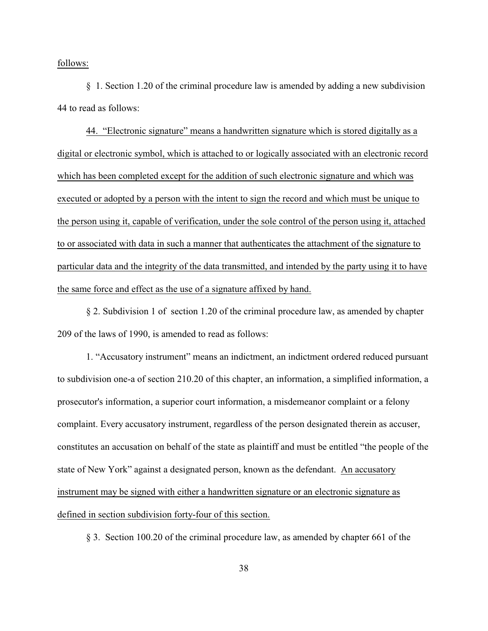follows:

§ 1. Section 1.20 of the criminal procedure law is amended by adding a new subdivision 44 to read as follows:

44. "Electronic signature" means a handwritten signature which is stored digitally as a digital or electronic symbol, which is attached to or logically associated with an electronic record which has been completed except for the addition of such electronic signature and which was executed or adopted by a person with the intent to sign the record and which must be unique to the person using it, capable of verification, under the sole control of the person using it, attached to or associated with data in such a manner that authenticates the attachment of the signature to particular data and the integrity of the data transmitted, and intended by the party using it to have the same force and effect as the use of a signature affixed by hand.

§ 2. Subdivision 1 of section 1.20 of the criminal procedure law, as amended by chapter 209 of the laws of 1990, is amended to read as follows:

1. "Accusatory instrument" means an indictment, an indictment ordered reduced pursuant to subdivision one-a of section 210.20 of this chapter, an information, a simplified information, a prosecutor's information, a superior court information, a misdemeanor complaint or a felony complaint. Every accusatory instrument, regardless of the person designated therein as accuser, constitutes an accusation on behalf of the state as plaintiff and must be entitled "the people of the state of New York" against a designated person, known as the defendant. An accusatory instrument may be signed with either a handwritten signature or an electronic signature as defined in section subdivision forty-four of this section.

§ 3. Section 100.20 of the criminal procedure law, as amended by chapter 661 of the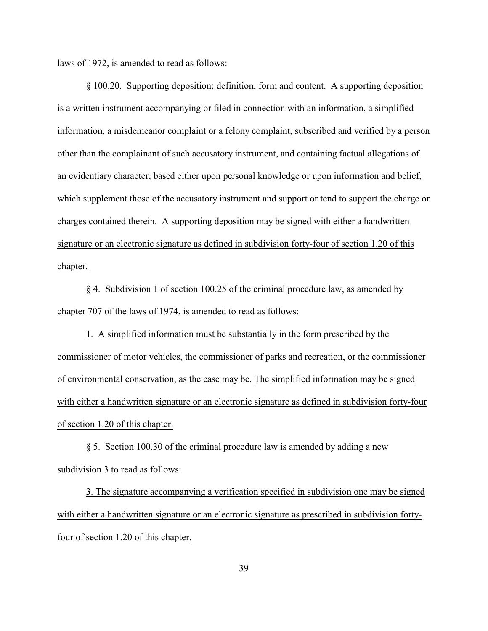laws of 1972, is amended to read as follows:

§ 100.20. Supporting deposition; definition, form and content. A supporting deposition is a written instrument accompanying or filed in connection with an information, a simplified information, a misdemeanor complaint or a felony complaint, subscribed and verified by a person other than the complainant of such accusatory instrument, and containing factual allegations of an evidentiary character, based either upon personal knowledge or upon information and belief, which supplement those of the accusatory instrument and support or tend to support the charge or charges contained therein. A supporting deposition may be signed with either a handwritten signature or an electronic signature as defined in subdivision forty-four of section 1.20 of this chapter.

§ 4. Subdivision 1 of section 100.25 of the criminal procedure law, as amended by chapter 707 of the laws of 1974, is amended to read as follows:

1. A simplified information must be substantially in the form prescribed by the commissioner of motor vehicles, the commissioner of parks and recreation, or the commissioner of environmental conservation, as the case may be. The simplified information may be signed with either a handwritten signature or an electronic signature as defined in subdivision forty-four of section 1.20 of this chapter.

§ 5. Section 100.30 of the criminal procedure law is amended by adding a new subdivision 3 to read as follows:

3. The signature accompanying a verification specified in subdivision one may be signed with either a handwritten signature or an electronic signature as prescribed in subdivision fortyfour of section 1.20 of this chapter.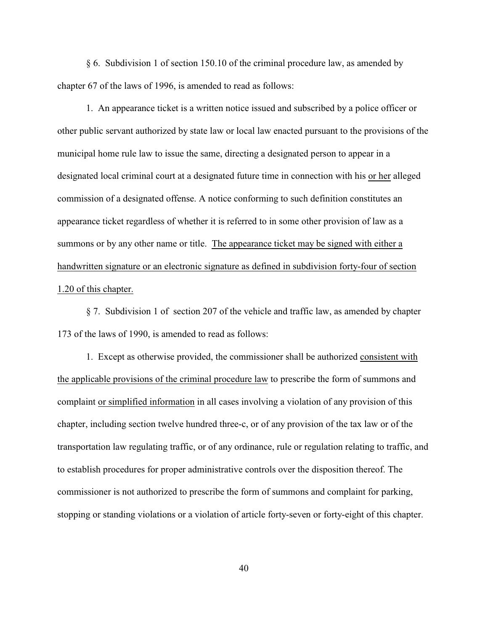§ 6. Subdivision 1 of section 150.10 of the criminal procedure law, as amended by chapter 67 of the laws of 1996, is amended to read as follows:

1. An appearance ticket is a written notice issued and subscribed by a police officer or other public servant authorized by state law or local law enacted pursuant to the provisions of the municipal home rule law to issue the same, directing a designated person to appear in a designated local criminal court at a designated future time in connection with his or her alleged commission of a designated offense. A notice conforming to such definition constitutes an appearance ticket regardless of whether it is referred to in some other provision of law as a summons or by any other name or title. The appearance ticket may be signed with either a handwritten signature or an electronic signature as defined in subdivision forty-four of section 1.20 of this chapter.

§ 7. Subdivision 1 of section 207 of the vehicle and traffic law, as amended by chapter 173 of the laws of 1990, is amended to read as follows:

1. Except as otherwise provided, the commissioner shall be authorized consistent with the applicable provisions of the criminal procedure law to prescribe the form of summons and complaint or simplified information in all cases involving a violation of any provision of this chapter, including section twelve hundred three-c, or of any provision of the tax law or of the transportation law regulating traffic, or of any ordinance, rule or regulation relating to traffic, and to establish procedures for proper administrative controls over the disposition thereof. The commissioner is not authorized to prescribe the form of summons and complaint for parking, stopping or standing violations or a violation of article forty-seven or forty-eight of this chapter.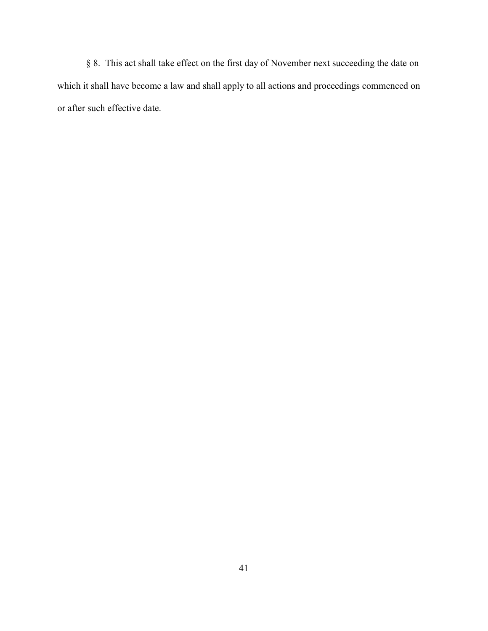§ 8. This act shall take effect on the first day of November next succeeding the date on which it shall have become a law and shall apply to all actions and proceedings commenced on or after such effective date.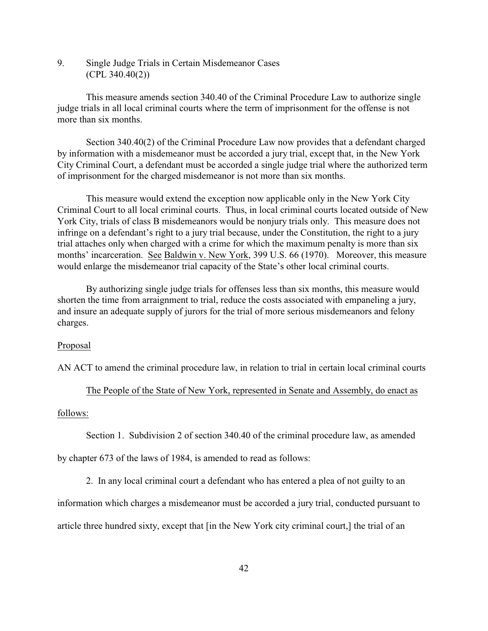9. Single Judge Trials in Certain Misdemeanor Cases (CPL 340.40(2))

This measure amends section 340.40 of the Criminal Procedure Law to authorize single judge trials in all local criminal courts where the term of imprisonment for the offense is not more than six months.

Section 340.40(2) of the Criminal Procedure Law now provides that a defendant charged by information with a misdemeanor must be accorded a jury trial, except that, in the New York City Criminal Court, a defendant must be accorded a single judge trial where the authorized term of imprisonment for the charged misdemeanor is not more than six months.

This measure would extend the exception now applicable only in the New York City Criminal Court to all local criminal courts. Thus, in local criminal courts located outside of New York City, trials of class B misdemeanors would be nonjury trials only. This measure does not infringe on a defendant's right to a jury trial because, under the Constitution, the right to a jury trial attaches only when charged with a crime for which the maximum penalty is more than six months' incarceration. See Baldwin v. New York, 399 U.S. 66 (1970). Moreover, this measure would enlarge the misdemeanor trial capacity of the State's other local criminal courts.

By authorizing single judge trials for offenses less than six months, this measure would shorten the time from arraignment to trial, reduce the costs associated with empaneling a jury, and insure an adequate supply of jurors for the trial of more serious misdemeanors and felony charges.

### Proposal

AN ACT to amend the criminal procedure law, in relation to trial in certain local criminal courts

#### The People of the State of New York, represented in Senate and Assembly, do enact as

# follows:

Section 1. Subdivision 2 of section 340.40 of the criminal procedure law, as amended

by chapter 673 of the laws of 1984, is amended to read as follows:

2. In any local criminal court a defendant who has entered a plea of not guilty to an

information which charges a misdemeanor must be accorded a jury trial, conducted pursuant to

article three hundred sixty, except that [in the New York city criminal court,] the trial of an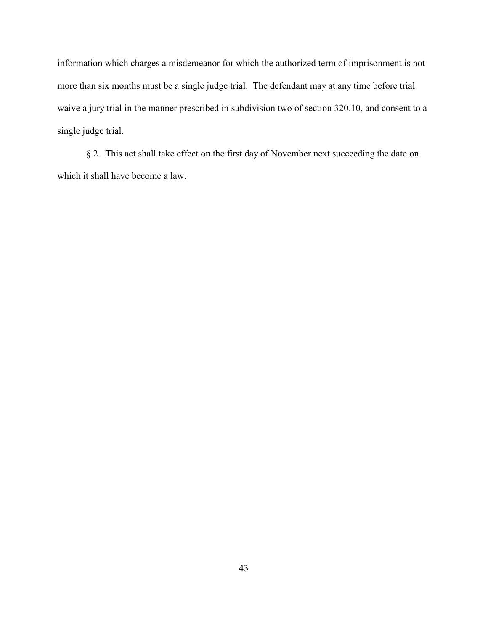information which charges a misdemeanor for which the authorized term of imprisonment is not more than six months must be a single judge trial. The defendant may at any time before trial waive a jury trial in the manner prescribed in subdivision two of section 320.10, and consent to a single judge trial.

§ 2. This act shall take effect on the first day of November next succeeding the date on which it shall have become a law.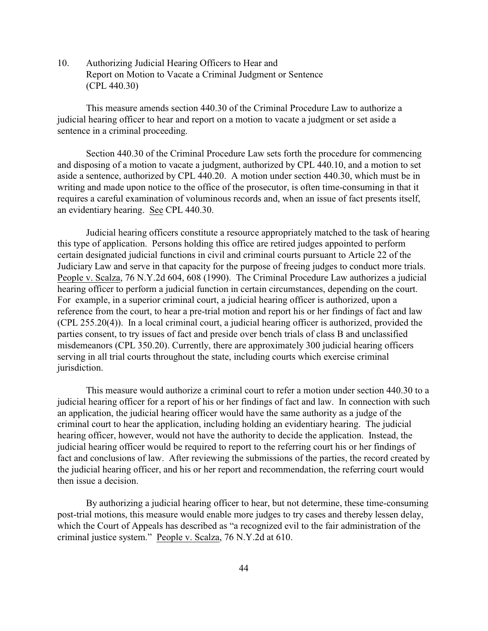10. Authorizing Judicial Hearing Officers to Hear and Report on Motion to Vacate a Criminal Judgment or Sentence (CPL 440.30)

This measure amends section 440.30 of the Criminal Procedure Law to authorize a judicial hearing officer to hear and report on a motion to vacate a judgment or set aside a sentence in a criminal proceeding.

Section 440.30 of the Criminal Procedure Law sets forth the procedure for commencing and disposing of a motion to vacate a judgment, authorized by CPL 440.10, and a motion to set aside a sentence, authorized by CPL 440.20. A motion under section 440.30, which must be in writing and made upon notice to the office of the prosecutor, is often time-consuming in that it requires a careful examination of voluminous records and, when an issue of fact presents itself, an evidentiary hearing. See CPL 440.30.

Judicial hearing officers constitute a resource appropriately matched to the task of hearing this type of application. Persons holding this office are retired judges appointed to perform certain designated judicial functions in civil and criminal courts pursuant to Article 22 of the Judiciary Law and serve in that capacity for the purpose of freeing judges to conduct more trials. People v. Scalza, 76 N.Y.2d 604, 608 (1990). The Criminal Procedure Law authorizes a judicial hearing officer to perform a judicial function in certain circumstances, depending on the court. For example, in a superior criminal court, a judicial hearing officer is authorized, upon a reference from the court, to hear a pre-trial motion and report his or her findings of fact and law (CPL 255.20(4)). In a local criminal court, a judicial hearing officer is authorized, provided the parties consent, to try issues of fact and preside over bench trials of class B and unclassified misdemeanors (CPL 350.20). Currently, there are approximately 300 judicial hearing officers serving in all trial courts throughout the state, including courts which exercise criminal jurisdiction.

This measure would authorize a criminal court to refer a motion under section 440.30 to a judicial hearing officer for a report of his or her findings of fact and law. In connection with such an application, the judicial hearing officer would have the same authority as a judge of the criminal court to hear the application, including holding an evidentiary hearing. The judicial hearing officer, however, would not have the authority to decide the application. Instead, the judicial hearing officer would be required to report to the referring court his or her findings of fact and conclusions of law. After reviewing the submissions of the parties, the record created by the judicial hearing officer, and his or her report and recommendation, the referring court would then issue a decision.

By authorizing a judicial hearing officer to hear, but not determine, these time-consuming post-trial motions, this measure would enable more judges to try cases and thereby lessen delay, which the Court of Appeals has described as "a recognized evil to the fair administration of the criminal justice system." People v. Scalza, 76 N.Y.2d at 610.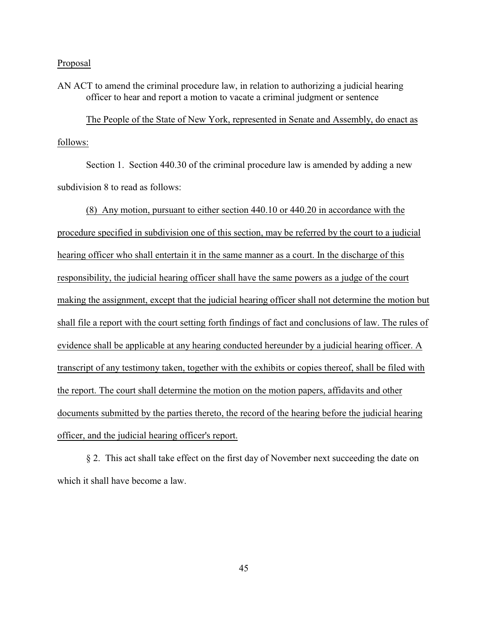#### Proposal

AN ACT to amend the criminal procedure law, in relation to authorizing a judicial hearing officer to hear and report a motion to vacate a criminal judgment or sentence

The People of the State of New York, represented in Senate and Assembly, do enact as follows:

Section 1. Section 440.30 of the criminal procedure law is amended by adding a new subdivision 8 to read as follows:

(8) Any motion, pursuant to either section 440.10 or 440.20 in accordance with the procedure specified in subdivision one of this section, may be referred by the court to a judicial hearing officer who shall entertain it in the same manner as a court. In the discharge of this responsibility, the judicial hearing officer shall have the same powers as a judge of the court making the assignment, except that the judicial hearing officer shall not determine the motion but shall file a report with the court setting forth findings of fact and conclusions of law. The rules of evidence shall be applicable at any hearing conducted hereunder by a judicial hearing officer. A transcript of any testimony taken, together with the exhibits or copies thereof, shall be filed with the report. The court shall determine the motion on the motion papers, affidavits and other documents submitted by the parties thereto, the record of the hearing before the judicial hearing officer, and the judicial hearing officer's report.

§ 2. This act shall take effect on the first day of November next succeeding the date on which it shall have become a law.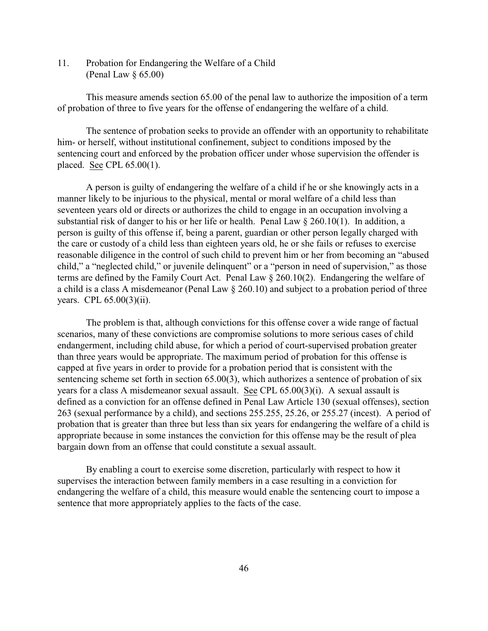11. Probation for Endangering the Welfare of a Child (Penal Law § 65.00)

This measure amends section 65.00 of the penal law to authorize the imposition of a term of probation of three to five years for the offense of endangering the welfare of a child.

The sentence of probation seeks to provide an offender with an opportunity to rehabilitate him- or herself, without institutional confinement, subject to conditions imposed by the sentencing court and enforced by the probation officer under whose supervision the offender is placed. See CPL 65.00(1).

A person is guilty of endangering the welfare of a child if he or she knowingly acts in a manner likely to be injurious to the physical, mental or moral welfare of a child less than seventeen years old or directs or authorizes the child to engage in an occupation involving a substantial risk of danger to his or her life or health. Penal Law § 260.10(1). In addition, a person is guilty of this offense if, being a parent, guardian or other person legally charged with the care or custody of a child less than eighteen years old, he or she fails or refuses to exercise reasonable diligence in the control of such child to prevent him or her from becoming an "abused child," a "neglected child," or juvenile delinquent" or a "person in need of supervision," as those terms are defined by the Family Court Act. Penal Law § 260.10(2). Endangering the welfare of a child is a class A misdemeanor (Penal Law § 260.10) and subject to a probation period of three years. CPL 65.00(3)(ii).

The problem is that, although convictions for this offense cover a wide range of factual scenarios, many of these convictions are compromise solutions to more serious cases of child endangerment, including child abuse, for which a period of court-supervised probation greater than three years would be appropriate. The maximum period of probation for this offense is capped at five years in order to provide for a probation period that is consistent with the sentencing scheme set forth in section 65.00(3), which authorizes a sentence of probation of six years for a class A misdemeanor sexual assault. See CPL 65.00(3)(i). A sexual assault is defined as a conviction for an offense defined in Penal Law Article 130 (sexual offenses), section 263 (sexual performance by a child), and sections 255.255, 25.26, or 255.27 (incest). A period of probation that is greater than three but less than six years for endangering the welfare of a child is appropriate because in some instances the conviction for this offense may be the result of plea bargain down from an offense that could constitute a sexual assault.

By enabling a court to exercise some discretion, particularly with respect to how it supervises the interaction between family members in a case resulting in a conviction for endangering the welfare of a child, this measure would enable the sentencing court to impose a sentence that more appropriately applies to the facts of the case.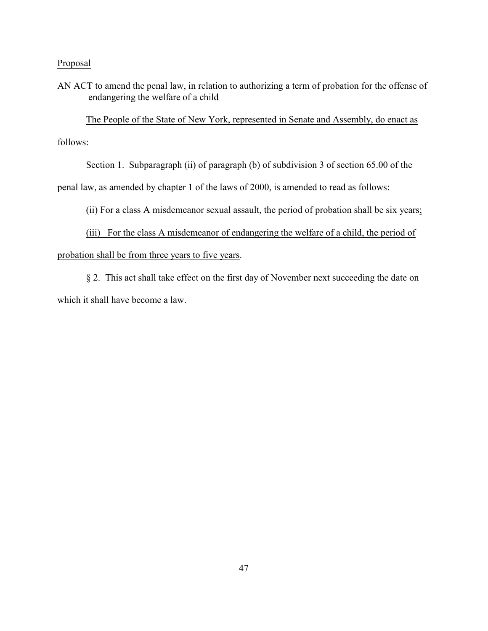# Proposal

AN ACT to amend the penal law, in relation to authorizing a term of probation for the offense of endangering the welfare of a child

The People of the State of New York, represented in Senate and Assembly, do enact as

follows:

Section 1. Subparagraph (ii) of paragraph (b) of subdivision 3 of section 65.00 of the

penal law, as amended by chapter 1 of the laws of 2000, is amended to read as follows:

(ii) For a class A misdemeanor sexual assault, the period of probation shall be six years;

(iii) For the class A misdemeanor of endangering the welfare of a child, the period of

# probation shall be from three years to five years.

§ 2. This act shall take effect on the first day of November next succeeding the date on which it shall have become a law.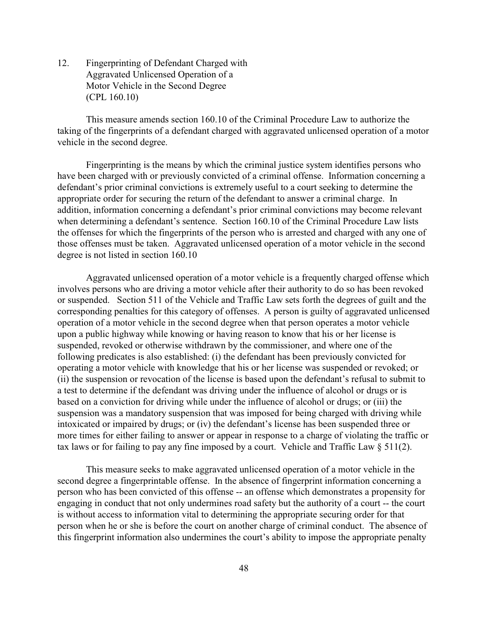12. Fingerprinting of Defendant Charged with Aggravated Unlicensed Operation of a Motor Vehicle in the Second Degree (CPL 160.10)

This measure amends section 160.10 of the Criminal Procedure Law to authorize the taking of the fingerprints of a defendant charged with aggravated unlicensed operation of a motor vehicle in the second degree.

Fingerprinting is the means by which the criminal justice system identifies persons who have been charged with or previously convicted of a criminal offense. Information concerning a defendant's prior criminal convictions is extremely useful to a court seeking to determine the appropriate order for securing the return of the defendant to answer a criminal charge. In addition, information concerning a defendant's prior criminal convictions may become relevant when determining a defendant's sentence. Section 160.10 of the Criminal Procedure Law lists the offenses for which the fingerprints of the person who is arrested and charged with any one of those offenses must be taken. Aggravated unlicensed operation of a motor vehicle in the second degree is not listed in section 160.10

Aggravated unlicensed operation of a motor vehicle is a frequently charged offense which involves persons who are driving a motor vehicle after their authority to do so has been revoked or suspended. Section 511 of the Vehicle and Traffic Law sets forth the degrees of guilt and the corresponding penalties for this category of offenses. A person is guilty of aggravated unlicensed operation of a motor vehicle in the second degree when that person operates a motor vehicle upon a public highway while knowing or having reason to know that his or her license is suspended, revoked or otherwise withdrawn by the commissioner, and where one of the following predicates is also established: (i) the defendant has been previously convicted for operating a motor vehicle with knowledge that his or her license was suspended or revoked; or (ii) the suspension or revocation of the license is based upon the defendant's refusal to submit to a test to determine if the defendant was driving under the influence of alcohol or drugs or is based on a conviction for driving while under the influence of alcohol or drugs; or (iii) the suspension was a mandatory suspension that was imposed for being charged with driving while intoxicated or impaired by drugs; or (iv) the defendant's license has been suspended three or more times for either failing to answer or appear in response to a charge of violating the traffic or tax laws or for failing to pay any fine imposed by a court. Vehicle and Traffic Law  $\S 511(2)$ .

This measure seeks to make aggravated unlicensed operation of a motor vehicle in the second degree a fingerprintable offense. In the absence of fingerprint information concerning a person who has been convicted of this offense -- an offense which demonstrates a propensity for engaging in conduct that not only undermines road safety but the authority of a court -- the court is without access to information vital to determining the appropriate securing order for that person when he or she is before the court on another charge of criminal conduct. The absence of this fingerprint information also undermines the court's ability to impose the appropriate penalty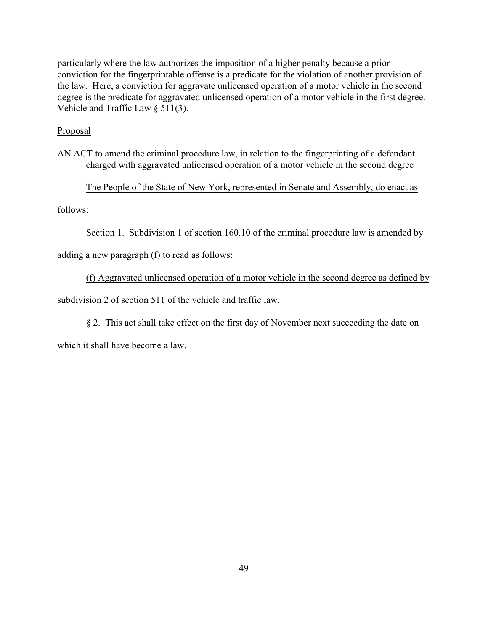particularly where the law authorizes the imposition of a higher penalty because a prior conviction for the fingerprintable offense is a predicate for the violation of another provision of the law. Here, a conviction for aggravate unlicensed operation of a motor vehicle in the second degree is the predicate for aggravated unlicensed operation of a motor vehicle in the first degree. Vehicle and Traffic Law § 511(3).

# Proposal

AN ACT to amend the criminal procedure law, in relation to the fingerprinting of a defendant charged with aggravated unlicensed operation of a motor vehicle in the second degree

The People of the State of New York, represented in Senate and Assembly, do enact as

# follows:

Section 1. Subdivision 1 of section 160.10 of the criminal procedure law is amended by

adding a new paragraph (f) to read as follows:

(f) Aggravated unlicensed operation of a motor vehicle in the second degree as defined by

subdivision 2 of section 511 of the vehicle and traffic law.

§ 2. This act shall take effect on the first day of November next succeeding the date on

which it shall have become a law.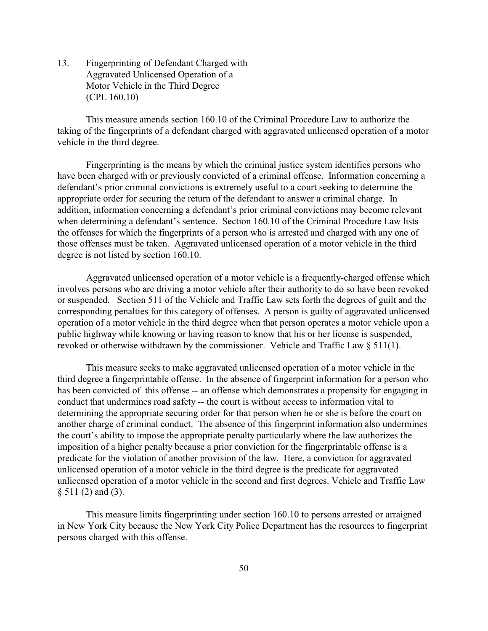13. Fingerprinting of Defendant Charged with Aggravated Unlicensed Operation of a Motor Vehicle in the Third Degree (CPL 160.10)

This measure amends section 160.10 of the Criminal Procedure Law to authorize the taking of the fingerprints of a defendant charged with aggravated unlicensed operation of a motor vehicle in the third degree.

Fingerprinting is the means by which the criminal justice system identifies persons who have been charged with or previously convicted of a criminal offense. Information concerning a defendant's prior criminal convictions is extremely useful to a court seeking to determine the appropriate order for securing the return of the defendant to answer a criminal charge. In addition, information concerning a defendant's prior criminal convictions may become relevant when determining a defendant's sentence. Section 160.10 of the Criminal Procedure Law lists the offenses for which the fingerprints of a person who is arrested and charged with any one of those offenses must be taken. Aggravated unlicensed operation of a motor vehicle in the third degree is not listed by section 160.10.

Aggravated unlicensed operation of a motor vehicle is a frequently-charged offense which involves persons who are driving a motor vehicle after their authority to do so have been revoked or suspended. Section 511 of the Vehicle and Traffic Law sets forth the degrees of guilt and the corresponding penalties for this category of offenses. A person is guilty of aggravated unlicensed operation of a motor vehicle in the third degree when that person operates a motor vehicle upon a public highway while knowing or having reason to know that his or her license is suspended, revoked or otherwise withdrawn by the commissioner. Vehicle and Traffic Law § 511(1).

This measure seeks to make aggravated unlicensed operation of a motor vehicle in the third degree a fingerprintable offense. In the absence of fingerprint information for a person who has been convicted of this offense -- an offense which demonstrates a propensity for engaging in conduct that undermines road safety -- the court is without access to information vital to determining the appropriate securing order for that person when he or she is before the court on another charge of criminal conduct. The absence of this fingerprint information also undermines the court's ability to impose the appropriate penalty particularly where the law authorizes the imposition of a higher penalty because a prior conviction for the fingerprintable offense is a predicate for the violation of another provision of the law. Here, a conviction for aggravated unlicensed operation of a motor vehicle in the third degree is the predicate for aggravated unlicensed operation of a motor vehicle in the second and first degrees. Vehicle and Traffic Law  $§ 511 (2)$  and (3).

This measure limits fingerprinting under section 160.10 to persons arrested or arraigned in New York City because the New York City Police Department has the resources to fingerprint persons charged with this offense.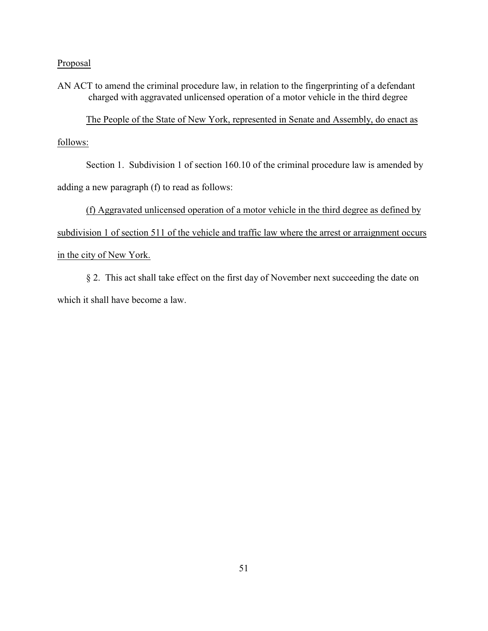# Proposal

AN ACT to amend the criminal procedure law, in relation to the fingerprinting of a defendant charged with aggravated unlicensed operation of a motor vehicle in the third degree

The People of the State of New York, represented in Senate and Assembly, do enact as

# follows:

Section 1. Subdivision 1 of section 160.10 of the criminal procedure law is amended by adding a new paragraph (f) to read as follows:

# (f) Aggravated unlicensed operation of a motor vehicle in the third degree as defined by subdivision 1 of section 511 of the vehicle and traffic law where the arrest or arraignment occurs in the city of New York.

§ 2. This act shall take effect on the first day of November next succeeding the date on which it shall have become a law.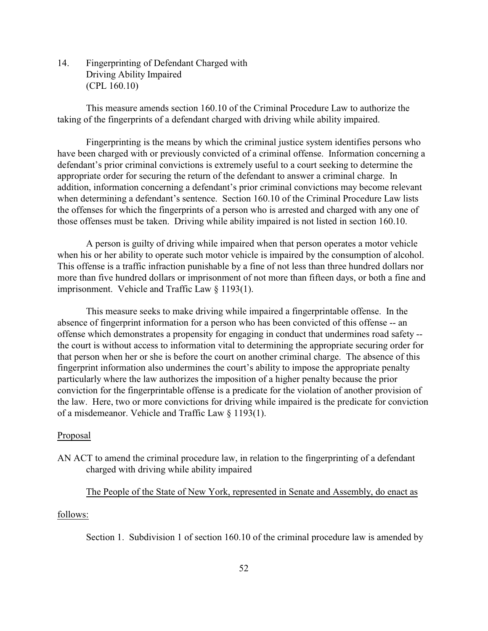14. Fingerprinting of Defendant Charged with Driving Ability Impaired (CPL 160.10)

This measure amends section 160.10 of the Criminal Procedure Law to authorize the taking of the fingerprints of a defendant charged with driving while ability impaired.

Fingerprinting is the means by which the criminal justice system identifies persons who have been charged with or previously convicted of a criminal offense. Information concerning a defendant's prior criminal convictions is extremely useful to a court seeking to determine the appropriate order for securing the return of the defendant to answer a criminal charge. In addition, information concerning a defendant's prior criminal convictions may become relevant when determining a defendant's sentence. Section 160.10 of the Criminal Procedure Law lists the offenses for which the fingerprints of a person who is arrested and charged with any one of those offenses must be taken. Driving while ability impaired is not listed in section 160.10.

A person is guilty of driving while impaired when that person operates a motor vehicle when his or her ability to operate such motor vehicle is impaired by the consumption of alcohol. This offense is a traffic infraction punishable by a fine of not less than three hundred dollars nor more than five hundred dollars or imprisonment of not more than fifteen days, or both a fine and imprisonment. Vehicle and Traffic Law § 1193(1).

This measure seeks to make driving while impaired a fingerprintable offense. In the absence of fingerprint information for a person who has been convicted of this offense -- an offense which demonstrates a propensity for engaging in conduct that undermines road safety - the court is without access to information vital to determining the appropriate securing order for that person when her or she is before the court on another criminal charge. The absence of this fingerprint information also undermines the court's ability to impose the appropriate penalty particularly where the law authorizes the imposition of a higher penalty because the prior conviction for the fingerprintable offense is a predicate for the violation of another provision of the law. Here, two or more convictions for driving while impaired is the predicate for conviction of a misdemeanor. Vehicle and Traffic Law § 1193(1).

### Proposal

AN ACT to amend the criminal procedure law, in relation to the fingerprinting of a defendant charged with driving while ability impaired

# The People of the State of New York, represented in Senate and Assembly, do enact as

#### follows:

Section 1. Subdivision 1 of section 160.10 of the criminal procedure law is amended by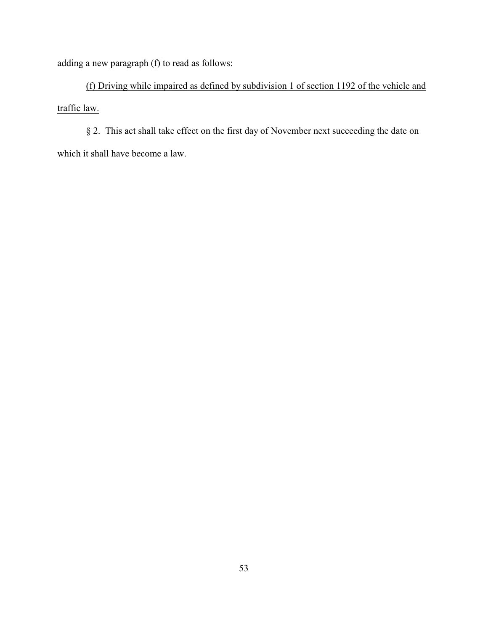adding a new paragraph (f) to read as follows:

(f) Driving while impaired as defined by subdivision 1 of section 1192 of the vehicle and traffic law.

§ 2. This act shall take effect on the first day of November next succeeding the date on which it shall have become a law.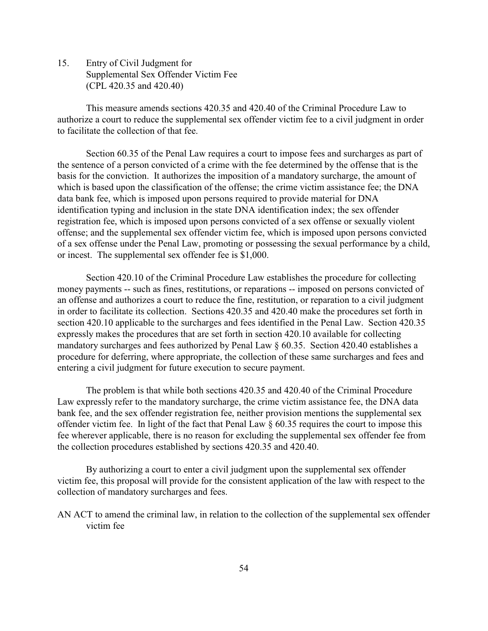15. Entry of Civil Judgment for Supplemental Sex Offender Victim Fee (CPL 420.35 and 420.40)

This measure amends sections 420.35 and 420.40 of the Criminal Procedure Law to authorize a court to reduce the supplemental sex offender victim fee to a civil judgment in order to facilitate the collection of that fee.

Section 60.35 of the Penal Law requires a court to impose fees and surcharges as part of the sentence of a person convicted of a crime with the fee determined by the offense that is the basis for the conviction. It authorizes the imposition of a mandatory surcharge, the amount of which is based upon the classification of the offense; the crime victim assistance fee; the DNA data bank fee, which is imposed upon persons required to provide material for DNA identification typing and inclusion in the state DNA identification index; the sex offender registration fee, which is imposed upon persons convicted of a sex offense or sexually violent offense; and the supplemental sex offender victim fee, which is imposed upon persons convicted of a sex offense under the Penal Law, promoting or possessing the sexual performance by a child, or incest. The supplemental sex offender fee is \$1,000.

Section 420.10 of the Criminal Procedure Law establishes the procedure for collecting money payments -- such as fines, restitutions, or reparations -- imposed on persons convicted of an offense and authorizes a court to reduce the fine, restitution, or reparation to a civil judgment in order to facilitate its collection. Sections 420.35 and 420.40 make the procedures set forth in section 420.10 applicable to the surcharges and fees identified in the Penal Law. Section 420.35 expressly makes the procedures that are set forth in section 420.10 available for collecting mandatory surcharges and fees authorized by Penal Law § 60.35. Section 420.40 establishes a procedure for deferring, where appropriate, the collection of these same surcharges and fees and entering a civil judgment for future execution to secure payment.

The problem is that while both sections 420.35 and 420.40 of the Criminal Procedure Law expressly refer to the mandatory surcharge, the crime victim assistance fee, the DNA data bank fee, and the sex offender registration fee, neither provision mentions the supplemental sex offender victim fee. In light of the fact that Penal Law § 60.35 requires the court to impose this fee wherever applicable, there is no reason for excluding the supplemental sex offender fee from the collection procedures established by sections 420.35 and 420.40.

By authorizing a court to enter a civil judgment upon the supplemental sex offender victim fee, this proposal will provide for the consistent application of the law with respect to the collection of mandatory surcharges and fees.

AN ACT to amend the criminal law, in relation to the collection of the supplemental sex offender victim fee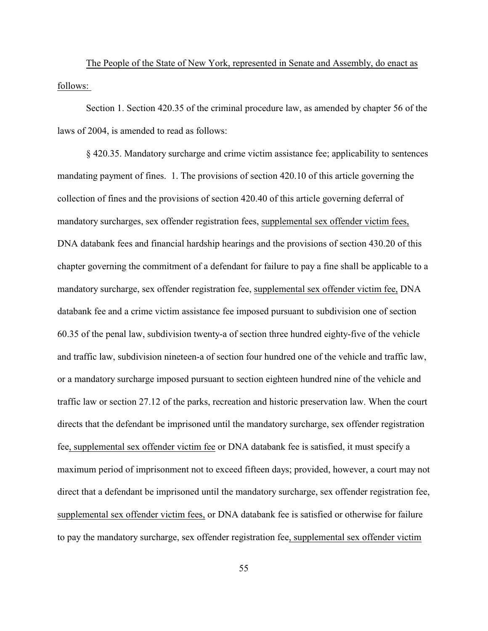The People of the State of New York, represented in Senate and Assembly, do enact as follows:

Section 1. Section 420.35 of the criminal procedure law, as amended by chapter 56 of the laws of 2004, is amended to read as follows:

§ 420.35. Mandatory surcharge and crime victim assistance fee; applicability to sentences mandating payment of fines. 1. The provisions of section 420.10 of this article governing the collection of fines and the provisions of section 420.40 of this article governing deferral of mandatory surcharges, sex offender registration fees, supplemental sex offender victim fees, DNA databank fees and financial hardship hearings and the provisions of section 430.20 of this chapter governing the commitment of a defendant for failure to pay a fine shall be applicable to a mandatory surcharge, sex offender registration fee, supplemental sex offender victim fee, DNA databank fee and a crime victim assistance fee imposed pursuant to subdivision one of section 60.35 of the penal law, subdivision twenty-a of section three hundred eighty-five of the vehicle and traffic law, subdivision nineteen-a of section four hundred one of the vehicle and traffic law, or a mandatory surcharge imposed pursuant to section eighteen hundred nine of the vehicle and traffic law or section 27.12 of the parks, recreation and historic preservation law. When the court directs that the defendant be imprisoned until the mandatory surcharge, sex offender registration fee, supplemental sex offender victim fee or DNA databank fee is satisfied, it must specify a maximum period of imprisonment not to exceed fifteen days; provided, however, a court may not direct that a defendant be imprisoned until the mandatory surcharge, sex offender registration fee, supplemental sex offender victim fees, or DNA databank fee is satisfied or otherwise for failure to pay the mandatory surcharge, sex offender registration fee, supplemental sex offender victim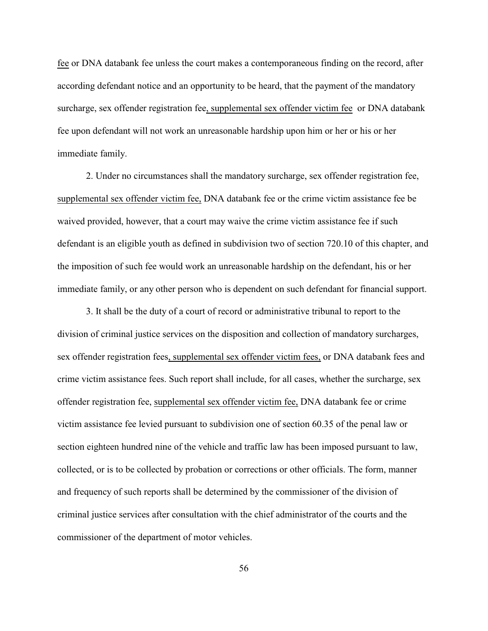fee or DNA databank fee unless the court makes a contemporaneous finding on the record, after according defendant notice and an opportunity to be heard, that the payment of the mandatory surcharge, sex offender registration fee, supplemental sex offender victim fee or DNA databank fee upon defendant will not work an unreasonable hardship upon him or her or his or her immediate family.

2. Under no circumstances shall the mandatory surcharge, sex offender registration fee, supplemental sex offender victim fee, DNA databank fee or the crime victim assistance fee be waived provided, however, that a court may waive the crime victim assistance fee if such defendant is an eligible youth as defined in subdivision two of section 720.10 of this chapter, and the imposition of such fee would work an unreasonable hardship on the defendant, his or her immediate family, or any other person who is dependent on such defendant for financial support.

3. It shall be the duty of a court of record or administrative tribunal to report to the division of criminal justice services on the disposition and collection of mandatory surcharges, sex offender registration fees, supplemental sex offender victim fees, or DNA databank fees and crime victim assistance fees. Such report shall include, for all cases, whether the surcharge, sex offender registration fee, supplemental sex offender victim fee, DNA databank fee or crime victim assistance fee levied pursuant to subdivision one of section 60.35 of the penal law or section eighteen hundred nine of the vehicle and traffic law has been imposed pursuant to law, collected, or is to be collected by probation or corrections or other officials. The form, manner and frequency of such reports shall be determined by the commissioner of the division of criminal justice services after consultation with the chief administrator of the courts and the commissioner of the department of motor vehicles.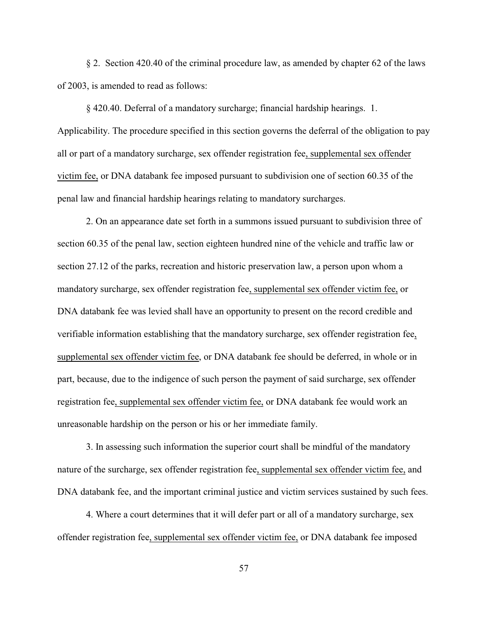§ 2. Section 420.40 of the criminal procedure law, as amended by chapter 62 of the laws of 2003, is amended to read as follows:

§ 420.40. Deferral of a mandatory surcharge; financial hardship hearings. 1. Applicability. The procedure specified in this section governs the deferral of the obligation to pay all or part of a mandatory surcharge, sex offender registration fee, supplemental sex offender victim fee, or DNA databank fee imposed pursuant to subdivision one of section 60.35 of the penal law and financial hardship hearings relating to mandatory surcharges.

2. On an appearance date set forth in a summons issued pursuant to subdivision three of section 60.35 of the penal law, section eighteen hundred nine of the vehicle and traffic law or section 27.12 of the parks, recreation and historic preservation law, a person upon whom a mandatory surcharge, sex offender registration fee, supplemental sex offender victim fee, or DNA databank fee was levied shall have an opportunity to present on the record credible and verifiable information establishing that the mandatory surcharge, sex offender registration fee, supplemental sex offender victim fee, or DNA databank fee should be deferred, in whole or in part, because, due to the indigence of such person the payment of said surcharge, sex offender registration fee, supplemental sex offender victim fee, or DNA databank fee would work an unreasonable hardship on the person or his or her immediate family.

3. In assessing such information the superior court shall be mindful of the mandatory nature of the surcharge, sex offender registration fee, supplemental sex offender victim fee, and DNA databank fee, and the important criminal justice and victim services sustained by such fees.

4. Where a court determines that it will defer part or all of a mandatory surcharge, sex offender registration fee, supplemental sex offender victim fee, or DNA databank fee imposed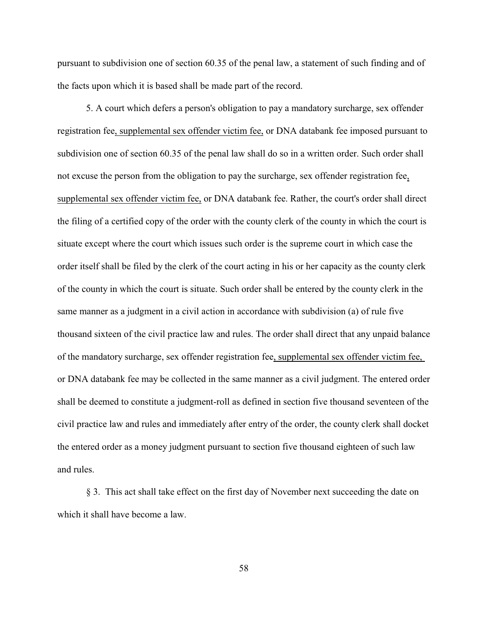pursuant to subdivision one of section 60.35 of the penal law, a statement of such finding and of the facts upon which it is based shall be made part of the record.

5. A court which defers a person's obligation to pay a mandatory surcharge, sex offender registration fee, supplemental sex offender victim fee, or DNA databank fee imposed pursuant to subdivision one of section 60.35 of the penal law shall do so in a written order. Such order shall not excuse the person from the obligation to pay the surcharge, sex offender registration fee, supplemental sex offender victim fee, or DNA databank fee. Rather, the court's order shall direct the filing of a certified copy of the order with the county clerk of the county in which the court is situate except where the court which issues such order is the supreme court in which case the order itself shall be filed by the clerk of the court acting in his or her capacity as the county clerk of the county in which the court is situate. Such order shall be entered by the county clerk in the same manner as a judgment in a civil action in accordance with subdivision (a) of rule five thousand sixteen of the civil practice law and rules. The order shall direct that any unpaid balance of the mandatory surcharge, sex offender registration fee, supplemental sex offender victim fee, or DNA databank fee may be collected in the same manner as a civil judgment. The entered order shall be deemed to constitute a judgment-roll as defined in section five thousand seventeen of the civil practice law and rules and immediately after entry of the order, the county clerk shall docket the entered order as a money judgment pursuant to section five thousand eighteen of such law and rules.

§ 3. This act shall take effect on the first day of November next succeeding the date on which it shall have become a law.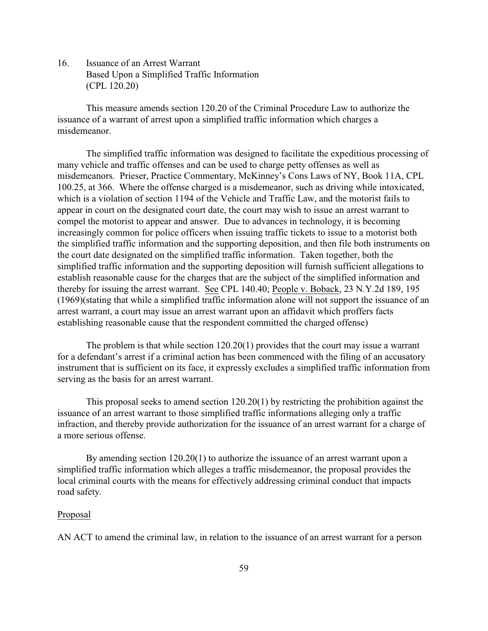16. Issuance of an Arrest Warrant Based Upon a Simplified Traffic Information (CPL 120.20)

This measure amends section 120.20 of the Criminal Procedure Law to authorize the issuance of a warrant of arrest upon a simplified traffic information which charges a misdemeanor.

The simplified traffic information was designed to facilitate the expeditious processing of many vehicle and traffic offenses and can be used to charge petty offenses as well as misdemeanors. Prieser, Practice Commentary, McKinney's Cons Laws of NY, Book 11A, CPL 100.25, at 366. Where the offense charged is a misdemeanor, such as driving while intoxicated, which is a violation of section 1194 of the Vehicle and Traffic Law, and the motorist fails to appear in court on the designated court date, the court may wish to issue an arrest warrant to compel the motorist to appear and answer. Due to advances in technology, it is becoming increasingly common for police officers when issuing traffic tickets to issue to a motorist both the simplified traffic information and the supporting deposition, and then file both instruments on the court date designated on the simplified traffic information. Taken together, both the simplified traffic information and the supporting deposition will furnish sufficient allegations to establish reasonable cause for the charges that are the subject of the simplified information and thereby for issuing the arrest warrant. See CPL 140.40; People v. Boback, 23 N.Y.2d 189, 195 (1969)(stating that while a simplified traffic information alone will not support the issuance of an arrest warrant, a court may issue an arrest warrant upon an affidavit which proffers facts establishing reasonable cause that the respondent committed the charged offense)

The problem is that while section  $120.20(1)$  provides that the court may issue a warrant for a defendant's arrest if a criminal action has been commenced with the filing of an accusatory instrument that is sufficient on its face, it expressly excludes a simplified traffic information from serving as the basis for an arrest warrant.

This proposal seeks to amend section 120.20(1) by restricting the prohibition against the issuance of an arrest warrant to those simplified traffic informations alleging only a traffic infraction, and thereby provide authorization for the issuance of an arrest warrant for a charge of a more serious offense.

By amending section 120.20(1) to authorize the issuance of an arrest warrant upon a simplified traffic information which alleges a traffic misdemeanor, the proposal provides the local criminal courts with the means for effectively addressing criminal conduct that impacts road safety.

### Proposal

AN ACT to amend the criminal law, in relation to the issuance of an arrest warrant for a person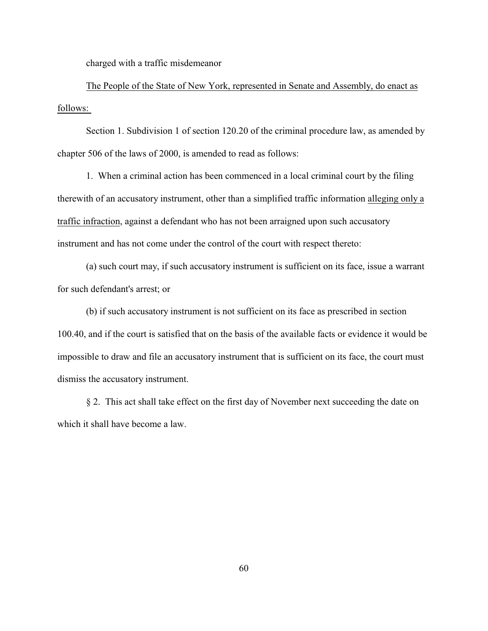charged with a traffic misdemeanor

The People of the State of New York, represented in Senate and Assembly, do enact as follows:

Section 1. Subdivision 1 of section 120.20 of the criminal procedure law, as amended by chapter 506 of the laws of 2000, is amended to read as follows:

1. When a criminal action has been commenced in a local criminal court by the filing therewith of an accusatory instrument, other than a simplified traffic information alleging only a traffic infraction, against a defendant who has not been arraigned upon such accusatory instrument and has not come under the control of the court with respect thereto:

(a) such court may, if such accusatory instrument is sufficient on its face, issue a warrant for such defendant's arrest; or

(b) if such accusatory instrument is not sufficient on its face as prescribed in section 100.40, and if the court is satisfied that on the basis of the available facts or evidence it would be impossible to draw and file an accusatory instrument that is sufficient on its face, the court must dismiss the accusatory instrument.

§ 2. This act shall take effect on the first day of November next succeeding the date on which it shall have become a law.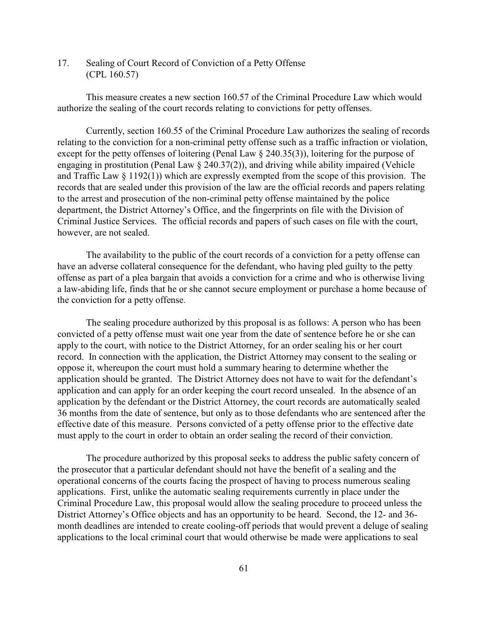17. Sealing of Court Record of Conviction of a Petty Offense (CPL 160.57)

This measure creates a new section 160.57 of the Criminal Procedure Law which would authorize the sealing of the court records relating to convictions for petty offenses.

Currently, section 160.55 of the Criminal Procedure Law authorizes the sealing of records relating to the conviction for a non-criminal petty offense such as a traffic infraction or violation, except for the petty offenses of loitering (Penal Law § 240.35(3)), loitering for the purpose of engaging in prostitution (Penal Law § 240.37(2)), and driving while ability impaired (Vehicle and Traffic Law § 1192(1)) which are expressly exempted from the scope of this provision. The records that are sealed under this provision of the law are the official records and papers relating to the arrest and prosecution of the non-criminal petty offense maintained by the police department, the District Attorney's Office, and the fingerprints on file with the Division of Criminal Justice Services. The official records and papers of such cases on file with the court, however, are not sealed.

The availability to the public of the court records of a conviction for a petty offense can have an adverse collateral consequence for the defendant, who having pled guilty to the petty offense as part of a plea bargain that avoids a conviction for a crime and who is otherwise living a law-abiding life, finds that he or she cannot secure employment or purchase a home because of the conviction for a petty offense.

The sealing procedure authorized by this proposal is as follows: A person who has been convicted of a petty offense must wait one year from the date of sentence before he or she can apply to the court, with notice to the District Attorney, for an order sealing his or her court record. In connection with the application, the District Attorney may consent to the sealing or oppose it, whereupon the court must hold a summary hearing to determine whether the application should be granted. The District Attorney does not have to wait for the defendant's application and can apply for an order keeping the court record unsealed. In the absence of an application by the defendant or the District Attorney, the court records are automatically sealed 36 months from the date of sentence, but only as to those defendants who are sentenced after the effective date of this measure. Persons convicted of a petty offense prior to the effective date must apply to the court in order to obtain an order sealing the record of their conviction.

The procedure authorized by this proposal seeks to address the public safety concern of the prosecutor that a particular defendant should not have the benefit of a sealing and the operational concerns of the courts facing the prospect of having to process numerous sealing applications. First, unlike the automatic sealing requirements currently in place under the Criminal Procedure Law, this proposal would allow the sealing procedure to proceed unless the District Attorney's Office objects and has an opportunity to be heard. Second, the 12- and 36 month deadlines are intended to create cooling-off periods that would prevent a deluge of sealing applications to the local criminal court that would otherwise be made were applications to seal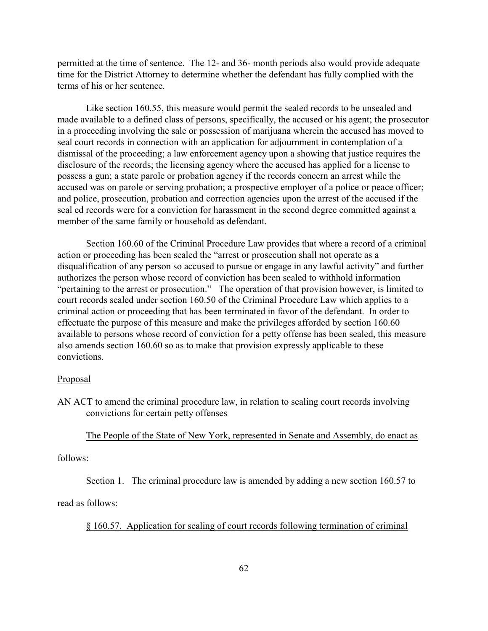permitted at the time of sentence. The 12- and 36- month periods also would provide adequate time for the District Attorney to determine whether the defendant has fully complied with the terms of his or her sentence.

Like section 160.55, this measure would permit the sealed records to be unsealed and made available to a defined class of persons, specifically, the accused or his agent; the prosecutor in a proceeding involving the sale or possession of marijuana wherein the accused has moved to seal court records in connection with an application for adjournment in contemplation of a dismissal of the proceeding; a law enforcement agency upon a showing that justice requires the disclosure of the records; the licensing agency where the accused has applied for a license to possess a gun; a state parole or probation agency if the records concern an arrest while the accused was on parole or serving probation; a prospective employer of a police or peace officer; and police, prosecution, probation and correction agencies upon the arrest of the accused if the seal ed records were for a conviction for harassment in the second degree committed against a member of the same family or household as defendant.

Section 160.60 of the Criminal Procedure Law provides that where a record of a criminal action or proceeding has been sealed the "arrest or prosecution shall not operate as a disqualification of any person so accused to pursue or engage in any lawful activity" and further authorizes the person whose record of conviction has been sealed to withhold information "pertaining to the arrest or prosecution." The operation of that provision however, is limited to court records sealed under section 160.50 of the Criminal Procedure Law which applies to a criminal action or proceeding that has been terminated in favor of the defendant. In order to effectuate the purpose of this measure and make the privileges afforded by section 160.60 available to persons whose record of conviction for a petty offense has been sealed, this measure also amends section 160.60 so as to make that provision expressly applicable to these convictions.

#### Proposal

AN ACT to amend the criminal procedure law, in relation to sealing court records involving convictions for certain petty offenses

# The People of the State of New York, represented in Senate and Assembly, do enact as

#### follows:

Section 1. The criminal procedure law is amended by adding a new section 160.57 to

read as follows:

# § 160.57. Application for sealing of court records following termination of criminal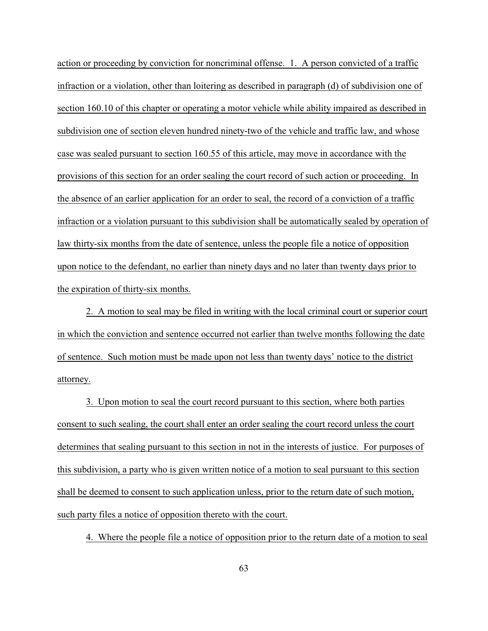action or proceeding by conviction for noncriminal offense. 1. A person convicted of a traffic infraction or a violation, other than loitering as described in paragraph (d) of subdivision one of section 160.10 of this chapter or operating a motor vehicle while ability impaired as described in subdivision one of section eleven hundred ninety-two of the vehicle and traffic law, and whose case was sealed pursuant to section 160.55 of this article, may move in accordance with the provisions of this section for an order sealing the court record of such action or proceeding. In the absence of an earlier application for an order to seal, the record of a conviction of a traffic infraction or a violation pursuant to this subdivision shall be automatically sealed by operation of law thirty-six months from the date of sentence, unless the people file a notice of opposition upon notice to the defendant, no earlier than ninety days and no later than twenty days prior to the expiration of thirty-six months.

2. A motion to seal may be filed in writing with the local criminal court or superior court in which the conviction and sentence occurred not earlier than twelve months following the date of sentence. Such motion must be made upon not less than twenty days' notice to the district attorney.

3. Upon motion to seal the court record pursuant to this section, where both parties consent to such sealing, the court shall enter an order sealing the court record unless the court determines that sealing pursuant to this section in not in the interests of justice. For purposes of this subdivision, a party who is given written notice of a motion to seal pursuant to this section shall be deemed to consent to such application unless, prior to the return date of such motion, such party files a notice of opposition thereto with the court.

4. Where the people file a notice of opposition prior to the return date of a motion to seal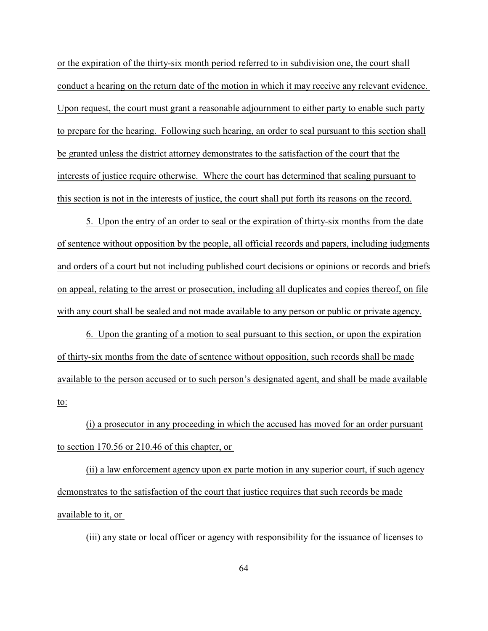or the expiration of the thirty-six month period referred to in subdivision one, the court shall conduct a hearing on the return date of the motion in which it may receive any relevant evidence. Upon request, the court must grant a reasonable adjournment to either party to enable such party to prepare for the hearing. Following such hearing, an order to seal pursuant to this section shall be granted unless the district attorney demonstrates to the satisfaction of the court that the interests of justice require otherwise. Where the court has determined that sealing pursuant to this section is not in the interests of justice, the court shall put forth its reasons on the record.

5. Upon the entry of an order to seal or the expiration of thirty-six months from the date of sentence without opposition by the people, all official records and papers, including judgments and orders of a court but not including published court decisions or opinions or records and briefs on appeal, relating to the arrest or prosecution, including all duplicates and copies thereof, on file with any court shall be sealed and not made available to any person or public or private agency.

6. Upon the granting of a motion to seal pursuant to this section, or upon the expiration of thirty-six months from the date of sentence without opposition, such records shall be made available to the person accused or to such person's designated agent, and shall be made available to:

(i) a prosecutor in any proceeding in which the accused has moved for an order pursuant to section 170.56 or 210.46 of this chapter, or

(ii) a law enforcement agency upon ex parte motion in any superior court, if such agency demonstrates to the satisfaction of the court that justice requires that such records be made available to it, or

(iii) any state or local officer or agency with responsibility for the issuance of licenses to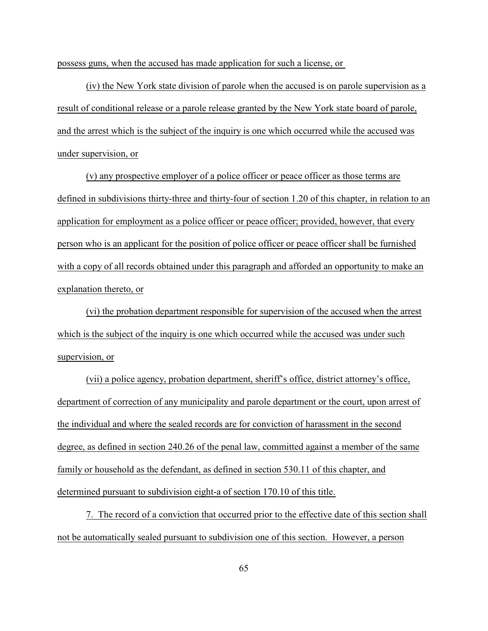possess guns, when the accused has made application for such a license, or

(iv) the New York state division of parole when the accused is on parole supervision as a result of conditional release or a parole release granted by the New York state board of parole, and the arrest which is the subject of the inquiry is one which occurred while the accused was under supervision, or

(v) any prospective employer of a police officer or peace officer as those terms are defined in subdivisions thirty-three and thirty-four of section 1.20 of this chapter, in relation to an application for employment as a police officer or peace officer; provided, however, that every person who is an applicant for the position of police officer or peace officer shall be furnished with a copy of all records obtained under this paragraph and afforded an opportunity to make an explanation thereto, or

(vi) the probation department responsible for supervision of the accused when the arrest which is the subject of the inquiry is one which occurred while the accused was under such supervision, or

(vii) a police agency, probation department, sheriff's office, district attorney's office, department of correction of any municipality and parole department or the court, upon arrest of the individual and where the sealed records are for conviction of harassment in the second degree, as defined in section 240.26 of the penal law, committed against a member of the same family or household as the defendant, as defined in section 530.11 of this chapter, and determined pursuant to subdivision eight-a of section 170.10 of this title.

7. The record of a conviction that occurred prior to the effective date of this section shall not be automatically sealed pursuant to subdivision one of this section. However, a person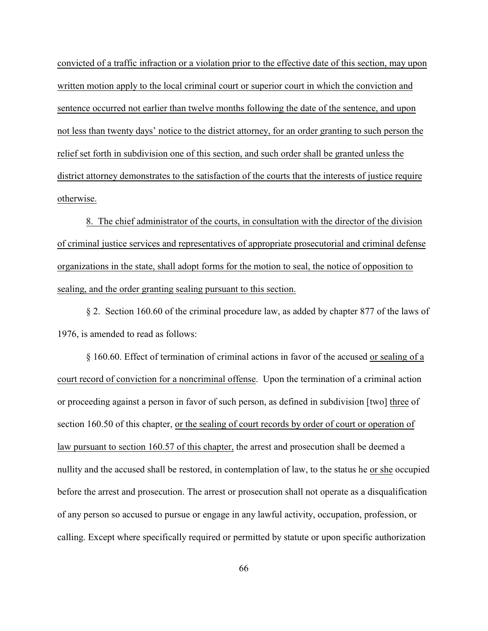convicted of a traffic infraction or a violation prior to the effective date of this section, may upon written motion apply to the local criminal court or superior court in which the conviction and sentence occurred not earlier than twelve months following the date of the sentence, and upon not less than twenty days' notice to the district attorney, for an order granting to such person the relief set forth in subdivision one of this section, and such order shall be granted unless the district attorney demonstrates to the satisfaction of the courts that the interests of justice require otherwise.

8. The chief administrator of the courts, in consultation with the director of the division of criminal justice services and representatives of appropriate prosecutorial and criminal defense organizations in the state, shall adopt forms for the motion to seal, the notice of opposition to sealing, and the order granting sealing pursuant to this section.

§ 2. Section 160.60 of the criminal procedure law, as added by chapter 877 of the laws of 1976, is amended to read as follows:

§ 160.60. Effect of termination of criminal actions in favor of the accused or sealing of a court record of conviction for a noncriminal offense. Upon the termination of a criminal action or proceeding against a person in favor of such person, as defined in subdivision [two] three of section 160.50 of this chapter, or the sealing of court records by order of court or operation of law pursuant to section 160.57 of this chapter, the arrest and prosecution shall be deemed a nullity and the accused shall be restored, in contemplation of law, to the status he or she occupied before the arrest and prosecution. The arrest or prosecution shall not operate as a disqualification of any person so accused to pursue or engage in any lawful activity, occupation, profession, or calling. Except where specifically required or permitted by statute or upon specific authorization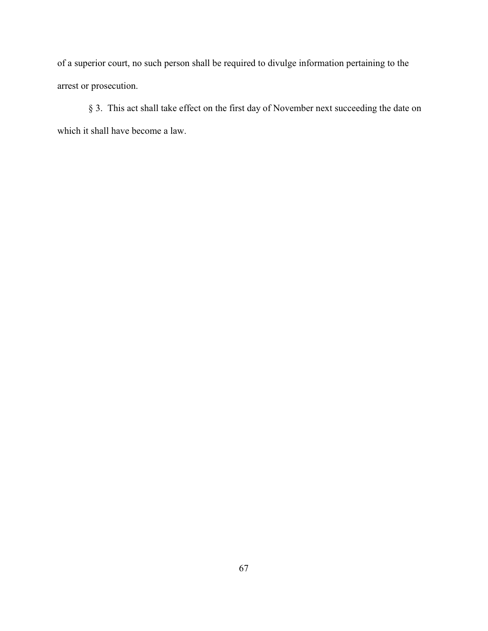of a superior court, no such person shall be required to divulge information pertaining to the arrest or prosecution.

 § 3. This act shall take effect on the first day of November next succeeding the date on which it shall have become a law.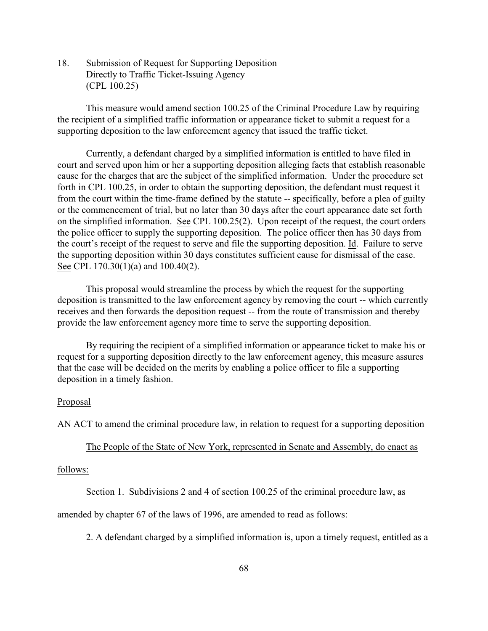18. Submission of Request for Supporting Deposition Directly to Traffic Ticket-Issuing Agency (CPL 100.25)

This measure would amend section 100.25 of the Criminal Procedure Law by requiring the recipient of a simplified traffic information or appearance ticket to submit a request for a supporting deposition to the law enforcement agency that issued the traffic ticket.

Currently, a defendant charged by a simplified information is entitled to have filed in court and served upon him or her a supporting deposition alleging facts that establish reasonable cause for the charges that are the subject of the simplified information. Under the procedure set forth in CPL 100.25, in order to obtain the supporting deposition, the defendant must request it from the court within the time-frame defined by the statute -- specifically, before a plea of guilty or the commencement of trial, but no later than 30 days after the court appearance date set forth on the simplified information. See CPL 100.25(2). Upon receipt of the request, the court orders the police officer to supply the supporting deposition. The police officer then has 30 days from the court's receipt of the request to serve and file the supporting deposition. Id. Failure to serve the supporting deposition within 30 days constitutes sufficient cause for dismissal of the case. See CPL 170.30(1)(a) and 100.40(2).

This proposal would streamline the process by which the request for the supporting deposition is transmitted to the law enforcement agency by removing the court -- which currently receives and then forwards the deposition request -- from the route of transmission and thereby provide the law enforcement agency more time to serve the supporting deposition.

By requiring the recipient of a simplified information or appearance ticket to make his or request for a supporting deposition directly to the law enforcement agency, this measure assures that the case will be decided on the merits by enabling a police officer to file a supporting deposition in a timely fashion.

### Proposal

AN ACT to amend the criminal procedure law, in relation to request for a supporting deposition

# The People of the State of New York, represented in Senate and Assembly, do enact as

# follows:

Section 1. Subdivisions 2 and 4 of section 100.25 of the criminal procedure law, as

amended by chapter 67 of the laws of 1996, are amended to read as follows:

2. A defendant charged by a simplified information is, upon a timely request, entitled as a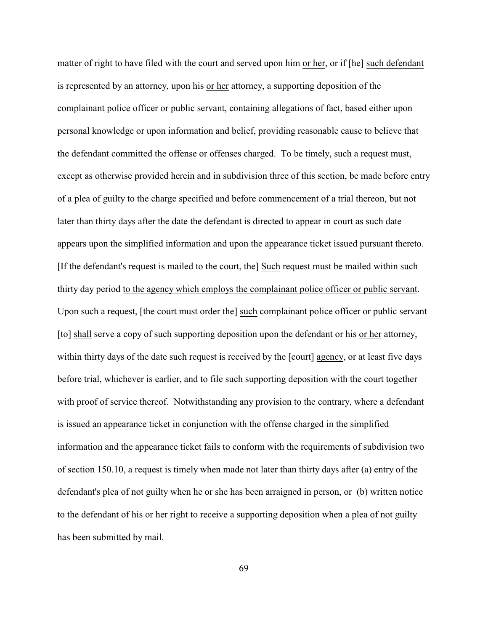matter of right to have filed with the court and served upon him or her, or if [he] such defendant is represented by an attorney, upon his or her attorney, a supporting deposition of the complainant police officer or public servant, containing allegations of fact, based either upon personal knowledge or upon information and belief, providing reasonable cause to believe that the defendant committed the offense or offenses charged. To be timely, such a request must, except as otherwise provided herein and in subdivision three of this section, be made before entry of a plea of guilty to the charge specified and before commencement of a trial thereon, but not later than thirty days after the date the defendant is directed to appear in court as such date appears upon the simplified information and upon the appearance ticket issued pursuant thereto. [If the defendant's request is mailed to the court, the] Such request must be mailed within such thirty day period to the agency which employs the complainant police officer or public servant. Upon such a request, [the court must order the] such complainant police officer or public servant [to] shall serve a copy of such supporting deposition upon the defendant or his or her attorney, within thirty days of the date such request is received by the [court] agency, or at least five days before trial, whichever is earlier, and to file such supporting deposition with the court together with proof of service thereof. Notwithstanding any provision to the contrary, where a defendant is issued an appearance ticket in conjunction with the offense charged in the simplified information and the appearance ticket fails to conform with the requirements of subdivision two of section 150.10, a request is timely when made not later than thirty days after (a) entry of the defendant's plea of not guilty when he or she has been arraigned in person, or (b) written notice to the defendant of his or her right to receive a supporting deposition when a plea of not guilty has been submitted by mail.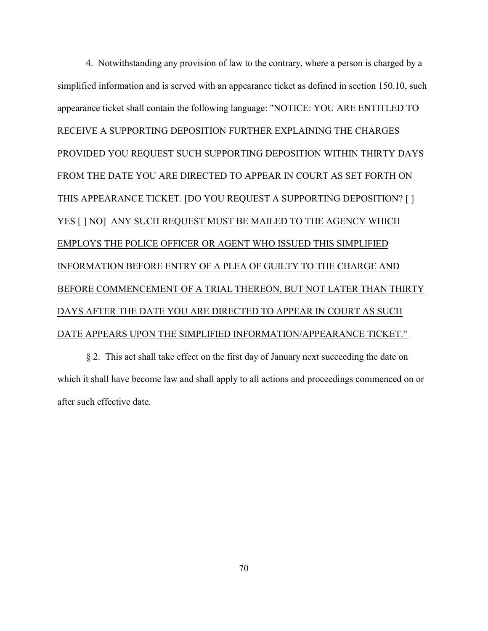4. Notwithstanding any provision of law to the contrary, where a person is charged by a simplified information and is served with an appearance ticket as defined in section 150.10, such appearance ticket shall contain the following language: "NOTICE: YOU ARE ENTITLED TO RECEIVE A SUPPORTING DEPOSITION FURTHER EXPLAINING THE CHARGES PROVIDED YOU REQUEST SUCH SUPPORTING DEPOSITION WITHIN THIRTY DAYS FROM THE DATE YOU ARE DIRECTED TO APPEAR IN COURT AS SET FORTH ON THIS APPEARANCE TICKET. [DO YOU REQUEST A SUPPORTING DEPOSITION? [ ] YES [ ] NO] ANY SUCH REQUEST MUST BE MAILED TO THE AGENCY WHICH EMPLOYS THE POLICE OFFICER OR AGENT WHO ISSUED THIS SIMPLIFIED INFORMATION BEFORE ENTRY OF A PLEA OF GUILTY TO THE CHARGE AND BEFORE COMMENCEMENT OF A TRIAL THEREON, BUT NOT LATER THAN THIRTY DAYS AFTER THE DATE YOU ARE DIRECTED TO APPEAR IN COURT AS SUCH DATE APPEARS UPON THE SIMPLIFIED INFORMATION/APPEARANCE TICKET."

§ 2. This act shall take effect on the first day of January next succeeding the date on which it shall have become law and shall apply to all actions and proceedings commenced on or after such effective date.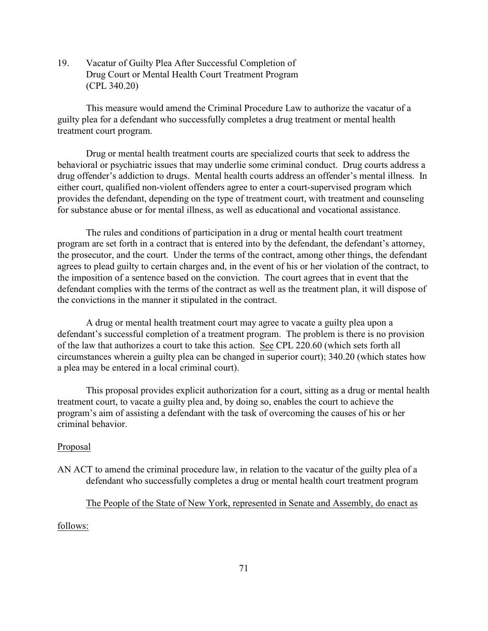19. Vacatur of Guilty Plea After Successful Completion of Drug Court or Mental Health Court Treatment Program (CPL 340.20)

This measure would amend the Criminal Procedure Law to authorize the vacatur of a guilty plea for a defendant who successfully completes a drug treatment or mental health treatment court program.

Drug or mental health treatment courts are specialized courts that seek to address the behavioral or psychiatric issues that may underlie some criminal conduct. Drug courts address a drug offender's addiction to drugs. Mental health courts address an offender's mental illness. In either court, qualified non-violent offenders agree to enter a court-supervised program which provides the defendant, depending on the type of treatment court, with treatment and counseling for substance abuse or for mental illness, as well as educational and vocational assistance.

The rules and conditions of participation in a drug or mental health court treatment program are set forth in a contract that is entered into by the defendant, the defendant's attorney, the prosecutor, and the court. Under the terms of the contract, among other things, the defendant agrees to plead guilty to certain charges and, in the event of his or her violation of the contract, to the imposition of a sentence based on the conviction. The court agrees that in event that the defendant complies with the terms of the contract as well as the treatment plan, it will dispose of the convictions in the manner it stipulated in the contract.

A drug or mental health treatment court may agree to vacate a guilty plea upon a defendant's successful completion of a treatment program. The problem is there is no provision of the law that authorizes a court to take this action. See CPL 220.60 (which sets forth all circumstances wherein a guilty plea can be changed in superior court); 340.20 (which states how a plea may be entered in a local criminal court).

This proposal provides explicit authorization for a court, sitting as a drug or mental health treatment court, to vacate a guilty plea and, by doing so, enables the court to achieve the program's aim of assisting a defendant with the task of overcoming the causes of his or her criminal behavior.

# Proposal

AN ACT to amend the criminal procedure law, in relation to the vacatur of the guilty plea of a defendant who successfully completes a drug or mental health court treatment program

# The People of the State of New York, represented in Senate and Assembly, do enact as

# follows: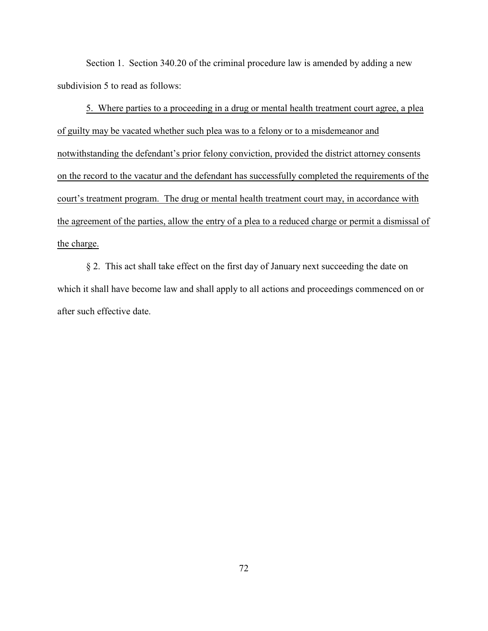Section 1. Section 340.20 of the criminal procedure law is amended by adding a new subdivision 5 to read as follows:

5. Where parties to a proceeding in a drug or mental health treatment court agree, a plea of guilty may be vacated whether such plea was to a felony or to a misdemeanor and notwithstanding the defendant's prior felony conviction, provided the district attorney consents on the record to the vacatur and the defendant has successfully completed the requirements of the court's treatment program. The drug or mental health treatment court may, in accordance with the agreement of the parties, allow the entry of a plea to a reduced charge or permit a dismissal of the charge.

§ 2. This act shall take effect on the first day of January next succeeding the date on which it shall have become law and shall apply to all actions and proceedings commenced on or after such effective date.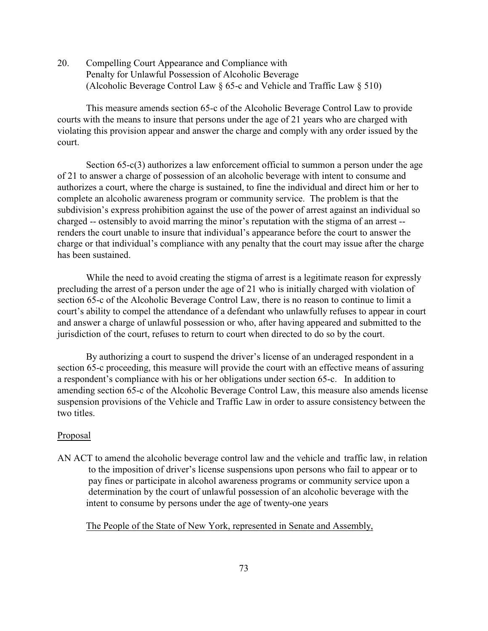20. Compelling Court Appearance and Compliance with Penalty for Unlawful Possession of Alcoholic Beverage (Alcoholic Beverage Control Law § 65-c and Vehicle and Traffic Law § 510)

This measure amends section 65-c of the Alcoholic Beverage Control Law to provide courts with the means to insure that persons under the age of 21 years who are charged with violating this provision appear and answer the charge and comply with any order issued by the court.

Section 65-c(3) authorizes a law enforcement official to summon a person under the age of 21 to answer a charge of possession of an alcoholic beverage with intent to consume and authorizes a court, where the charge is sustained, to fine the individual and direct him or her to complete an alcoholic awareness program or community service. The problem is that the subdivision's express prohibition against the use of the power of arrest against an individual so charged -- ostensibly to avoid marring the minor's reputation with the stigma of an arrest - renders the court unable to insure that individual's appearance before the court to answer the charge or that individual's compliance with any penalty that the court may issue after the charge has been sustained.

While the need to avoid creating the stigma of arrest is a legitimate reason for expressly precluding the arrest of a person under the age of 21 who is initially charged with violation of section 65-c of the Alcoholic Beverage Control Law, there is no reason to continue to limit a court's ability to compel the attendance of a defendant who unlawfully refuses to appear in court and answer a charge of unlawful possession or who, after having appeared and submitted to the jurisdiction of the court, refuses to return to court when directed to do so by the court.

By authorizing a court to suspend the driver's license of an underaged respondent in a section 65-c proceeding, this measure will provide the court with an effective means of assuring a respondent's compliance with his or her obligations under section 65-c. In addition to amending section 65-c of the Alcoholic Beverage Control Law, this measure also amends license suspension provisions of the Vehicle and Traffic Law in order to assure consistency between the two titles.

# Proposal

AN ACT to amend the alcoholic beverage control law and the vehicle and traffic law, in relation to the imposition of driver's license suspensions upon persons who fail to appear or to pay fines or participate in alcohol awareness programs or community service upon a determination by the court of unlawful possession of an alcoholic beverage with the intent to consume by persons under the age of twenty-one years

# The People of the State of New York, represented in Senate and Assembly,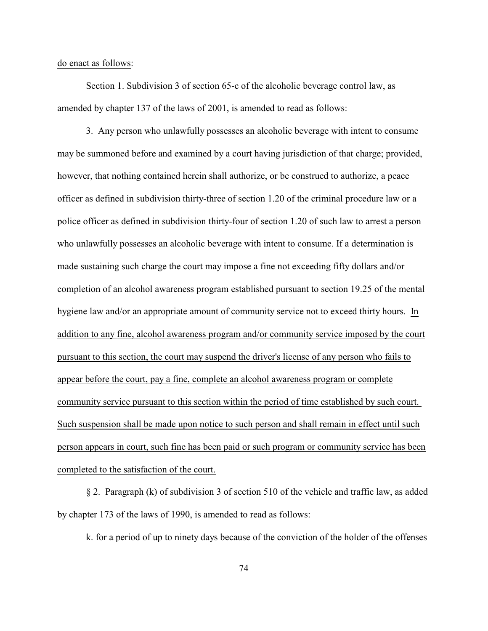# do enact as follows:

Section 1. Subdivision 3 of section 65-c of the alcoholic beverage control law, as amended by chapter 137 of the laws of 2001, is amended to read as follows:

3. Any person who unlawfully possesses an alcoholic beverage with intent to consume may be summoned before and examined by a court having jurisdiction of that charge; provided, however, that nothing contained herein shall authorize, or be construed to authorize, a peace officer as defined in subdivision thirty-three of section 1.20 of the criminal procedure law or a police officer as defined in subdivision thirty-four of section 1.20 of such law to arrest a person who unlawfully possesses an alcoholic beverage with intent to consume. If a determination is made sustaining such charge the court may impose a fine not exceeding fifty dollars and/or completion of an alcohol awareness program established pursuant to section 19.25 of the mental hygiene law and/or an appropriate amount of community service not to exceed thirty hours. In addition to any fine, alcohol awareness program and/or community service imposed by the court pursuant to this section, the court may suspend the driver's license of any person who fails to appear before the court, pay a fine, complete an alcohol awareness program or complete community service pursuant to this section within the period of time established by such court. Such suspension shall be made upon notice to such person and shall remain in effect until such person appears in court, such fine has been paid or such program or community service has been completed to the satisfaction of the court.

§ 2. Paragraph (k) of subdivision 3 of section 510 of the vehicle and traffic law, as added by chapter 173 of the laws of 1990, is amended to read as follows:

k. for a period of up to ninety days because of the conviction of the holder of the offenses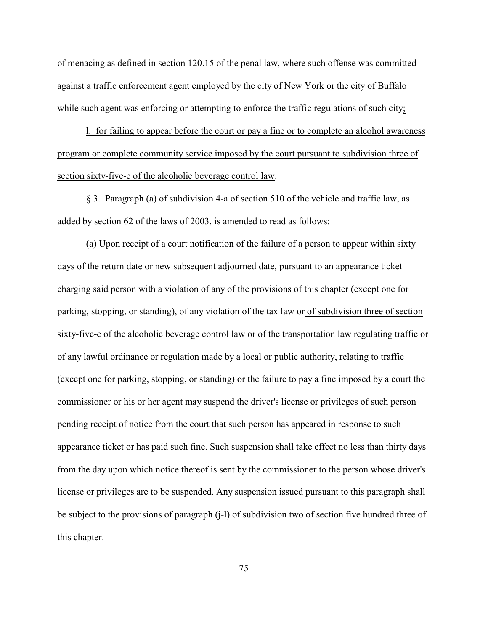of menacing as defined in section 120.15 of the penal law, where such offense was committed against a traffic enforcement agent employed by the city of New York or the city of Buffalo while such agent was enforcing or attempting to enforce the traffic regulations of such city;

l. for failing to appear before the court or pay a fine or to complete an alcohol awareness program or complete community service imposed by the court pursuant to subdivision three of section sixty-five-c of the alcoholic beverage control law.

§ 3. Paragraph (a) of subdivision 4-a of section 510 of the vehicle and traffic law, as added by section 62 of the laws of 2003, is amended to read as follows:

(a) Upon receipt of a court notification of the failure of a person to appear within sixty days of the return date or new subsequent adjourned date, pursuant to an appearance ticket charging said person with a violation of any of the provisions of this chapter (except one for parking, stopping, or standing), of any violation of the tax law or of subdivision three of section sixty-five-c of the alcoholic beverage control law or of the transportation law regulating traffic or of any lawful ordinance or regulation made by a local or public authority, relating to traffic (except one for parking, stopping, or standing) or the failure to pay a fine imposed by a court the commissioner or his or her agent may suspend the driver's license or privileges of such person pending receipt of notice from the court that such person has appeared in response to such appearance ticket or has paid such fine. Such suspension shall take effect no less than thirty days from the day upon which notice thereof is sent by the commissioner to the person whose driver's license or privileges are to be suspended. Any suspension issued pursuant to this paragraph shall be subject to the provisions of paragraph (j-l) of subdivision two of section five hundred three of this chapter.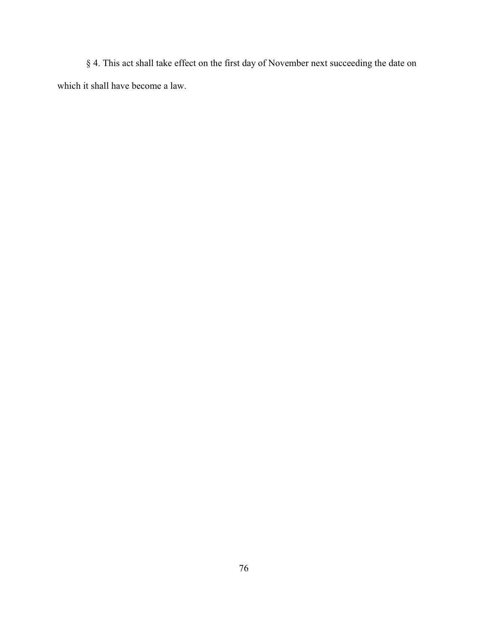§ 4. This act shall take effect on the first day of November next succeeding the date on which it shall have become a law.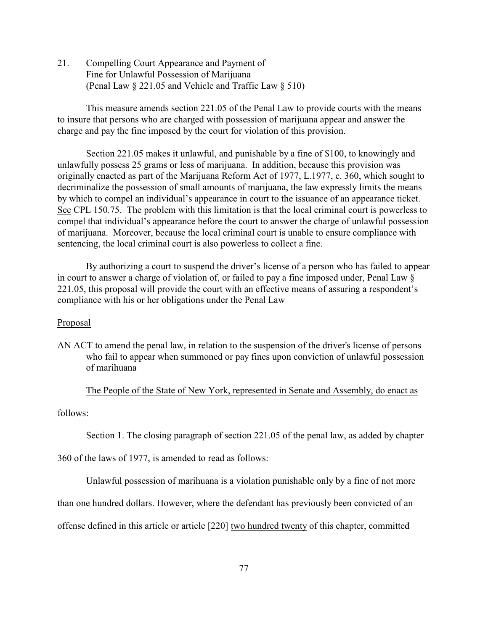21. Compelling Court Appearance and Payment of Fine for Unlawful Possession of Marijuana (Penal Law § 221.05 and Vehicle and Traffic Law § 510)

This measure amends section 221.05 of the Penal Law to provide courts with the means to insure that persons who are charged with possession of marijuana appear and answer the charge and pay the fine imposed by the court for violation of this provision.

Section 221.05 makes it unlawful, and punishable by a fine of \$100, to knowingly and unlawfully possess 25 grams or less of marijuana. In addition, because this provision was originally enacted as part of the Marijuana Reform Act of 1977, L.1977, c. 360, which sought to decriminalize the possession of small amounts of marijuana, the law expressly limits the means by which to compel an individual's appearance in court to the issuance of an appearance ticket. See CPL 150.75. The problem with this limitation is that the local criminal court is powerless to compel that individual's appearance before the court to answer the charge of unlawful possession of marijuana. Moreover, because the local criminal court is unable to ensure compliance with sentencing, the local criminal court is also powerless to collect a fine.

By authorizing a court to suspend the driver's license of a person who has failed to appear in court to answer a charge of violation of, or failed to pay a fine imposed under, Penal Law § 221.05, this proposal will provide the court with an effective means of assuring a respondent's compliance with his or her obligations under the Penal Law

# Proposal

AN ACT to amend the penal law, in relation to the suspension of the driver's license of persons who fail to appear when summoned or pay fines upon conviction of unlawful possession of marihuana

The People of the State of New York, represented in Senate and Assembly, do enact as

## follows:

Section 1. The closing paragraph of section 221.05 of the penal law, as added by chapter

360 of the laws of 1977, is amended to read as follows:

Unlawful possession of marihuana is a violation punishable only by a fine of not more

than one hundred dollars. However, where the defendant has previously been convicted of an

offense defined in this article or article [220] two hundred twenty of this chapter, committed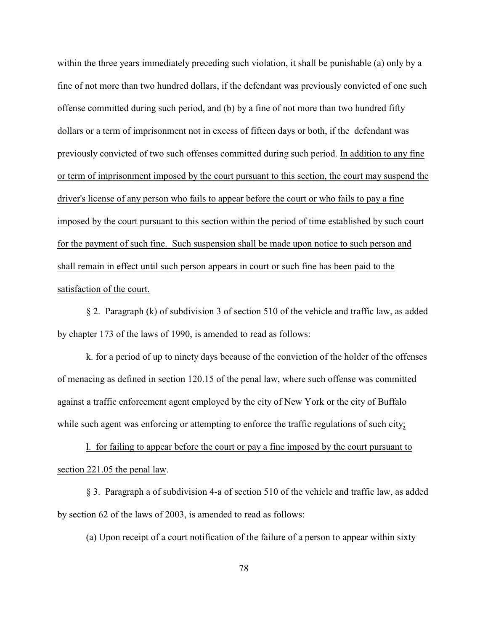within the three years immediately preceding such violation, it shall be punishable (a) only by a fine of not more than two hundred dollars, if the defendant was previously convicted of one such offense committed during such period, and (b) by a fine of not more than two hundred fifty dollars or a term of imprisonment not in excess of fifteen days or both, if the defendant was previously convicted of two such offenses committed during such period. In addition to any fine or term of imprisonment imposed by the court pursuant to this section, the court may suspend the driver's license of any person who fails to appear before the court or who fails to pay a fine imposed by the court pursuant to this section within the period of time established by such court for the payment of such fine. Such suspension shall be made upon notice to such person and shall remain in effect until such person appears in court or such fine has been paid to the satisfaction of the court.

§ 2. Paragraph (k) of subdivision 3 of section 510 of the vehicle and traffic law, as added by chapter 173 of the laws of 1990, is amended to read as follows:

k. for a period of up to ninety days because of the conviction of the holder of the offenses of menacing as defined in section 120.15 of the penal law, where such offense was committed against a traffic enforcement agent employed by the city of New York or the city of Buffalo while such agent was enforcing or attempting to enforce the traffic regulations of such city;

l. for failing to appear before the court or pay a fine imposed by the court pursuant to section 221.05 the penal law.

§ 3. Paragraph a of subdivision 4-a of section 510 of the vehicle and traffic law, as added by section 62 of the laws of 2003, is amended to read as follows:

(a) Upon receipt of a court notification of the failure of a person to appear within sixty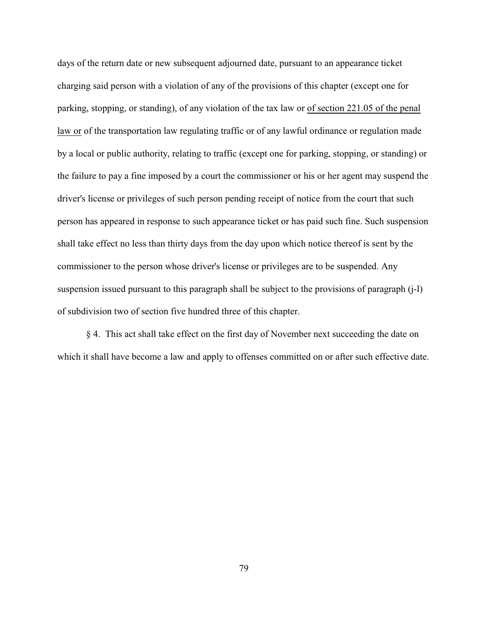days of the return date or new subsequent adjourned date, pursuant to an appearance ticket charging said person with a violation of any of the provisions of this chapter (except one for parking, stopping, or standing), of any violation of the tax law or of section 221.05 of the penal law or of the transportation law regulating traffic or of any lawful ordinance or regulation made by a local or public authority, relating to traffic (except one for parking, stopping, or standing) or the failure to pay a fine imposed by a court the commissioner or his or her agent may suspend the driver's license or privileges of such person pending receipt of notice from the court that such person has appeared in response to such appearance ticket or has paid such fine. Such suspension shall take effect no less than thirty days from the day upon which notice thereof is sent by the commissioner to the person whose driver's license or privileges are to be suspended. Any suspension issued pursuant to this paragraph shall be subject to the provisions of paragraph (j-l) of subdivision two of section five hundred three of this chapter.

§ 4. This act shall take effect on the first day of November next succeeding the date on which it shall have become a law and apply to offenses committed on or after such effective date.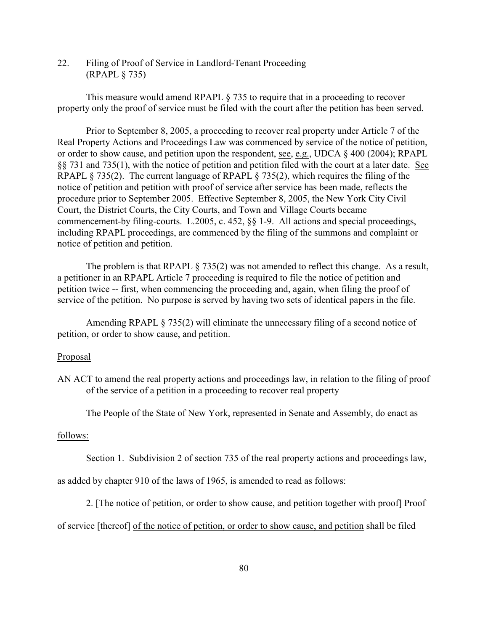22. Filing of Proof of Service in Landlord-Tenant Proceeding (RPAPL § 735)

This measure would amend RPAPL § 735 to require that in a proceeding to recover property only the proof of service must be filed with the court after the petition has been served.

Prior to September 8, 2005, a proceeding to recover real property under Article 7 of the Real Property Actions and Proceedings Law was commenced by service of the notice of petition, or order to show cause, and petition upon the respondent, see, e.g., UDCA § 400 (2004); RPAPL §§ 731 and 735(1), with the notice of petition and petition filed with the court at a later date. See RPAPL § 735(2). The current language of RPAPL § 735(2), which requires the filing of the notice of petition and petition with proof of service after service has been made, reflects the procedure prior to September 2005. Effective September 8, 2005, the New York City Civil Court, the District Courts, the City Courts, and Town and Village Courts became commencement-by filing-courts. L.2005, c. 452, §§ 1-9. All actions and special proceedings, including RPAPL proceedings, are commenced by the filing of the summons and complaint or notice of petition and petition.

The problem is that RPAPL § 735(2) was not amended to reflect this change. As a result, a petitioner in an RPAPL Article 7 proceeding is required to file the notice of petition and petition twice -- first, when commencing the proceeding and, again, when filing the proof of service of the petition. No purpose is served by having two sets of identical papers in the file.

Amending RPAPL § 735(2) will eliminate the unnecessary filing of a second notice of petition, or order to show cause, and petition.

# Proposal

AN ACT to amend the real property actions and proceedings law, in relation to the filing of proof of the service of a petition in a proceeding to recover real property

## The People of the State of New York, represented in Senate and Assembly, do enact as

# follows:

Section 1. Subdivision 2 of section 735 of the real property actions and proceedings law,

as added by chapter 910 of the laws of 1965, is amended to read as follows:

2. [The notice of petition, or order to show cause, and petition together with proof] Proof

of service [thereof] of the notice of petition, or order to show cause, and petition shall be filed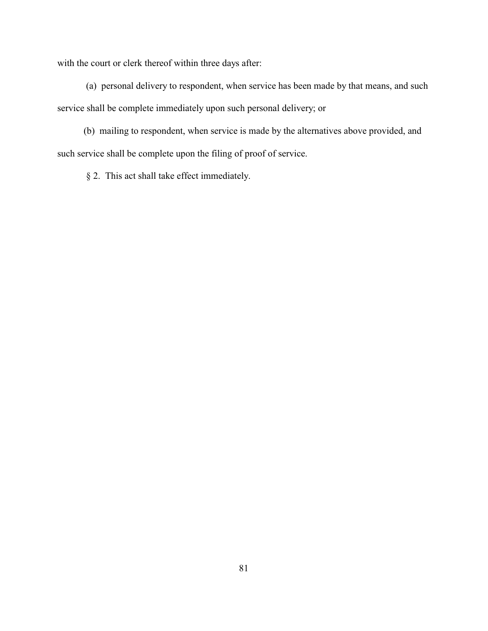with the court or clerk thereof within three days after:

 (a) personal delivery to respondent, when service has been made by that means, and such service shall be complete immediately upon such personal delivery; or

 (b) mailing to respondent, when service is made by the alternatives above provided, and such service shall be complete upon the filing of proof of service.

§ 2. This act shall take effect immediately.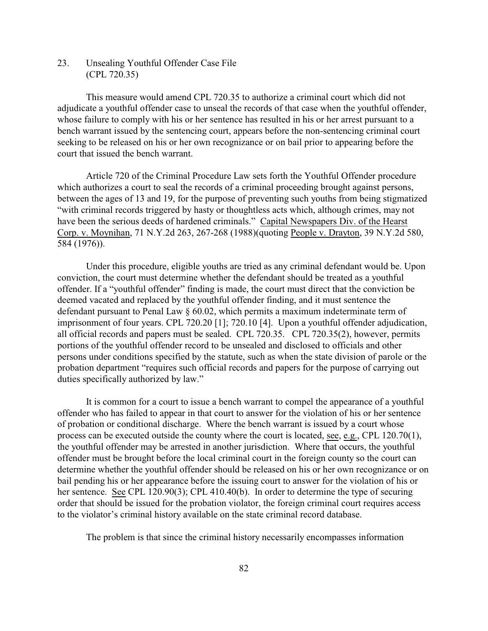23. Unsealing Youthful Offender Case File (CPL 720.35)

This measure would amend CPL 720.35 to authorize a criminal court which did not adjudicate a youthful offender case to unseal the records of that case when the youthful offender, whose failure to comply with his or her sentence has resulted in his or her arrest pursuant to a bench warrant issued by the sentencing court, appears before the non-sentencing criminal court seeking to be released on his or her own recognizance or on bail prior to appearing before the court that issued the bench warrant.

Article 720 of the Criminal Procedure Law sets forth the Youthful Offender procedure which authorizes a court to seal the records of a criminal proceeding brought against persons, between the ages of 13 and 19, for the purpose of preventing such youths from being stigmatized "with criminal records triggered by hasty or thoughtless acts which, although crimes, may not have been the serious deeds of hardened criminals." Capital Newspapers Div. of the Hearst Corp. v. Moynihan, 71 N.Y.2d 263, 267-268 (1988)(quoting People v. Drayton, 39 N.Y.2d 580, 584 (1976)).

Under this procedure, eligible youths are tried as any criminal defendant would be. Upon conviction, the court must determine whether the defendant should be treated as a youthful offender. If a "youthful offender" finding is made, the court must direct that the conviction be deemed vacated and replaced by the youthful offender finding, and it must sentence the defendant pursuant to Penal Law § 60.02, which permits a maximum indeterminate term of imprisonment of four years. CPL 720.20 [1]; 720.10 [4]. Upon a youthful offender adjudication, all official records and papers must be sealed. CPL 720.35. CPL 720.35(2), however, permits portions of the youthful offender record to be unsealed and disclosed to officials and other persons under conditions specified by the statute, such as when the state division of parole or the probation department "requires such official records and papers for the purpose of carrying out duties specifically authorized by law."

It is common for a court to issue a bench warrant to compel the appearance of a youthful offender who has failed to appear in that court to answer for the violation of his or her sentence of probation or conditional discharge. Where the bench warrant is issued by a court whose process can be executed outside the county where the court is located, see, e.g., CPL 120.70(1), the youthful offender may be arrested in another jurisdiction. Where that occurs, the youthful offender must be brought before the local criminal court in the foreign county so the court can determine whether the youthful offender should be released on his or her own recognizance or on bail pending his or her appearance before the issuing court to answer for the violation of his or her sentence. See CPL 120.90(3); CPL 410.40(b). In order to determine the type of securing order that should be issued for the probation violator, the foreign criminal court requires access to the violator's criminal history available on the state criminal record database.

The problem is that since the criminal history necessarily encompasses information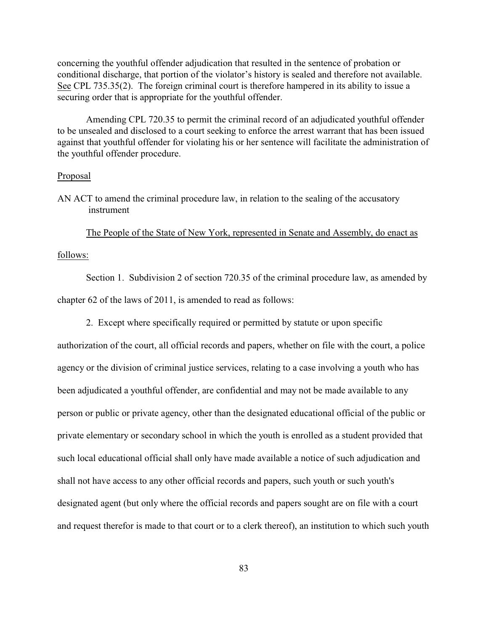concerning the youthful offender adjudication that resulted in the sentence of probation or conditional discharge, that portion of the violator's history is sealed and therefore not available. See CPL 735.35(2). The foreign criminal court is therefore hampered in its ability to issue a securing order that is appropriate for the youthful offender.

Amending CPL 720.35 to permit the criminal record of an adjudicated youthful offender to be unsealed and disclosed to a court seeking to enforce the arrest warrant that has been issued against that youthful offender for violating his or her sentence will facilitate the administration of the youthful offender procedure.

### Proposal

AN ACT to amend the criminal procedure law, in relation to the sealing of the accusatory instrument

The People of the State of New York, represented in Senate and Assembly, do enact as follows:

Section 1. Subdivision 2 of section 720.35 of the criminal procedure law, as amended by chapter 62 of the laws of 2011, is amended to read as follows:

2. Except where specifically required or permitted by statute or upon specific

authorization of the court, all official records and papers, whether on file with the court, a police agency or the division of criminal justice services, relating to a case involving a youth who has been adjudicated a youthful offender, are confidential and may not be made available to any person or public or private agency, other than the designated educational official of the public or private elementary or secondary school in which the youth is enrolled as a student provided that such local educational official shall only have made available a notice of such adjudication and shall not have access to any other official records and papers, such youth or such youth's designated agent (but only where the official records and papers sought are on file with a court and request therefor is made to that court or to a clerk thereof), an institution to which such youth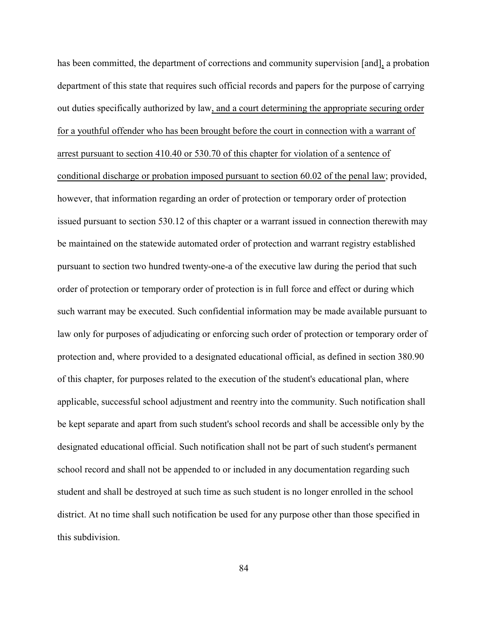has been committed, the department of corrections and community supervision [and], a probation department of this state that requires such official records and papers for the purpose of carrying out duties specifically authorized by law, and a court determining the appropriate securing order for a youthful offender who has been brought before the court in connection with a warrant of arrest pursuant to section 410.40 or 530.70 of this chapter for violation of a sentence of conditional discharge or probation imposed pursuant to section 60.02 of the penal law; provided, however, that information regarding an order of protection or temporary order of protection issued pursuant to section 530.12 of this chapter or a warrant issued in connection therewith may be maintained on the statewide automated order of protection and warrant registry established pursuant to section two hundred twenty-one-a of the executive law during the period that such order of protection or temporary order of protection is in full force and effect or during which such warrant may be executed. Such confidential information may be made available pursuant to law only for purposes of adjudicating or enforcing such order of protection or temporary order of protection and, where provided to a designated educational official, as defined in section 380.90 of this chapter, for purposes related to the execution of the student's educational plan, where applicable, successful school adjustment and reentry into the community. Such notification shall be kept separate and apart from such student's school records and shall be accessible only by the designated educational official. Such notification shall not be part of such student's permanent school record and shall not be appended to or included in any documentation regarding such student and shall be destroyed at such time as such student is no longer enrolled in the school district. At no time shall such notification be used for any purpose other than those specified in this subdivision.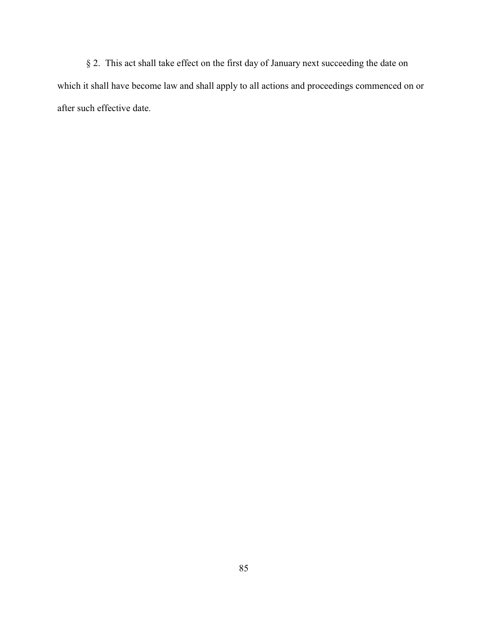§ 2. This act shall take effect on the first day of January next succeeding the date on which it shall have become law and shall apply to all actions and proceedings commenced on or after such effective date.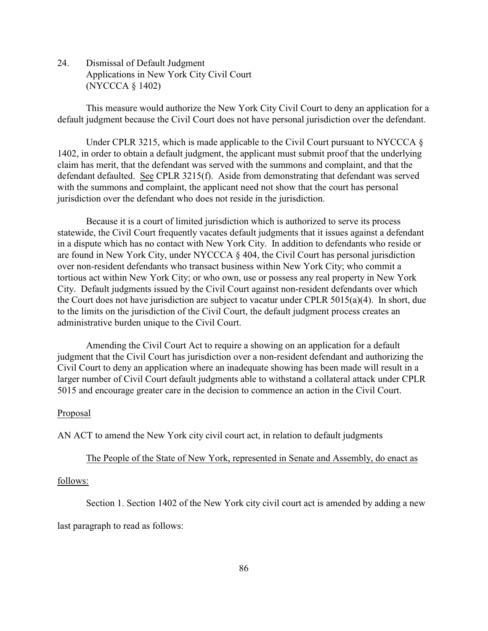24. Dismissal of Default Judgment Applications in New York City Civil Court (NYCCCA § 1402)

This measure would authorize the New York City Civil Court to deny an application for a default judgment because the Civil Court does not have personal jurisdiction over the defendant.

Under CPLR 3215, which is made applicable to the Civil Court pursuant to NYCCCA § 1402, in order to obtain a default judgment, the applicant must submit proof that the underlying claim has merit, that the defendant was served with the summons and complaint, and that the defendant defaulted. See CPLR 3215(f). Aside from demonstrating that defendant was served with the summons and complaint, the applicant need not show that the court has personal jurisdiction over the defendant who does not reside in the jurisdiction.

Because it is a court of limited jurisdiction which is authorized to serve its process statewide, the Civil Court frequently vacates default judgments that it issues against a defendant in a dispute which has no contact with New York City. In addition to defendants who reside or are found in New York City, under NYCCCA § 404, the Civil Court has personal jurisdiction over non-resident defendants who transact business within New York City; who commit a tortious act within New York City; or who own, use or possess any real property in New York City. Default judgments issued by the Civil Court against non-resident defendants over which the Court does not have jurisdiction are subject to vacatur under CPLR 5015(a)(4). In short, due to the limits on the jurisdiction of the Civil Court, the default judgment process creates an administrative burden unique to the Civil Court.

Amending the Civil Court Act to require a showing on an application for a default judgment that the Civil Court has jurisdiction over a non-resident defendant and authorizing the Civil Court to deny an application where an inadequate showing has been made will result in a larger number of Civil Court default judgments able to withstand a collateral attack under CPLR 5015 and encourage greater care in the decision to commence an action in the Civil Court.

## Proposal

AN ACT to amend the New York city civil court act, in relation to default judgments

# The People of the State of New York, represented in Senate and Assembly, do enact as

### follows:

Section 1. Section 1402 of the New York city civil court act is amended by adding a new

last paragraph to read as follows: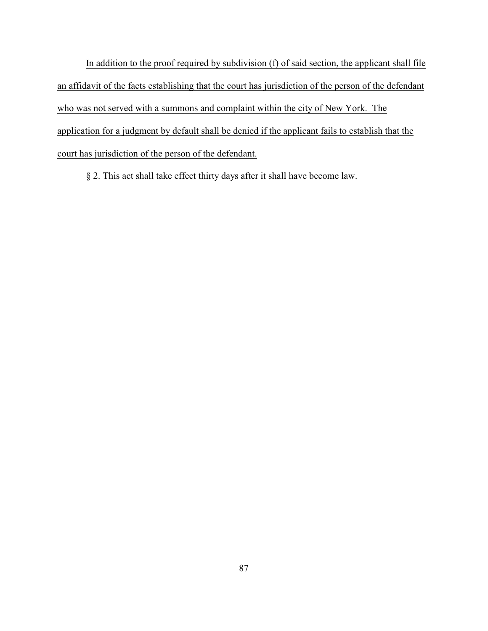In addition to the proof required by subdivision (f) of said section, the applicant shall file an affidavit of the facts establishing that the court has jurisdiction of the person of the defendant who was not served with a summons and complaint within the city of New York. The application for a judgment by default shall be denied if the applicant fails to establish that the court has jurisdiction of the person of the defendant.

§ 2. This act shall take effect thirty days after it shall have become law.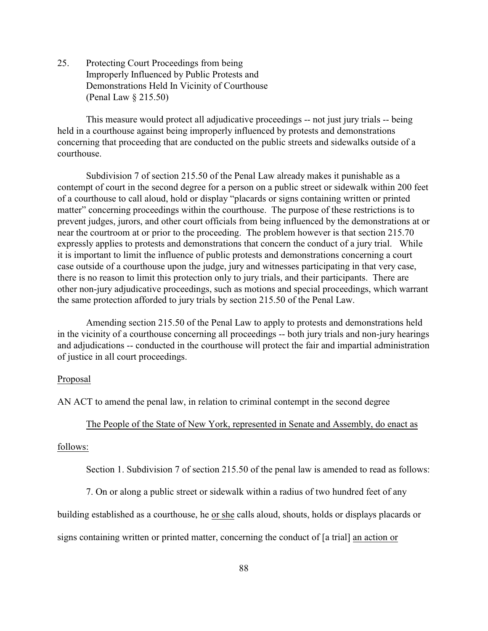25. Protecting Court Proceedings from being Improperly Influenced by Public Protests and Demonstrations Held In Vicinity of Courthouse (Penal Law § 215.50)

This measure would protect all adjudicative proceedings -- not just jury trials -- being held in a courthouse against being improperly influenced by protests and demonstrations concerning that proceeding that are conducted on the public streets and sidewalks outside of a courthouse.

Subdivision 7 of section 215.50 of the Penal Law already makes it punishable as a contempt of court in the second degree for a person on a public street or sidewalk within 200 feet of a courthouse to call aloud, hold or display "placards or signs containing written or printed matter" concerning proceedings within the courthouse. The purpose of these restrictions is to prevent judges, jurors, and other court officials from being influenced by the demonstrations at or near the courtroom at or prior to the proceeding. The problem however is that section 215.70 expressly applies to protests and demonstrations that concern the conduct of a jury trial. While it is important to limit the influence of public protests and demonstrations concerning a court case outside of a courthouse upon the judge, jury and witnesses participating in that very case, there is no reason to limit this protection only to jury trials, and their participants. There are other non-jury adjudicative proceedings, such as motions and special proceedings, which warrant the same protection afforded to jury trials by section 215.50 of the Penal Law.

Amending section 215.50 of the Penal Law to apply to protests and demonstrations held in the vicinity of a courthouse concerning all proceedings -- both jury trials and non-jury hearings and adjudications -- conducted in the courthouse will protect the fair and impartial administration of justice in all court proceedings.

# Proposal

AN ACT to amend the penal law, in relation to criminal contempt in the second degree

### The People of the State of New York, represented in Senate and Assembly, do enact as

### follows:

Section 1. Subdivision 7 of section 215.50 of the penal law is amended to read as follows:

7. On or along a public street or sidewalk within a radius of two hundred feet of any

building established as a courthouse, he or she calls aloud, shouts, holds or displays placards or

signs containing written or printed matter, concerning the conduct of [a trial] an action or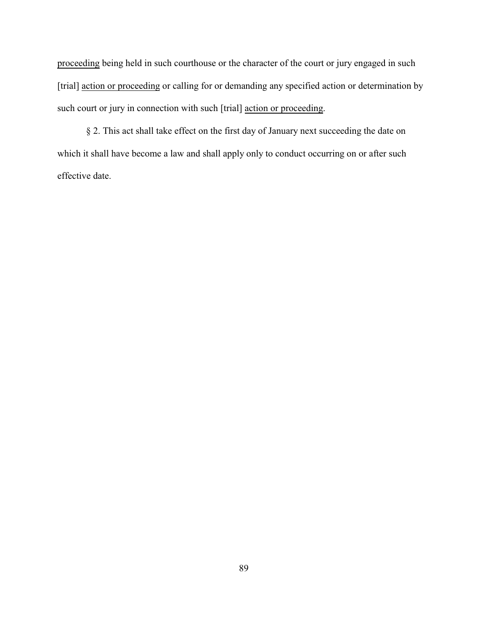proceeding being held in such courthouse or the character of the court or jury engaged in such [trial] action or proceeding or calling for or demanding any specified action or determination by such court or jury in connection with such [trial] action or proceeding.

§ 2. This act shall take effect on the first day of January next succeeding the date on which it shall have become a law and shall apply only to conduct occurring on or after such effective date.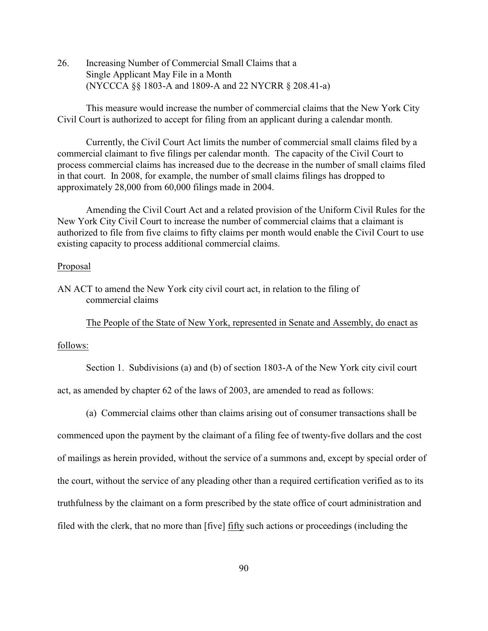26. Increasing Number of Commercial Small Claims that a Single Applicant May File in a Month (NYCCCA §§ 1803-A and 1809-A and 22 NYCRR § 208.41-a)

This measure would increase the number of commercial claims that the New York City Civil Court is authorized to accept for filing from an applicant during a calendar month.

Currently, the Civil Court Act limits the number of commercial small claims filed by a commercial claimant to five filings per calendar month. The capacity of the Civil Court to process commercial claims has increased due to the decrease in the number of small claims filed in that court. In 2008, for example, the number of small claims filings has dropped to approximately 28,000 from 60,000 filings made in 2004.

Amending the Civil Court Act and a related provision of the Uniform Civil Rules for the New York City Civil Court to increase the number of commercial claims that a claimant is authorized to file from five claims to fifty claims per month would enable the Civil Court to use existing capacity to process additional commercial claims.

### Proposal

AN ACT to amend the New York city civil court act, in relation to the filing of commercial claims

The People of the State of New York, represented in Senate and Assembly, do enact as

### follows:

Section 1. Subdivisions (a) and (b) of section 1803-A of the New York city civil court

act, as amended by chapter 62 of the laws of 2003, are amended to read as follows:

(a) Commercial claims other than claims arising out of consumer transactions shall be

commenced upon the payment by the claimant of a filing fee of twenty-five dollars and the cost of mailings as herein provided, without the service of a summons and, except by special order of the court, without the service of any pleading other than a required certification verified as to its truthfulness by the claimant on a form prescribed by the state office of court administration and filed with the clerk, that no more than [five] fifty such actions or proceedings (including the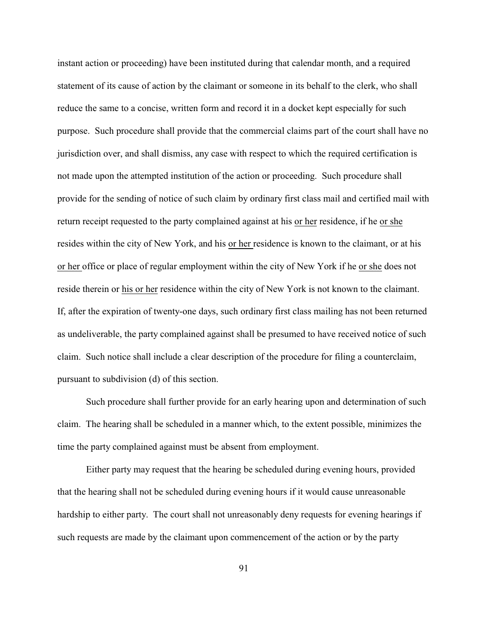instant action or proceeding) have been instituted during that calendar month, and a required statement of its cause of action by the claimant or someone in its behalf to the clerk, who shall reduce the same to a concise, written form and record it in a docket kept especially for such purpose. Such procedure shall provide that the commercial claims part of the court shall have no jurisdiction over, and shall dismiss, any case with respect to which the required certification is not made upon the attempted institution of the action or proceeding. Such procedure shall provide for the sending of notice of such claim by ordinary first class mail and certified mail with return receipt requested to the party complained against at his or her residence, if he or she resides within the city of New York, and his or her residence is known to the claimant, or at his or her office or place of regular employment within the city of New York if he or she does not reside therein or his or her residence within the city of New York is not known to the claimant. If, after the expiration of twenty-one days, such ordinary first class mailing has not been returned as undeliverable, the party complained against shall be presumed to have received notice of such claim. Such notice shall include a clear description of the procedure for filing a counterclaim, pursuant to subdivision (d) of this section.

Such procedure shall further provide for an early hearing upon and determination of such claim. The hearing shall be scheduled in a manner which, to the extent possible, minimizes the time the party complained against must be absent from employment.

Either party may request that the hearing be scheduled during evening hours, provided that the hearing shall not be scheduled during evening hours if it would cause unreasonable hardship to either party. The court shall not unreasonably deny requests for evening hearings if such requests are made by the claimant upon commencement of the action or by the party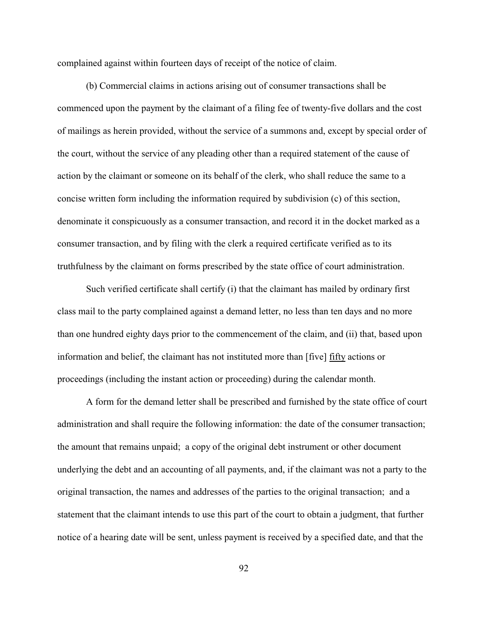complained against within fourteen days of receipt of the notice of claim.

(b) Commercial claims in actions arising out of consumer transactions shall be commenced upon the payment by the claimant of a filing fee of twenty-five dollars and the cost of mailings as herein provided, without the service of a summons and, except by special order of the court, without the service of any pleading other than a required statement of the cause of action by the claimant or someone on its behalf of the clerk, who shall reduce the same to a concise written form including the information required by subdivision (c) of this section, denominate it conspicuously as a consumer transaction, and record it in the docket marked as a consumer transaction, and by filing with the clerk a required certificate verified as to its truthfulness by the claimant on forms prescribed by the state office of court administration.

Such verified certificate shall certify (i) that the claimant has mailed by ordinary first class mail to the party complained against a demand letter, no less than ten days and no more than one hundred eighty days prior to the commencement of the claim, and (ii) that, based upon information and belief, the claimant has not instituted more than [five] fifty actions or proceedings (including the instant action or proceeding) during the calendar month.

A form for the demand letter shall be prescribed and furnished by the state office of court administration and shall require the following information: the date of the consumer transaction; the amount that remains unpaid; a copy of the original debt instrument or other document underlying the debt and an accounting of all payments, and, if the claimant was not a party to the original transaction, the names and addresses of the parties to the original transaction; and a statement that the claimant intends to use this part of the court to obtain a judgment, that further notice of a hearing date will be sent, unless payment is received by a specified date, and that the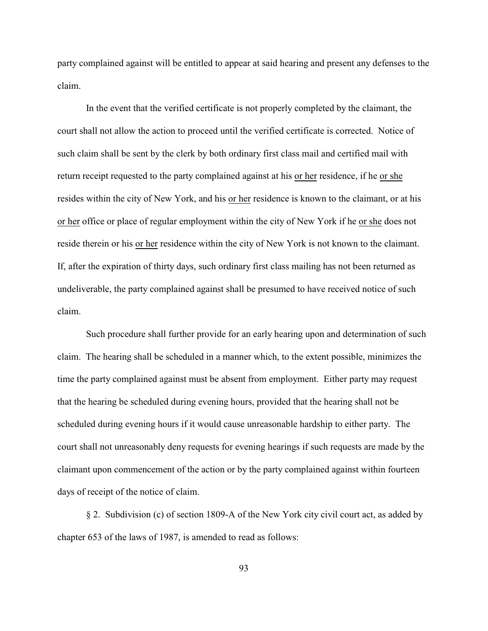party complained against will be entitled to appear at said hearing and present any defenses to the claim.

In the event that the verified certificate is not properly completed by the claimant, the court shall not allow the action to proceed until the verified certificate is corrected. Notice of such claim shall be sent by the clerk by both ordinary first class mail and certified mail with return receipt requested to the party complained against at his or her residence, if he or she resides within the city of New York, and his or her residence is known to the claimant, or at his or her office or place of regular employment within the city of New York if he or she does not reside therein or his or her residence within the city of New York is not known to the claimant. If, after the expiration of thirty days, such ordinary first class mailing has not been returned as undeliverable, the party complained against shall be presumed to have received notice of such claim.

Such procedure shall further provide for an early hearing upon and determination of such claim. The hearing shall be scheduled in a manner which, to the extent possible, minimizes the time the party complained against must be absent from employment. Either party may request that the hearing be scheduled during evening hours, provided that the hearing shall not be scheduled during evening hours if it would cause unreasonable hardship to either party. The court shall not unreasonably deny requests for evening hearings if such requests are made by the claimant upon commencement of the action or by the party complained against within fourteen days of receipt of the notice of claim.

§ 2. Subdivision (c) of section 1809-A of the New York city civil court act, as added by chapter 653 of the laws of 1987, is amended to read as follows: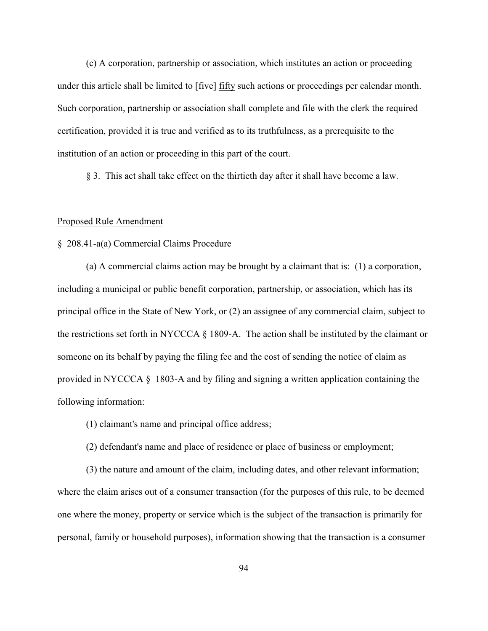(c) A corporation, partnership or association, which institutes an action or proceeding under this article shall be limited to [five] fifty such actions or proceedings per calendar month. Such corporation, partnership or association shall complete and file with the clerk the required certification, provided it is true and verified as to its truthfulness, as a prerequisite to the institution of an action or proceeding in this part of the court.

§ 3. This act shall take effect on the thirtieth day after it shall have become a law.

### Proposed Rule Amendment

## § 208.41-a(a) Commercial Claims Procedure

(a) A commercial claims action may be brought by a claimant that is: (1) a corporation, including a municipal or public benefit corporation, partnership, or association, which has its principal office in the State of New York, or (2) an assignee of any commercial claim, subject to the restrictions set forth in NYCCCA § 1809-A. The action shall be instituted by the claimant or someone on its behalf by paying the filing fee and the cost of sending the notice of claim as provided in NYCCCA  $\S$  1803-A and by filing and signing a written application containing the following information:

(1) claimant's name and principal office address;

(2) defendant's name and place of residence or place of business or employment;

(3) the nature and amount of the claim, including dates, and other relevant information; where the claim arises out of a consumer transaction (for the purposes of this rule, to be deemed one where the money, property or service which is the subject of the transaction is primarily for personal, family or household purposes), information showing that the transaction is a consumer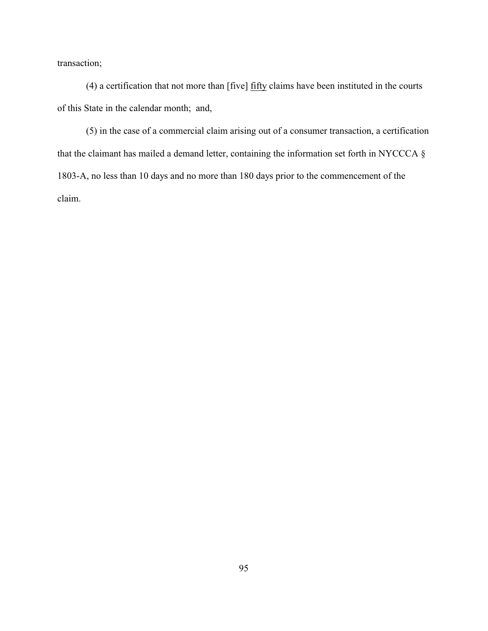transaction;

(4) a certification that not more than [five] fifty claims have been instituted in the courts of this State in the calendar month; and,

(5) in the case of a commercial claim arising out of a consumer transaction, a certification that the claimant has mailed a demand letter, containing the information set forth in NYCCCA § 1803-A, no less than 10 days and no more than 180 days prior to the commencement of the claim.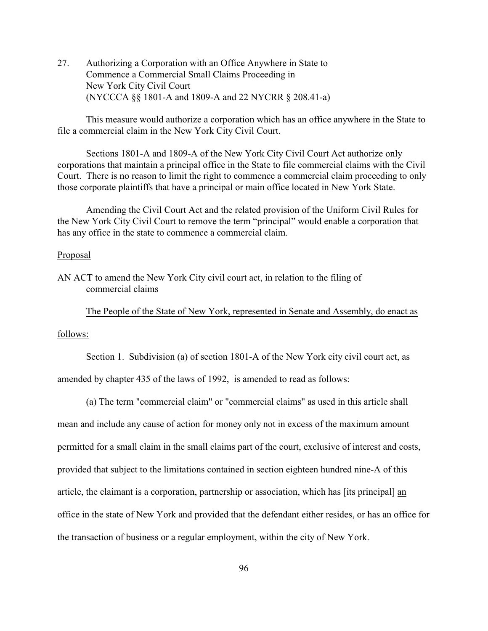27. Authorizing a Corporation with an Office Anywhere in State to Commence a Commercial Small Claims Proceeding in New York City Civil Court (NYCCCA §§ 1801-A and 1809-A and 22 NYCRR § 208.41-a)

This measure would authorize a corporation which has an office anywhere in the State to file a commercial claim in the New York City Civil Court.

Sections 1801-A and 1809-A of the New York City Civil Court Act authorize only corporations that maintain a principal office in the State to file commercial claims with the Civil Court. There is no reason to limit the right to commence a commercial claim proceeding to only those corporate plaintiffs that have a principal or main office located in New York State.

Amending the Civil Court Act and the related provision of the Uniform Civil Rules for the New York City Civil Court to remove the term "principal" would enable a corporation that has any office in the state to commence a commercial claim.

### Proposal

AN ACT to amend the New York City civil court act, in relation to the filing of commercial claims

The People of the State of New York, represented in Senate and Assembly, do enact as

### follows:

Section 1. Subdivision (a) of section 1801-A of the New York city civil court act, as

amended by chapter 435 of the laws of 1992, is amended to read as follows:

(a) The term "commercial claim" or "commercial claims" as used in this article shall mean and include any cause of action for money only not in excess of the maximum amount permitted for a small claim in the small claims part of the court, exclusive of interest and costs, provided that subject to the limitations contained in section eighteen hundred nine-A of this article, the claimant is a corporation, partnership or association, which has [its principal] an office in the state of New York and provided that the defendant either resides, or has an office for the transaction of business or a regular employment, within the city of New York.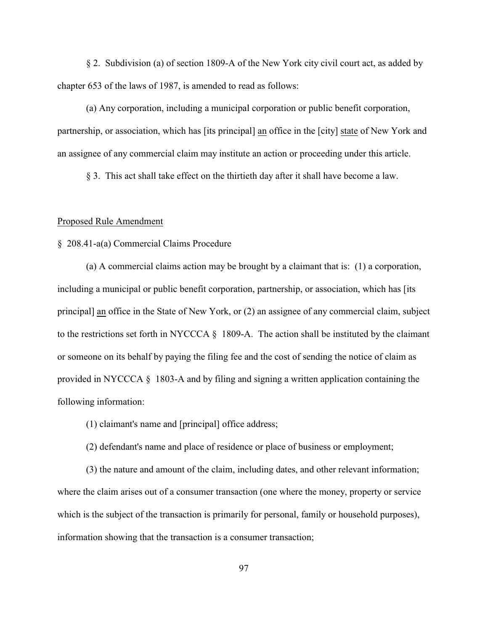§ 2. Subdivision (a) of section 1809-A of the New York city civil court act, as added by chapter 653 of the laws of 1987, is amended to read as follows:

(a) Any corporation, including a municipal corporation or public benefit corporation, partnership, or association, which has [its principal] an office in the [city] state of New York and an assignee of any commercial claim may institute an action or proceeding under this article.

§ 3. This act shall take effect on the thirtieth day after it shall have become a law.

### Proposed Rule Amendment

## § 208.41-a(a) Commercial Claims Procedure

(a) A commercial claims action may be brought by a claimant that is: (1) a corporation, including a municipal or public benefit corporation, partnership, or association, which has [its principal] an office in the State of New York, or (2) an assignee of any commercial claim, subject to the restrictions set forth in NYCCCA § 1809-A. The action shall be instituted by the claimant or someone on its behalf by paying the filing fee and the cost of sending the notice of claim as provided in NYCCCA  $\S$  1803-A and by filing and signing a written application containing the following information:

(1) claimant's name and [principal] office address;

(2) defendant's name and place of residence or place of business or employment;

(3) the nature and amount of the claim, including dates, and other relevant information; where the claim arises out of a consumer transaction (one where the money, property or service which is the subject of the transaction is primarily for personal, family or household purposes), information showing that the transaction is a consumer transaction;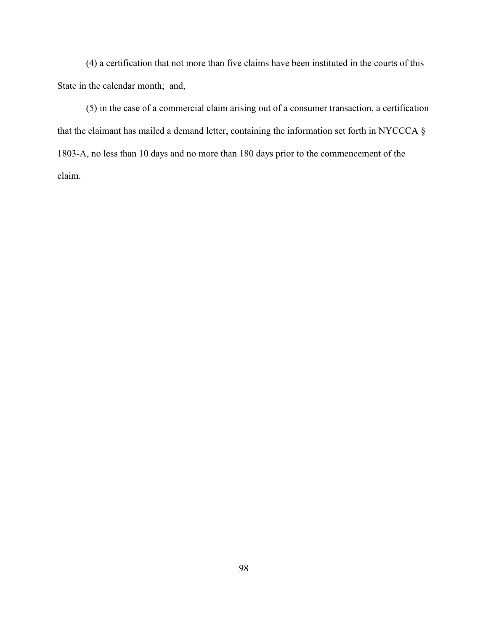(4) a certification that not more than five claims have been instituted in the courts of this State in the calendar month; and,

(5) in the case of a commercial claim arising out of a consumer transaction, a certification that the claimant has mailed a demand letter, containing the information set forth in NYCCCA § 1803-A, no less than 10 days and no more than 180 days prior to the commencement of the claim.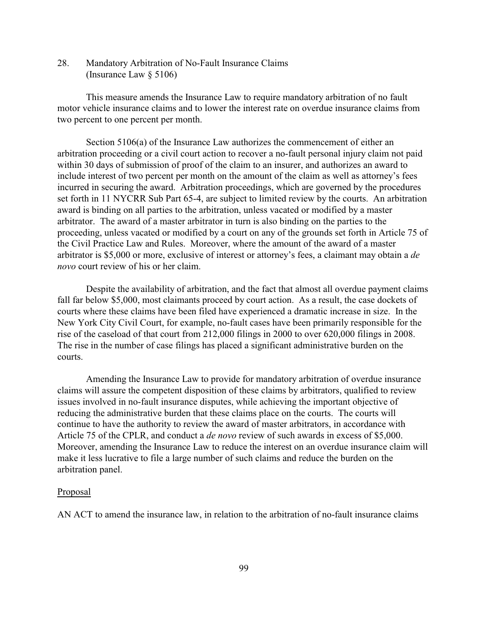28. Mandatory Arbitration of No-Fault Insurance Claims (Insurance Law § 5106)

This measure amends the Insurance Law to require mandatory arbitration of no fault motor vehicle insurance claims and to lower the interest rate on overdue insurance claims from two percent to one percent per month.

Section 5106(a) of the Insurance Law authorizes the commencement of either an arbitration proceeding or a civil court action to recover a no-fault personal injury claim not paid within 30 days of submission of proof of the claim to an insurer, and authorizes an award to include interest of two percent per month on the amount of the claim as well as attorney's fees incurred in securing the award. Arbitration proceedings, which are governed by the procedures set forth in 11 NYCRR Sub Part 65-4, are subject to limited review by the courts. An arbitration award is binding on all parties to the arbitration, unless vacated or modified by a master arbitrator. The award of a master arbitrator in turn is also binding on the parties to the proceeding, unless vacated or modified by a court on any of the grounds set forth in Article 75 of the Civil Practice Law and Rules. Moreover, where the amount of the award of a master arbitrator is \$5,000 or more, exclusive of interest or attorney's fees, a claimant may obtain a *de novo* court review of his or her claim.

Despite the availability of arbitration, and the fact that almost all overdue payment claims fall far below \$5,000, most claimants proceed by court action. As a result, the case dockets of courts where these claims have been filed have experienced a dramatic increase in size. In the New York City Civil Court, for example, no-fault cases have been primarily responsible for the rise of the caseload of that court from 212,000 filings in 2000 to over 620,000 filings in 2008. The rise in the number of case filings has placed a significant administrative burden on the courts.

Amending the Insurance Law to provide for mandatory arbitration of overdue insurance claims will assure the competent disposition of these claims by arbitrators, qualified to review issues involved in no-fault insurance disputes, while achieving the important objective of reducing the administrative burden that these claims place on the courts. The courts will continue to have the authority to review the award of master arbitrators, in accordance with Article 75 of the CPLR, and conduct a *de novo* review of such awards in excess of \$5,000. Moreover, amending the Insurance Law to reduce the interest on an overdue insurance claim will make it less lucrative to file a large number of such claims and reduce the burden on the arbitration panel.

# Proposal

AN ACT to amend the insurance law, in relation to the arbitration of no-fault insurance claims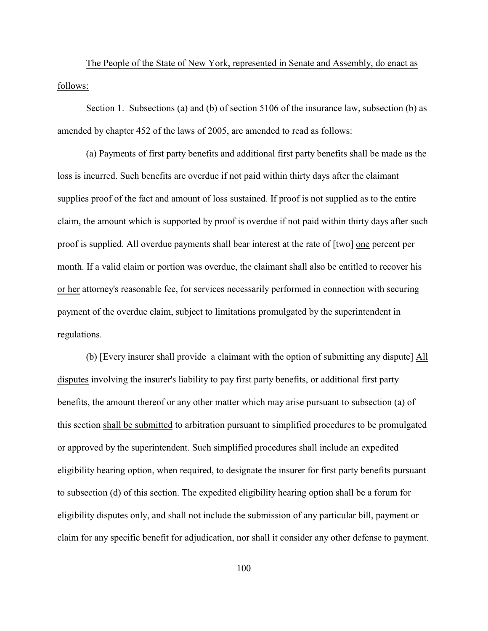The People of the State of New York, represented in Senate and Assembly, do enact as follows:

Section 1. Subsections (a) and (b) of section 5106 of the insurance law, subsection (b) as amended by chapter 452 of the laws of 2005, are amended to read as follows:

(a) Payments of first party benefits and additional first party benefits shall be made as the loss is incurred. Such benefits are overdue if not paid within thirty days after the claimant supplies proof of the fact and amount of loss sustained. If proof is not supplied as to the entire claim, the amount which is supported by proof is overdue if not paid within thirty days after such proof is supplied. All overdue payments shall bear interest at the rate of [two] one percent per month. If a valid claim or portion was overdue, the claimant shall also be entitled to recover his or her attorney's reasonable fee, for services necessarily performed in connection with securing payment of the overdue claim, subject to limitations promulgated by the superintendent in regulations.

(b) [Every insurer shall provide a claimant with the option of submitting any dispute] All disputes involving the insurer's liability to pay first party benefits, or additional first party benefits, the amount thereof or any other matter which may arise pursuant to subsection (a) of this section shall be submitted to arbitration pursuant to simplified procedures to be promulgated or approved by the superintendent. Such simplified procedures shall include an expedited eligibility hearing option, when required, to designate the insurer for first party benefits pursuant to subsection (d) of this section. The expedited eligibility hearing option shall be a forum for eligibility disputes only, and shall not include the submission of any particular bill, payment or claim for any specific benefit for adjudication, nor shall it consider any other defense to payment.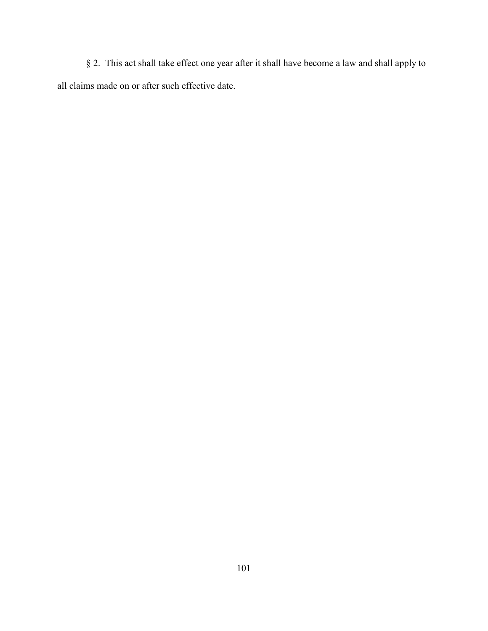§ 2. This act shall take effect one year after it shall have become a law and shall apply to all claims made on or after such effective date.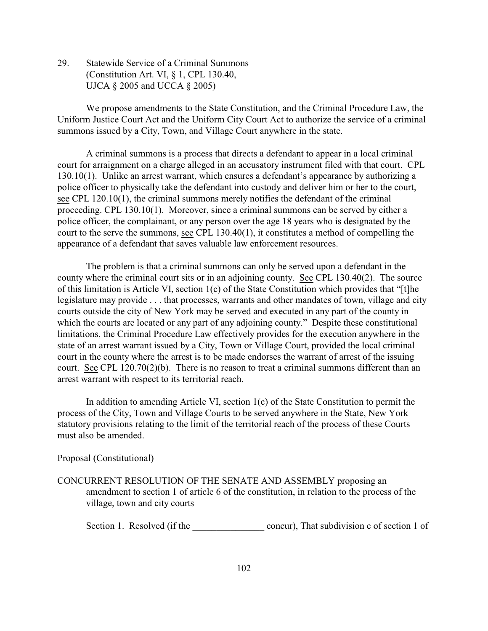29. Statewide Service of a Criminal Summons (Constitution Art. VI, § 1, CPL 130.40, UJCA § 2005 and UCCA § 2005)

We propose amendments to the State Constitution, and the Criminal Procedure Law, the Uniform Justice Court Act and the Uniform City Court Act to authorize the service of a criminal summons issued by a City, Town, and Village Court anywhere in the state.

A criminal summons is a process that directs a defendant to appear in a local criminal court for arraignment on a charge alleged in an accusatory instrument filed with that court. CPL 130.10(1). Unlike an arrest warrant, which ensures a defendant's appearance by authorizing a police officer to physically take the defendant into custody and deliver him or her to the court, see CPL 120.10(1), the criminal summons merely notifies the defendant of the criminal proceeding. CPL 130.10(1). Moreover, since a criminal summons can be served by either a police officer, the complainant, or any person over the age 18 years who is designated by the court to the serve the summons, see CPL 130.40(1), it constitutes a method of compelling the appearance of a defendant that saves valuable law enforcement resources.

The problem is that a criminal summons can only be served upon a defendant in the county where the criminal court sits or in an adjoining county. See CPL 130.40(2). The source of this limitation is Article VI, section 1(c) of the State Constitution which provides that "[t]he legislature may provide . . . that processes, warrants and other mandates of town, village and city courts outside the city of New York may be served and executed in any part of the county in which the courts are located or any part of any adjoining county." Despite these constitutional limitations, the Criminal Procedure Law effectively provides for the execution anywhere in the state of an arrest warrant issued by a City, Town or Village Court, provided the local criminal court in the county where the arrest is to be made endorses the warrant of arrest of the issuing court. See CPL 120.70(2)(b). There is no reason to treat a criminal summons different than an arrest warrant with respect to its territorial reach.

In addition to amending Article VI, section 1(c) of the State Constitution to permit the process of the City, Town and Village Courts to be served anywhere in the State, New York statutory provisions relating to the limit of the territorial reach of the process of these Courts must also be amended.

Proposal (Constitutional)

CONCURRENT RESOLUTION OF THE SENATE AND ASSEMBLY proposing an amendment to section 1 of article 6 of the constitution, in relation to the process of the village, town and city courts

Section 1. Resolved (if the concur), That subdivision c of section 1 of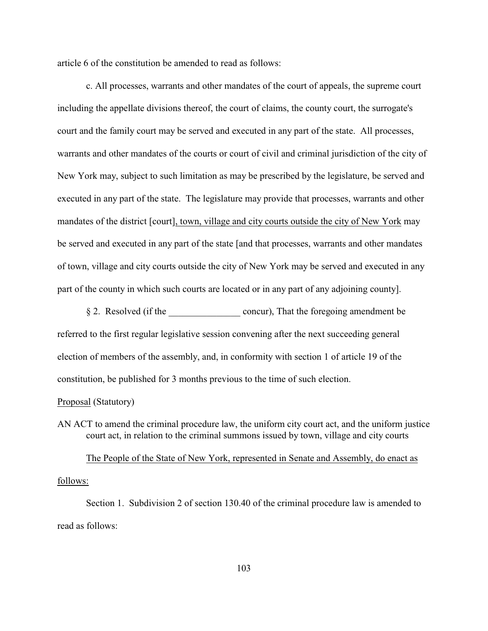article 6 of the constitution be amended to read as follows:

c. All processes, warrants and other mandates of the court of appeals, the supreme court including the appellate divisions thereof, the court of claims, the county court, the surrogate's court and the family court may be served and executed in any part of the state. All processes, warrants and other mandates of the courts or court of civil and criminal jurisdiction of the city of New York may, subject to such limitation as may be prescribed by the legislature, be served and executed in any part of the state. The legislature may provide that processes, warrants and other mandates of the district [court], town, village and city courts outside the city of New York may be served and executed in any part of the state [and that processes, warrants and other mandates of town, village and city courts outside the city of New York may be served and executed in any part of the county in which such courts are located or in any part of any adjoining county].

 $§$  2. Resolved (if the concur), That the foregoing amendment be referred to the first regular legislative session convening after the next succeeding general election of members of the assembly, and, in conformity with section 1 of article 19 of the constitution, be published for 3 months previous to the time of such election.

#### Proposal (Statutory)

AN ACT to amend the criminal procedure law, the uniform city court act, and the uniform justice court act, in relation to the criminal summons issued by town, village and city courts

The People of the State of New York, represented in Senate and Assembly, do enact as follows:

Section 1. Subdivision 2 of section 130.40 of the criminal procedure law is amended to read as follows: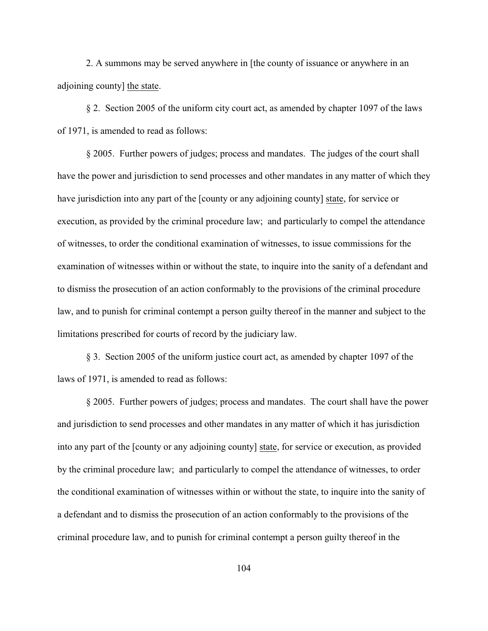2. A summons may be served anywhere in [the county of issuance or anywhere in an adjoining county] the state.

§ 2. Section 2005 of the uniform city court act, as amended by chapter 1097 of the laws of 1971, is amended to read as follows:

§ 2005. Further powers of judges; process and mandates. The judges of the court shall have the power and jurisdiction to send processes and other mandates in any matter of which they have jurisdiction into any part of the [county or any adjoining county] state, for service or execution, as provided by the criminal procedure law; and particularly to compel the attendance of witnesses, to order the conditional examination of witnesses, to issue commissions for the examination of witnesses within or without the state, to inquire into the sanity of a defendant and to dismiss the prosecution of an action conformably to the provisions of the criminal procedure law, and to punish for criminal contempt a person guilty thereof in the manner and subject to the limitations prescribed for courts of record by the judiciary law.

§ 3. Section 2005 of the uniform justice court act, as amended by chapter 1097 of the laws of 1971, is amended to read as follows:

§ 2005. Further powers of judges; process and mandates. The court shall have the power and jurisdiction to send processes and other mandates in any matter of which it has jurisdiction into any part of the [county or any adjoining county] state, for service or execution, as provided by the criminal procedure law; and particularly to compel the attendance of witnesses, to order the conditional examination of witnesses within or without the state, to inquire into the sanity of a defendant and to dismiss the prosecution of an action conformably to the provisions of the criminal procedure law, and to punish for criminal contempt a person guilty thereof in the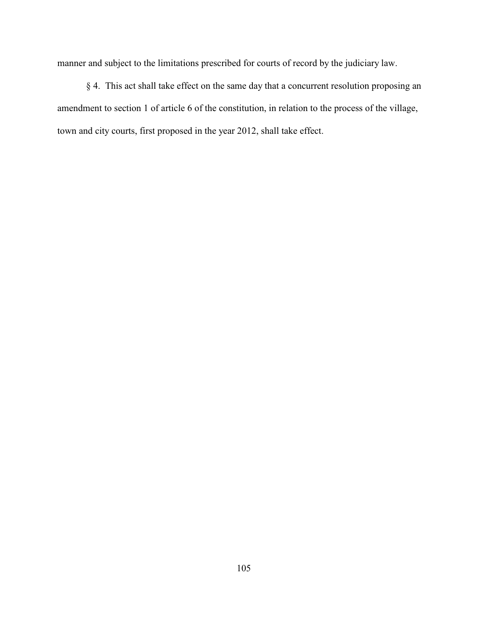manner and subject to the limitations prescribed for courts of record by the judiciary law.

§ 4. This act shall take effect on the same day that a concurrent resolution proposing an amendment to section 1 of article 6 of the constitution, in relation to the process of the village, town and city courts, first proposed in the year 2012, shall take effect.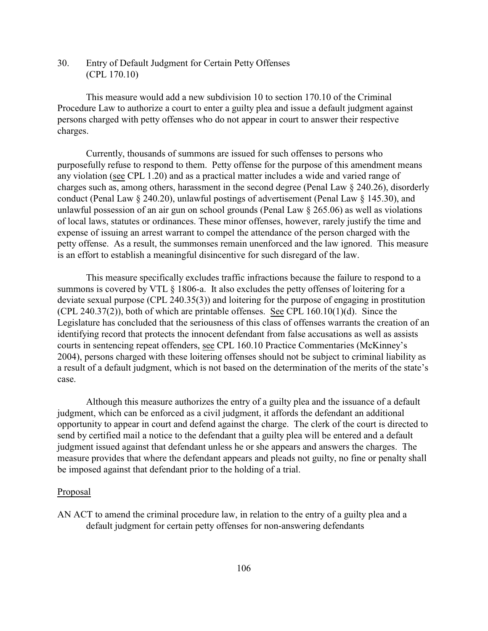30. Entry of Default Judgment for Certain Petty Offenses (CPL 170.10)

This measure would add a new subdivision 10 to section 170.10 of the Criminal Procedure Law to authorize a court to enter a guilty plea and issue a default judgment against persons charged with petty offenses who do not appear in court to answer their respective charges.

Currently, thousands of summons are issued for such offenses to persons who purposefully refuse to respond to them. Petty offense for the purpose of this amendment means any violation (see CPL 1.20) and as a practical matter includes a wide and varied range of charges such as, among others, harassment in the second degree (Penal Law § 240.26), disorderly conduct (Penal Law § 240.20), unlawful postings of advertisement (Penal Law § 145.30), and unlawful possession of an air gun on school grounds (Penal Law § 265.06) as well as violations of local laws, statutes or ordinances. These minor offenses, however, rarely justify the time and expense of issuing an arrest warrant to compel the attendance of the person charged with the petty offense. As a result, the summonses remain unenforced and the law ignored. This measure is an effort to establish a meaningful disincentive for such disregard of the law.

This measure specifically excludes traffic infractions because the failure to respond to a summons is covered by VTL § 1806-a. It also excludes the petty offenses of loitering for a deviate sexual purpose (CPL 240.35(3)) and loitering for the purpose of engaging in prostitution (CPL 240.37(2)), both of which are printable offenses. See CPL  $160.10(1)(d)$ . Since the Legislature has concluded that the seriousness of this class of offenses warrants the creation of an identifying record that protects the innocent defendant from false accusations as well as assists courts in sentencing repeat offenders, see CPL 160.10 Practice Commentaries (McKinney's 2004), persons charged with these loitering offenses should not be subject to criminal liability as a result of a default judgment, which is not based on the determination of the merits of the state's case.

Although this measure authorizes the entry of a guilty plea and the issuance of a default judgment, which can be enforced as a civil judgment, it affords the defendant an additional opportunity to appear in court and defend against the charge. The clerk of the court is directed to send by certified mail a notice to the defendant that a guilty plea will be entered and a default judgment issued against that defendant unless he or she appears and answers the charges. The measure provides that where the defendant appears and pleads not guilty, no fine or penalty shall be imposed against that defendant prior to the holding of a trial.

## Proposal

AN ACT to amend the criminal procedure law, in relation to the entry of a guilty plea and a default judgment for certain petty offenses for non-answering defendants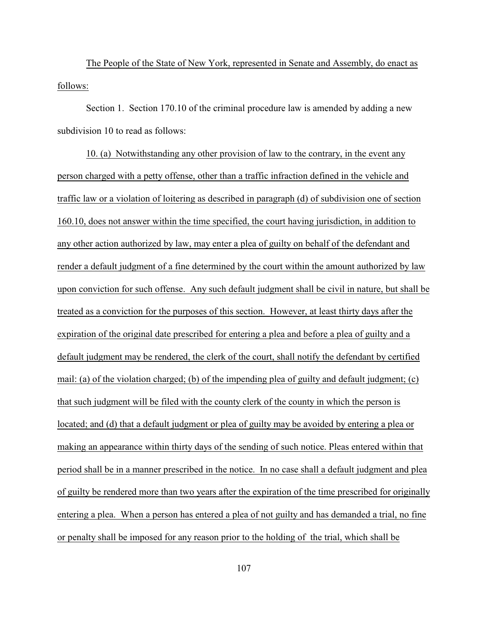The People of the State of New York, represented in Senate and Assembly, do enact as follows:

Section 1. Section 170.10 of the criminal procedure law is amended by adding a new subdivision 10 to read as follows:

10. (a) Notwithstanding any other provision of law to the contrary, in the event any person charged with a petty offense, other than a traffic infraction defined in the vehicle and traffic law or a violation of loitering as described in paragraph (d) of subdivision one of section 160.10, does not answer within the time specified, the court having jurisdiction, in addition to any other action authorized by law, may enter a plea of guilty on behalf of the defendant and render a default judgment of a fine determined by the court within the amount authorized by law upon conviction for such offense. Any such default judgment shall be civil in nature, but shall be treated as a conviction for the purposes of this section. However, at least thirty days after the expiration of the original date prescribed for entering a plea and before a plea of guilty and a default judgment may be rendered, the clerk of the court, shall notify the defendant by certified mail: (a) of the violation charged; (b) of the impending plea of guilty and default judgment; (c) that such judgment will be filed with the county clerk of the county in which the person is located; and (d) that a default judgment or plea of guilty may be avoided by entering a plea or making an appearance within thirty days of the sending of such notice. Pleas entered within that period shall be in a manner prescribed in the notice. In no case shall a default judgment and plea of guilty be rendered more than two years after the expiration of the time prescribed for originally entering a plea. When a person has entered a plea of not guilty and has demanded a trial, no fine or penalty shall be imposed for any reason prior to the holding of the trial, which shall be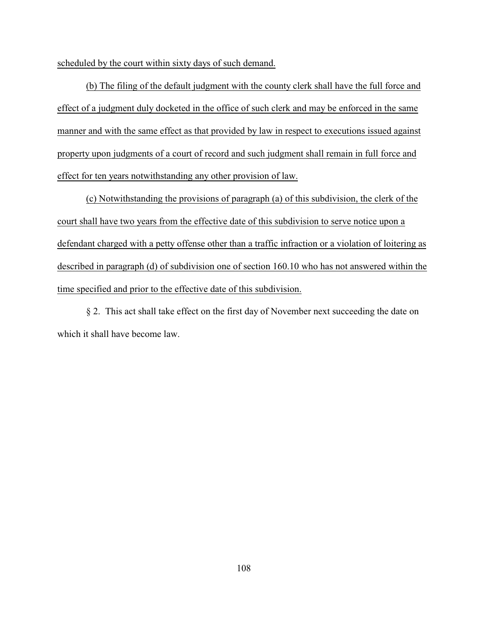scheduled by the court within sixty days of such demand.

(b) The filing of the default judgment with the county clerk shall have the full force and effect of a judgment duly docketed in the office of such clerk and may be enforced in the same manner and with the same effect as that provided by law in respect to executions issued against property upon judgments of a court of record and such judgment shall remain in full force and effect for ten years notwithstanding any other provision of law.

(c) Notwithstanding the provisions of paragraph (a) of this subdivision, the clerk of the court shall have two years from the effective date of this subdivision to serve notice upon a defendant charged with a petty offense other than a traffic infraction or a violation of loitering as described in paragraph (d) of subdivision one of section 160.10 who has not answered within the time specified and prior to the effective date of this subdivision.

§ 2. This act shall take effect on the first day of November next succeeding the date on which it shall have become law.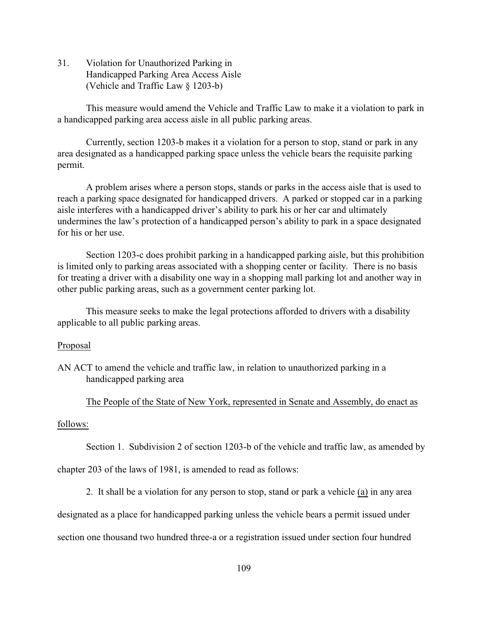31. Violation for Unauthorized Parking in Handicapped Parking Area Access Aisle (Vehicle and Traffic Law § 1203-b)

This measure would amend the Vehicle and Traffic Law to make it a violation to park in a handicapped parking area access aisle in all public parking areas.

Currently, section 1203-b makes it a violation for a person to stop, stand or park in any area designated as a handicapped parking space unless the vehicle bears the requisite parking permit.

A problem arises where a person stops, stands or parks in the access aisle that is used to reach a parking space designated for handicapped drivers. A parked or stopped car in a parking aisle interferes with a handicapped driver's ability to park his or her car and ultimately undermines the law's protection of a handicapped person's ability to park in a space designated for his or her use.

Section 1203-c does prohibit parking in a handicapped parking aisle, but this prohibition is limited only to parking areas associated with a shopping center or facility. There is no basis for treating a driver with a disability one way in a shopping mall parking lot and another way in other public parking areas, such as a government center parking lot.

This measure seeks to make the legal protections afforded to drivers with a disability applicable to all public parking areas.

## Proposal

AN ACT to amend the vehicle and traffic law, in relation to unauthorized parking in a handicapped parking area

## The People of the State of New York, represented in Senate and Assembly, do enact as

#### follows:

Section 1. Subdivision 2 of section 1203-b of the vehicle and traffic law, as amended by

chapter 203 of the laws of 1981, is amended to read as follows:

2. It shall be a violation for any person to stop, stand or park a vehicle (a) in any area

designated as a place for handicapped parking unless the vehicle bears a permit issued under

section one thousand two hundred three-a or a registration issued under section four hundred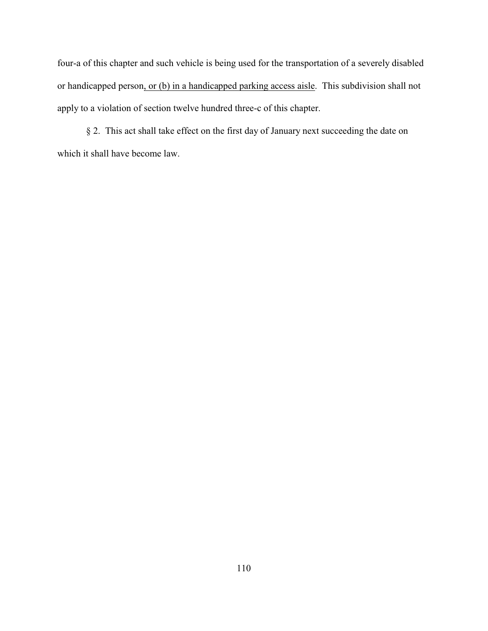four-a of this chapter and such vehicle is being used for the transportation of a severely disabled or handicapped person, or (b) in a handicapped parking access aisle. This subdivision shall not apply to a violation of section twelve hundred three-c of this chapter.

§ 2. This act shall take effect on the first day of January next succeeding the date on which it shall have become law.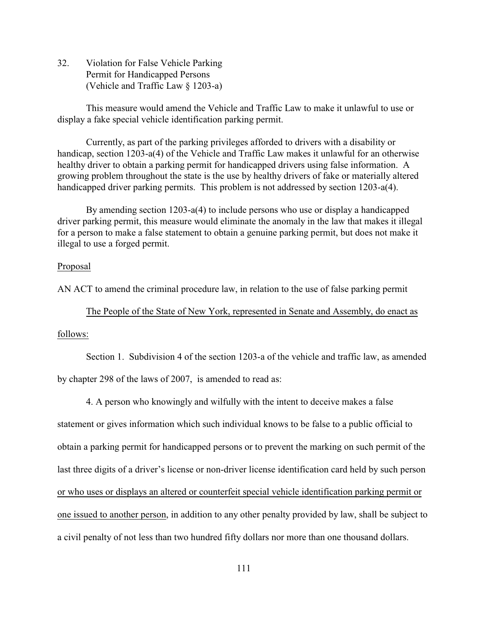32. Violation for False Vehicle Parking Permit for Handicapped Persons (Vehicle and Traffic Law § 1203-a)

This measure would amend the Vehicle and Traffic Law to make it unlawful to use or display a fake special vehicle identification parking permit.

Currently, as part of the parking privileges afforded to drivers with a disability or handicap, section 1203-a(4) of the Vehicle and Traffic Law makes it unlawful for an otherwise healthy driver to obtain a parking permit for handicapped drivers using false information. A growing problem throughout the state is the use by healthy drivers of fake or materially altered handicapped driver parking permits. This problem is not addressed by section 1203-a(4).

By amending section 1203-a(4) to include persons who use or display a handicapped driver parking permit, this measure would eliminate the anomaly in the law that makes it illegal for a person to make a false statement to obtain a genuine parking permit, but does not make it illegal to use a forged permit.

#### Proposal

AN ACT to amend the criminal procedure law, in relation to the use of false parking permit

The People of the State of New York, represented in Senate and Assembly, do enact as

## follows:

Section 1. Subdivision 4 of the section 1203-a of the vehicle and traffic law, as amended by chapter 298 of the laws of 2007, is amended to read as:

4. A person who knowingly and wilfully with the intent to deceive makes a false

statement or gives information which such individual knows to be false to a public official to obtain a parking permit for handicapped persons or to prevent the marking on such permit of the last three digits of a driver's license or non-driver license identification card held by such person or who uses or displays an altered or counterfeit special vehicle identification parking permit or one issued to another person, in addition to any other penalty provided by law, shall be subject to a civil penalty of not less than two hundred fifty dollars nor more than one thousand dollars.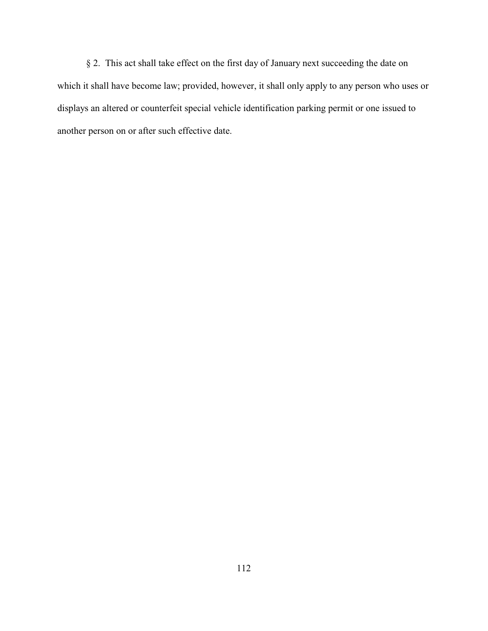§ 2. This act shall take effect on the first day of January next succeeding the date on which it shall have become law; provided, however, it shall only apply to any person who uses or displays an altered or counterfeit special vehicle identification parking permit or one issued to another person on or after such effective date.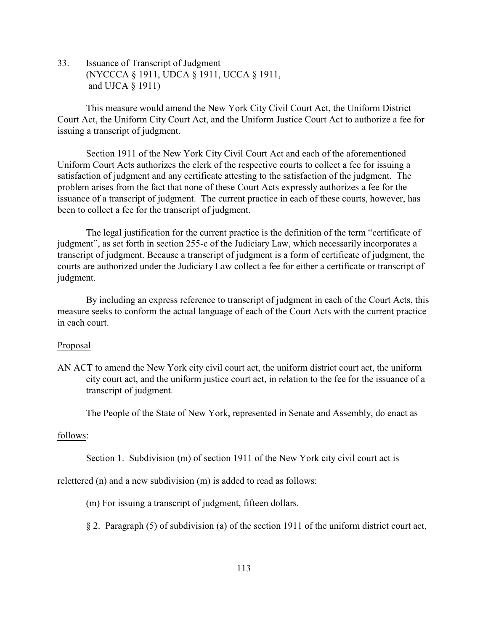33. Issuance of Transcript of Judgment (NYCCCA § 1911, UDCA § 1911, UCCA § 1911, and UJCA § 1911)

This measure would amend the New York City Civil Court Act, the Uniform District Court Act, the Uniform City Court Act, and the Uniform Justice Court Act to authorize a fee for issuing a transcript of judgment.

Section 1911 of the New York City Civil Court Act and each of the aforementioned Uniform Court Acts authorizes the clerk of the respective courts to collect a fee for issuing a satisfaction of judgment and any certificate attesting to the satisfaction of the judgment. The problem arises from the fact that none of these Court Acts expressly authorizes a fee for the issuance of a transcript of judgment. The current practice in each of these courts, however, has been to collect a fee for the transcript of judgment.

The legal justification for the current practice is the definition of the term "certificate of judgment", as set forth in section 255-c of the Judiciary Law, which necessarily incorporates a transcript of judgment. Because a transcript of judgment is a form of certificate of judgment, the courts are authorized under the Judiciary Law collect a fee for either a certificate or transcript of judgment.

By including an express reference to transcript of judgment in each of the Court Acts, this measure seeks to conform the actual language of each of the Court Acts with the current practice in each court.

# Proposal

AN ACT to amend the New York city civil court act, the uniform district court act, the uniform city court act, and the uniform justice court act, in relation to the fee for the issuance of a transcript of judgment.

# The People of the State of New York, represented in Senate and Assembly, do enact as

## follows:

Section 1. Subdivision (m) of section 1911 of the New York city civil court act is

relettered (n) and a new subdivision (m) is added to read as follows:

# (m) For issuing a transcript of judgment, fifteen dollars.

§ 2. Paragraph (5) of subdivision (a) of the section 1911 of the uniform district court act,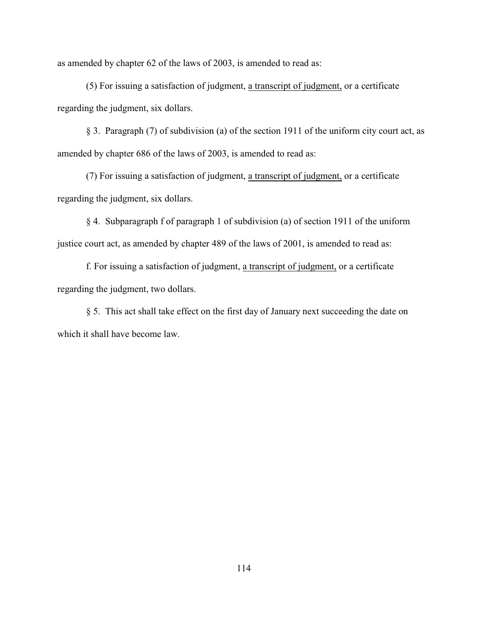as amended by chapter 62 of the laws of 2003, is amended to read as:

(5) For issuing a satisfaction of judgment, a transcript of judgment, or a certificate regarding the judgment, six dollars.

§ 3. Paragraph (7) of subdivision (a) of the section 1911 of the uniform city court act, as amended by chapter 686 of the laws of 2003, is amended to read as:

(7) For issuing a satisfaction of judgment, a transcript of judgment, or a certificate regarding the judgment, six dollars.

§ 4. Subparagraph f of paragraph 1 of subdivision (a) of section 1911 of the uniform justice court act, as amended by chapter 489 of the laws of 2001, is amended to read as:

f. For issuing a satisfaction of judgment, a transcript of judgment, or a certificate regarding the judgment, two dollars.

§ 5. This act shall take effect on the first day of January next succeeding the date on which it shall have become law.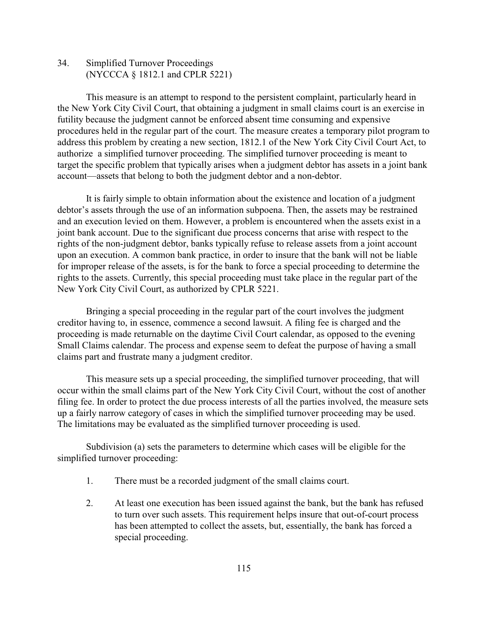34. Simplified Turnover Proceedings (NYCCCA § 1812.1 and CPLR 5221)

This measure is an attempt to respond to the persistent complaint, particularly heard in the New York City Civil Court, that obtaining a judgment in small claims court is an exercise in futility because the judgment cannot be enforced absent time consuming and expensive procedures held in the regular part of the court. The measure creates a temporary pilot program to address this problem by creating a new section, 1812.1 of the New York City Civil Court Act, to authorize a simplified turnover proceeding. The simplified turnover proceeding is meant to target the specific problem that typically arises when a judgment debtor has assets in a joint bank account—assets that belong to both the judgment debtor and a non-debtor.

It is fairly simple to obtain information about the existence and location of a judgment debtor's assets through the use of an information subpoena. Then, the assets may be restrained and an execution levied on them. However, a problem is encountered when the assets exist in a joint bank account. Due to the significant due process concerns that arise with respect to the rights of the non-judgment debtor, banks typically refuse to release assets from a joint account upon an execution. A common bank practice, in order to insure that the bank will not be liable for improper release of the assets, is for the bank to force a special proceeding to determine the rights to the assets. Currently, this special proceeding must take place in the regular part of the New York City Civil Court, as authorized by CPLR 5221.

Bringing a special proceeding in the regular part of the court involves the judgment creditor having to, in essence, commence a second lawsuit. A filing fee is charged and the proceeding is made returnable on the daytime Civil Court calendar, as opposed to the evening Small Claims calendar. The process and expense seem to defeat the purpose of having a small claims part and frustrate many a judgment creditor.

This measure sets up a special proceeding, the simplified turnover proceeding, that will occur within the small claims part of the New York City Civil Court, without the cost of another filing fee. In order to protect the due process interests of all the parties involved, the measure sets up a fairly narrow category of cases in which the simplified turnover proceeding may be used. The limitations may be evaluated as the simplified turnover proceeding is used.

Subdivision (a) sets the parameters to determine which cases will be eligible for the simplified turnover proceeding:

- 1. There must be a recorded judgment of the small claims court.
- 2. At least one execution has been issued against the bank, but the bank has refused to turn over such assets. This requirement helps insure that out-of-court process has been attempted to collect the assets, but, essentially, the bank has forced a special proceeding.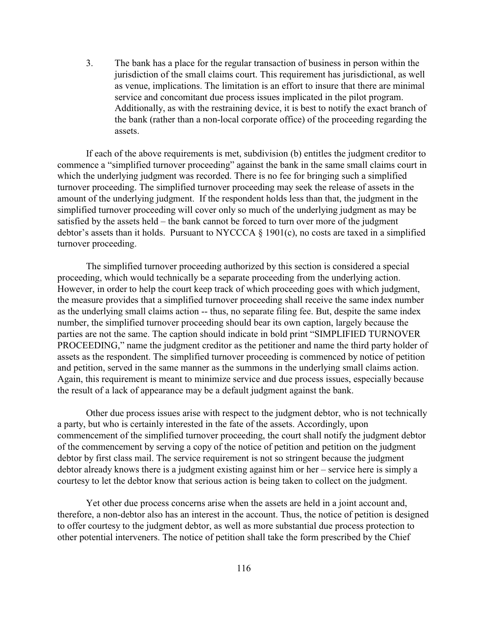3. The bank has a place for the regular transaction of business in person within the jurisdiction of the small claims court. This requirement has jurisdictional, as well as venue, implications. The limitation is an effort to insure that there are minimal service and concomitant due process issues implicated in the pilot program. Additionally, as with the restraining device, it is best to notify the exact branch of the bank (rather than a non-local corporate office) of the proceeding regarding the assets.

If each of the above requirements is met, subdivision (b) entitles the judgment creditor to commence a "simplified turnover proceeding" against the bank in the same small claims court in which the underlying judgment was recorded. There is no fee for bringing such a simplified turnover proceeding. The simplified turnover proceeding may seek the release of assets in the amount of the underlying judgment. If the respondent holds less than that, the judgment in the simplified turnover proceeding will cover only so much of the underlying judgment as may be satisfied by the assets held – the bank cannot be forced to turn over more of the judgment debtor's assets than it holds. Pursuant to NYCCCA § 1901(c), no costs are taxed in a simplified turnover proceeding.

The simplified turnover proceeding authorized by this section is considered a special proceeding, which would technically be a separate proceeding from the underlying action. However, in order to help the court keep track of which proceeding goes with which judgment, the measure provides that a simplified turnover proceeding shall receive the same index number as the underlying small claims action -- thus, no separate filing fee. But, despite the same index number, the simplified turnover proceeding should bear its own caption, largely because the parties are not the same. The caption should indicate in bold print "SIMPLIFIED TURNOVER PROCEEDING," name the judgment creditor as the petitioner and name the third party holder of assets as the respondent. The simplified turnover proceeding is commenced by notice of petition and petition, served in the same manner as the summons in the underlying small claims action. Again, this requirement is meant to minimize service and due process issues, especially because the result of a lack of appearance may be a default judgment against the bank.

Other due process issues arise with respect to the judgment debtor, who is not technically a party, but who is certainly interested in the fate of the assets. Accordingly, upon commencement of the simplified turnover proceeding, the court shall notify the judgment debtor of the commencement by serving a copy of the notice of petition and petition on the judgment debtor by first class mail. The service requirement is not so stringent because the judgment debtor already knows there is a judgment existing against him or her – service here is simply a courtesy to let the debtor know that serious action is being taken to collect on the judgment.

Yet other due process concerns arise when the assets are held in a joint account and, therefore, a non-debtor also has an interest in the account. Thus, the notice of petition is designed to offer courtesy to the judgment debtor, as well as more substantial due process protection to other potential interveners. The notice of petition shall take the form prescribed by the Chief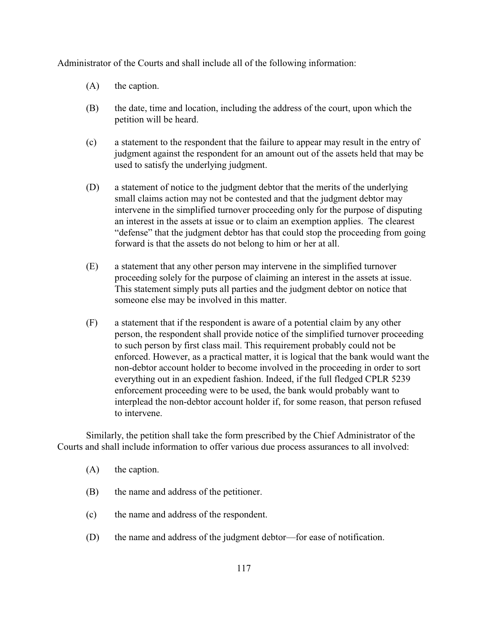Administrator of the Courts and shall include all of the following information:

- (A) the caption.
- (B) the date, time and location, including the address of the court, upon which the petition will be heard.
- (c) a statement to the respondent that the failure to appear may result in the entry of judgment against the respondent for an amount out of the assets held that may be used to satisfy the underlying judgment.
- (D) a statement of notice to the judgment debtor that the merits of the underlying small claims action may not be contested and that the judgment debtor may intervene in the simplified turnover proceeding only for the purpose of disputing an interest in the assets at issue or to claim an exemption applies. The clearest "defense" that the judgment debtor has that could stop the proceeding from going forward is that the assets do not belong to him or her at all.
- (E) a statement that any other person may intervene in the simplified turnover proceeding solely for the purpose of claiming an interest in the assets at issue. This statement simply puts all parties and the judgment debtor on notice that someone else may be involved in this matter.
- (F) a statement that if the respondent is aware of a potential claim by any other person, the respondent shall provide notice of the simplified turnover proceeding to such person by first class mail. This requirement probably could not be enforced. However, as a practical matter, it is logical that the bank would want the non-debtor account holder to become involved in the proceeding in order to sort everything out in an expedient fashion. Indeed, if the full fledged CPLR 5239 enforcement proceeding were to be used, the bank would probably want to interplead the non-debtor account holder if, for some reason, that person refused to intervene.

Similarly, the petition shall take the form prescribed by the Chief Administrator of the Courts and shall include information to offer various due process assurances to all involved:

- (A) the caption.
- (B) the name and address of the petitioner.
- (c) the name and address of the respondent.
- (D) the name and address of the judgment debtor—for ease of notification.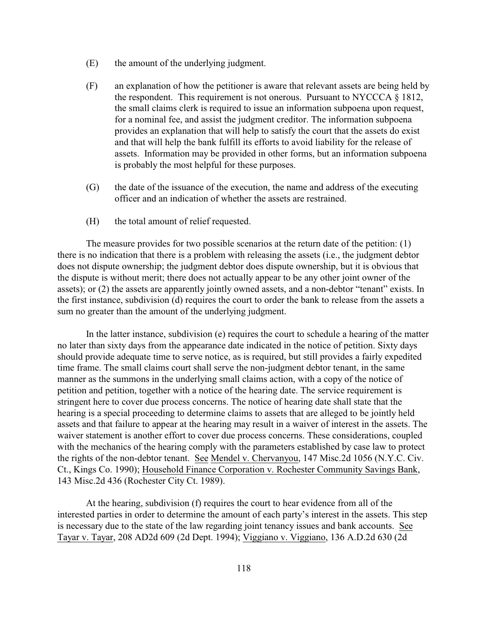- (E) the amount of the underlying judgment.
- (F) an explanation of how the petitioner is aware that relevant assets are being held by the respondent. This requirement is not onerous. Pursuant to NYCCCA § 1812, the small claims clerk is required to issue an information subpoena upon request, for a nominal fee, and assist the judgment creditor. The information subpoena provides an explanation that will help to satisfy the court that the assets do exist and that will help the bank fulfill its efforts to avoid liability for the release of assets. Information may be provided in other forms, but an information subpoena is probably the most helpful for these purposes.
- (G) the date of the issuance of the execution, the name and address of the executing officer and an indication of whether the assets are restrained.
- (H) the total amount of relief requested.

The measure provides for two possible scenarios at the return date of the petition: (1) there is no indication that there is a problem with releasing the assets (i.e., the judgment debtor does not dispute ownership; the judgment debtor does dispute ownership, but it is obvious that the dispute is without merit; there does not actually appear to be any other joint owner of the assets); or (2) the assets are apparently jointly owned assets, and a non-debtor "tenant" exists. In the first instance, subdivision (d) requires the court to order the bank to release from the assets a sum no greater than the amount of the underlying judgment.

In the latter instance, subdivision (e) requires the court to schedule a hearing of the matter no later than sixty days from the appearance date indicated in the notice of petition. Sixty days should provide adequate time to serve notice, as is required, but still provides a fairly expedited time frame. The small claims court shall serve the non-judgment debtor tenant, in the same manner as the summons in the underlying small claims action, with a copy of the notice of petition and petition, together with a notice of the hearing date. The service requirement is stringent here to cover due process concerns. The notice of hearing date shall state that the hearing is a special proceeding to determine claims to assets that are alleged to be jointly held assets and that failure to appear at the hearing may result in a waiver of interest in the assets. The waiver statement is another effort to cover due process concerns. These considerations, coupled with the mechanics of the hearing comply with the parameters established by case law to protect the rights of the non-debtor tenant. See Mendel v. Chervanyou, 147 Misc.2d 1056 (N.Y.C. Civ. Ct., Kings Co. 1990); Household Finance Corporation v. Rochester Community Savings Bank, 143 Misc.2d 436 (Rochester City Ct. 1989).

At the hearing, subdivision (f) requires the court to hear evidence from all of the interested parties in order to determine the amount of each party's interest in the assets. This step is necessary due to the state of the law regarding joint tenancy issues and bank accounts. See Tayar v. Tayar, 208 AD2d 609 (2d Dept. 1994); Viggiano v. Viggiano, 136 A.D.2d 630 (2d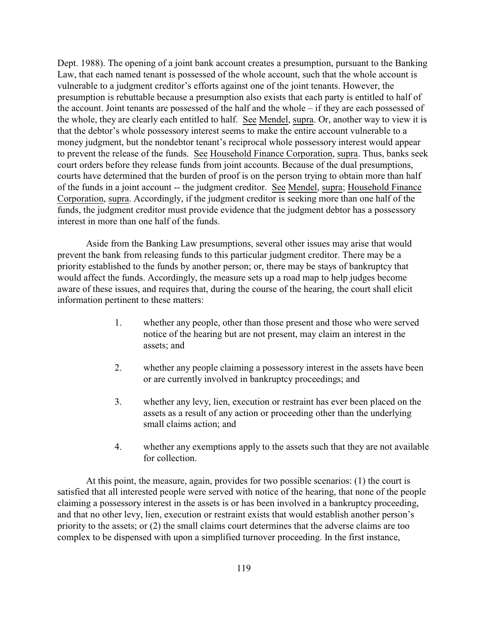Dept. 1988). The opening of a joint bank account creates a presumption, pursuant to the Banking Law, that each named tenant is possessed of the whole account, such that the whole account is vulnerable to a judgment creditor's efforts against one of the joint tenants. However, the presumption is rebuttable because a presumption also exists that each party is entitled to half of the account. Joint tenants are possessed of the half and the whole – if they are each possessed of the whole, they are clearly each entitled to half. See Mendel, supra. Or, another way to view it is that the debtor's whole possessory interest seems to make the entire account vulnerable to a money judgment, but the nondebtor tenant's reciprocal whole possessory interest would appear to prevent the release of the funds. See Household Finance Corporation, supra. Thus, banks seek court orders before they release funds from joint accounts. Because of the dual presumptions, courts have determined that the burden of proof is on the person trying to obtain more than half of the funds in a joint account -- the judgment creditor. See Mendel, supra; Household Finance Corporation, supra. Accordingly, if the judgment creditor is seeking more than one half of the funds, the judgment creditor must provide evidence that the judgment debtor has a possessory interest in more than one half of the funds.

Aside from the Banking Law presumptions, several other issues may arise that would prevent the bank from releasing funds to this particular judgment creditor. There may be a priority established to the funds by another person; or, there may be stays of bankruptcy that would affect the funds. Accordingly, the measure sets up a road map to help judges become aware of these issues, and requires that, during the course of the hearing, the court shall elicit information pertinent to these matters:

- 1. whether any people, other than those present and those who were served notice of the hearing but are not present, may claim an interest in the assets; and
- 2. whether any people claiming a possessory interest in the assets have been or are currently involved in bankruptcy proceedings; and
- 3. whether any levy, lien, execution or restraint has ever been placed on the assets as a result of any action or proceeding other than the underlying small claims action; and
- 4. whether any exemptions apply to the assets such that they are not available for collection.

At this point, the measure, again, provides for two possible scenarios: (1) the court is satisfied that all interested people were served with notice of the hearing, that none of the people claiming a possessory interest in the assets is or has been involved in a bankruptcy proceeding, and that no other levy, lien, execution or restraint exists that would establish another person's priority to the assets; or (2) the small claims court determines that the adverse claims are too complex to be dispensed with upon a simplified turnover proceeding. In the first instance,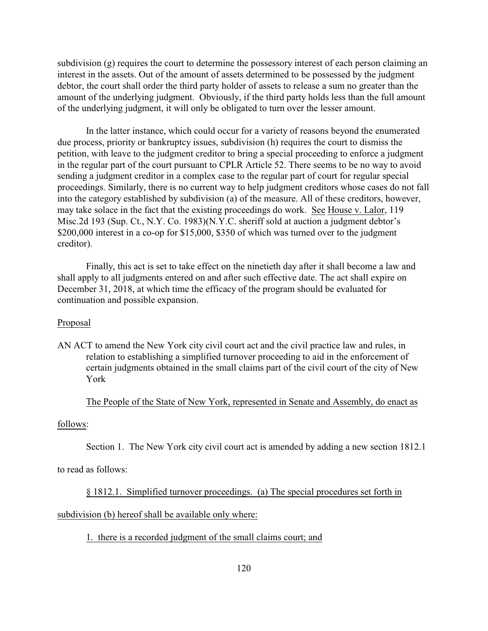subdivision (g) requires the court to determine the possessory interest of each person claiming an interest in the assets. Out of the amount of assets determined to be possessed by the judgment debtor, the court shall order the third party holder of assets to release a sum no greater than the amount of the underlying judgment. Obviously, if the third party holds less than the full amount of the underlying judgment, it will only be obligated to turn over the lesser amount.

In the latter instance, which could occur for a variety of reasons beyond the enumerated due process, priority or bankruptcy issues, subdivision (h) requires the court to dismiss the petition, with leave to the judgment creditor to bring a special proceeding to enforce a judgment in the regular part of the court pursuant to CPLR Article 52. There seems to be no way to avoid sending a judgment creditor in a complex case to the regular part of court for regular special proceedings. Similarly, there is no current way to help judgment creditors whose cases do not fall into the category established by subdivision (a) of the measure. All of these creditors, however, may take solace in the fact that the existing proceedings do work. See House v. Lalor, 119 Misc.2d 193 (Sup. Ct., N.Y. Co. 1983)(N.Y.C. sheriff sold at auction a judgment debtor's \$200,000 interest in a co-op for \$15,000, \$350 of which was turned over to the judgment creditor).

Finally, this act is set to take effect on the ninetieth day after it shall become a law and shall apply to all judgments entered on and after such effective date. The act shall expire on December 31, 2018, at which time the efficacy of the program should be evaluated for continuation and possible expansion.

#### Proposal

AN ACT to amend the New York city civil court act and the civil practice law and rules, in relation to establishing a simplified turnover proceeding to aid in the enforcement of certain judgments obtained in the small claims part of the civil court of the city of New York

The People of the State of New York, represented in Senate and Assembly, do enact as

#### follows:

Section 1. The New York city civil court act is amended by adding a new section 1812.1

to read as follows:

§ 1812.1. Simplified turnover proceedings. (a) The special procedures set forth in

## subdivision (b) hereof shall be available only where:

1. there is a recorded judgment of the small claims court; and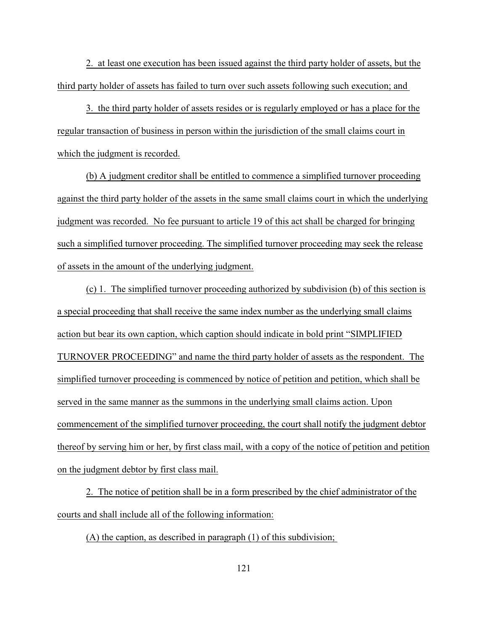2. at least one execution has been issued against the third party holder of assets, but the third party holder of assets has failed to turn over such assets following such execution; and

3. the third party holder of assets resides or is regularly employed or has a place for the regular transaction of business in person within the jurisdiction of the small claims court in which the judgment is recorded.

(b) A judgment creditor shall be entitled to commence a simplified turnover proceeding against the third party holder of the assets in the same small claims court in which the underlying judgment was recorded. No fee pursuant to article 19 of this act shall be charged for bringing such a simplified turnover proceeding. The simplified turnover proceeding may seek the release of assets in the amount of the underlying judgment.

(c) 1. The simplified turnover proceeding authorized by subdivision (b) of this section is a special proceeding that shall receive the same index number as the underlying small claims action but bear its own caption, which caption should indicate in bold print "SIMPLIFIED TURNOVER PROCEEDING" and name the third party holder of assets as the respondent. The simplified turnover proceeding is commenced by notice of petition and petition, which shall be served in the same manner as the summons in the underlying small claims action. Upon commencement of the simplified turnover proceeding, the court shall notify the judgment debtor thereof by serving him or her, by first class mail, with a copy of the notice of petition and petition on the judgment debtor by first class mail.

2. The notice of petition shall be in a form prescribed by the chief administrator of the courts and shall include all of the following information:

(A) the caption, as described in paragraph (1) of this subdivision;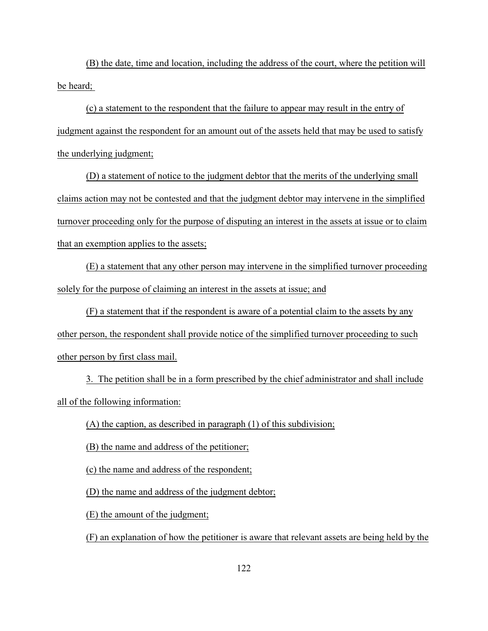(B) the date, time and location, including the address of the court, where the petition will be heard;

(c) a statement to the respondent that the failure to appear may result in the entry of judgment against the respondent for an amount out of the assets held that may be used to satisfy the underlying judgment;

(D) a statement of notice to the judgment debtor that the merits of the underlying small claims action may not be contested and that the judgment debtor may intervene in the simplified turnover proceeding only for the purpose of disputing an interest in the assets at issue or to claim that an exemption applies to the assets;

(E) a statement that any other person may intervene in the simplified turnover proceeding solely for the purpose of claiming an interest in the assets at issue; and

(F) a statement that if the respondent is aware of a potential claim to the assets by any other person, the respondent shall provide notice of the simplified turnover proceeding to such other person by first class mail.

3. The petition shall be in a form prescribed by the chief administrator and shall include all of the following information:

(A) the caption, as described in paragraph (1) of this subdivision;

(B) the name and address of the petitioner;

(c) the name and address of the respondent;

(D) the name and address of the judgment debtor;

(E) the amount of the judgment;

(F) an explanation of how the petitioner is aware that relevant assets are being held by the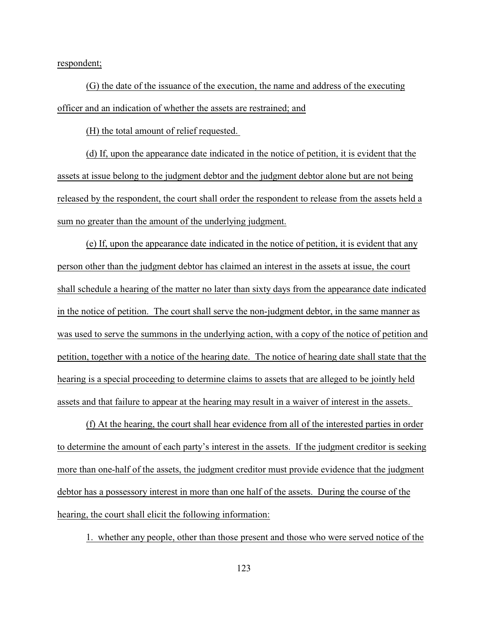respondent;

(G) the date of the issuance of the execution, the name and address of the executing officer and an indication of whether the assets are restrained; and

(H) the total amount of relief requested.

(d) If, upon the appearance date indicated in the notice of petition, it is evident that the assets at issue belong to the judgment debtor and the judgment debtor alone but are not being released by the respondent, the court shall order the respondent to release from the assets held a sum no greater than the amount of the underlying judgment.

(e) If, upon the appearance date indicated in the notice of petition, it is evident that any person other than the judgment debtor has claimed an interest in the assets at issue, the court shall schedule a hearing of the matter no later than sixty days from the appearance date indicated in the notice of petition. The court shall serve the non-judgment debtor, in the same manner as was used to serve the summons in the underlying action, with a copy of the notice of petition and petition, together with a notice of the hearing date. The notice of hearing date shall state that the hearing is a special proceeding to determine claims to assets that are alleged to be jointly held assets and that failure to appear at the hearing may result in a waiver of interest in the assets.

(f) At the hearing, the court shall hear evidence from all of the interested parties in order to determine the amount of each party's interest in the assets. If the judgment creditor is seeking more than one-half of the assets, the judgment creditor must provide evidence that the judgment debtor has a possessory interest in more than one half of the assets. During the course of the hearing, the court shall elicit the following information:

1. whether any people, other than those present and those who were served notice of the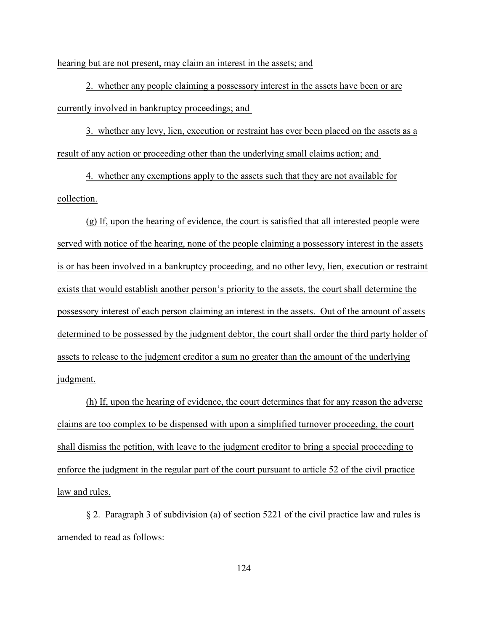hearing but are not present, may claim an interest in the assets; and

2. whether any people claiming a possessory interest in the assets have been or are currently involved in bankruptcy proceedings; and

3. whether any levy, lien, execution or restraint has ever been placed on the assets as a result of any action or proceeding other than the underlying small claims action; and

4. whether any exemptions apply to the assets such that they are not available for collection.

(g) If, upon the hearing of evidence, the court is satisfied that all interested people were served with notice of the hearing, none of the people claiming a possessory interest in the assets is or has been involved in a bankruptcy proceeding, and no other levy, lien, execution or restraint exists that would establish another person's priority to the assets, the court shall determine the possessory interest of each person claiming an interest in the assets. Out of the amount of assets determined to be possessed by the judgment debtor, the court shall order the third party holder of assets to release to the judgment creditor a sum no greater than the amount of the underlying judgment.

(h) If, upon the hearing of evidence, the court determines that for any reason the adverse claims are too complex to be dispensed with upon a simplified turnover proceeding, the court shall dismiss the petition, with leave to the judgment creditor to bring a special proceeding to enforce the judgment in the regular part of the court pursuant to article 52 of the civil practice law and rules.

§ 2. Paragraph 3 of subdivision (a) of section 5221 of the civil practice law and rules is amended to read as follows: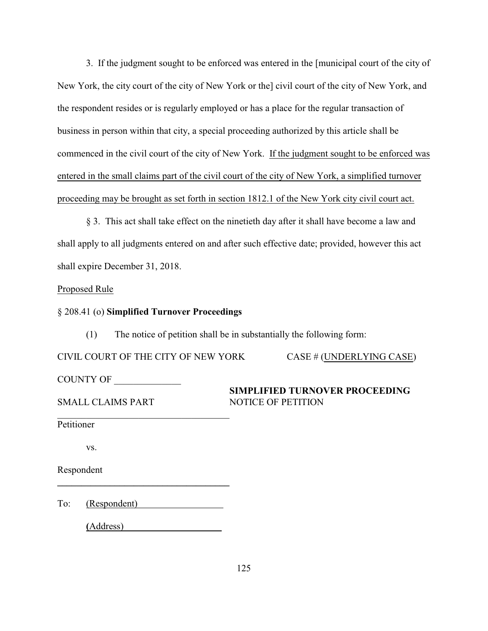3. If the judgment sought to be enforced was entered in the [municipal court of the city of New York, the city court of the city of New York or the] civil court of the city of New York, and the respondent resides or is regularly employed or has a place for the regular transaction of business in person within that city, a special proceeding authorized by this article shall be commenced in the civil court of the city of New York. If the judgment sought to be enforced was entered in the small claims part of the civil court of the city of New York, a simplified turnover proceeding may be brought as set forth in section 1812.1 of the New York city civil court act.

§ 3. This act shall take effect on the ninetieth day after it shall have become a law and shall apply to all judgments entered on and after such effective date; provided, however this act shall expire December 31, 2018.

## Proposed Rule

## § 208.41 (o) **Simplified Turnover Proceedings**

(1) The notice of petition shall be in substantially the following form:

CIVIL COURT OF THE CITY OF NEW YORK CASE # (UNDERLYING CASE)

COUNTY OF

SMALL CLAIMS PART NOTICE OF PETITION

# **SIMPLIFIED TURNOVER PROCEEDING**

\_\_\_\_\_\_\_\_\_\_\_\_\_\_\_\_\_\_\_\_\_\_\_\_\_\_\_\_\_\_\_\_\_\_\_\_ Petitioner

vs.

# Respondent

To: (Respondent)

**\_\_\_\_\_\_\_\_\_\_\_\_\_\_\_\_\_\_\_\_\_\_\_\_\_\_\_\_\_\_\_\_\_\_\_\_**

**(**Address)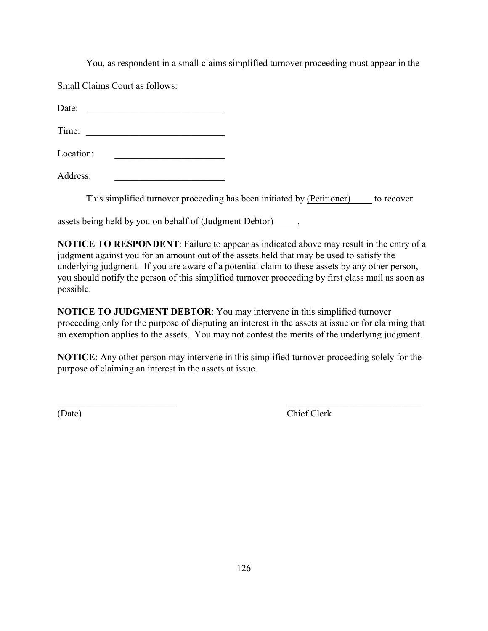|                                                                                                                                | You, as respondent in a small claims simplified turnover proceeding must appear in the |
|--------------------------------------------------------------------------------------------------------------------------------|----------------------------------------------------------------------------------------|
| <b>Small Claims Court as follows:</b>                                                                                          |                                                                                        |
| Date:<br>the control of the control of the control of the control of the control of the control of                             |                                                                                        |
| Time:<br><u> 1980 - Jan James James Barbara, politik eta politik eta politik eta politik eta politik eta politik eta polit</u> |                                                                                        |
| Location:                                                                                                                      |                                                                                        |
| Address:                                                                                                                       |                                                                                        |

This simplified turnover proceeding has been initiated by (Petitioner) to recover

assets being held by you on behalf of (Judgment Debtor) .

**NOTICE TO RESPONDENT**: Failure to appear as indicated above may result in the entry of a judgment against you for an amount out of the assets held that may be used to satisfy the underlying judgment. If you are aware of a potential claim to these assets by any other person, you should notify the person of this simplified turnover proceeding by first class mail as soon as possible.

**NOTICE TO JUDGMENT DEBTOR**: You may intervene in this simplified turnover proceeding only for the purpose of disputing an interest in the assets at issue or for claiming that an exemption applies to the assets. You may not contest the merits of the underlying judgment.

**NOTICE**: Any other person may intervene in this simplified turnover proceeding solely for the purpose of claiming an interest in the assets at issue.

 $\overline{\phantom{a}}$  ,  $\overline{\phantom{a}}$  ,  $\overline{\phantom{a}}$  ,  $\overline{\phantom{a}}$  ,  $\overline{\phantom{a}}$  ,  $\overline{\phantom{a}}$  ,  $\overline{\phantom{a}}$  ,  $\overline{\phantom{a}}$  ,  $\overline{\phantom{a}}$  ,  $\overline{\phantom{a}}$  ,  $\overline{\phantom{a}}$  ,  $\overline{\phantom{a}}$  ,  $\overline{\phantom{a}}$  ,  $\overline{\phantom{a}}$  ,  $\overline{\phantom{a}}$  ,  $\overline{\phantom{a}}$ (Date) Chief Clerk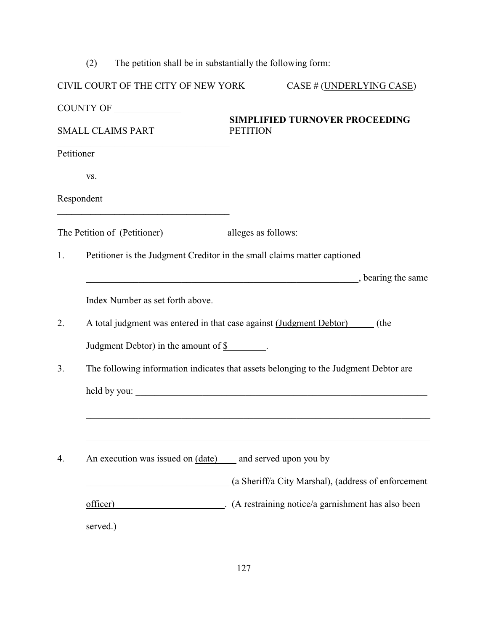|                                     | The petition shall be in substantially the following form:<br>(2)                                                                                                         |                                                                                      |                                                          |  |
|-------------------------------------|---------------------------------------------------------------------------------------------------------------------------------------------------------------------------|--------------------------------------------------------------------------------------|----------------------------------------------------------|--|
| CIVIL COURT OF THE CITY OF NEW YORK |                                                                                                                                                                           |                                                                                      | CASE # (UNDERLYING CASE)                                 |  |
|                                     |                                                                                                                                                                           |                                                                                      |                                                          |  |
| <b>SMALL CLAIMS PART</b>            |                                                                                                                                                                           |                                                                                      | <b>SIMPLIFIED TURNOVER PROCEEDING</b><br><b>PETITION</b> |  |
|                                     | Petitioner                                                                                                                                                                |                                                                                      |                                                          |  |
|                                     | VS.                                                                                                                                                                       |                                                                                      |                                                          |  |
|                                     | Respondent                                                                                                                                                                |                                                                                      |                                                          |  |
|                                     | <u> 1989 - Johann Stein, marwolaethau a bhann an t-Albann an t-Albann an t-Albann an t-Albann an t-Albann an t-Al</u><br>The Petition of (Petitioner) alleges as follows: |                                                                                      |                                                          |  |
| 1.                                  | Petitioner is the Judgment Creditor in the small claims matter captioned                                                                                                  |                                                                                      |                                                          |  |
|                                     |                                                                                                                                                                           |                                                                                      | $\rho$ , bearing the same                                |  |
|                                     | Index Number as set forth above.                                                                                                                                          |                                                                                      |                                                          |  |
| 2.                                  | A total judgment was entered in that case against (Judgment Debtor) (the                                                                                                  |                                                                                      |                                                          |  |
|                                     | Judgment Debtor) in the amount of $\S$ .                                                                                                                                  |                                                                                      |                                                          |  |
| 3.                                  |                                                                                                                                                                           | The following information indicates that assets belonging to the Judgment Debtor are |                                                          |  |
|                                     |                                                                                                                                                                           |                                                                                      |                                                          |  |
|                                     |                                                                                                                                                                           |                                                                                      |                                                          |  |
|                                     |                                                                                                                                                                           |                                                                                      |                                                          |  |
| 4.                                  | An execution was issued on (date) and served upon you by                                                                                                                  |                                                                                      |                                                          |  |
|                                     |                                                                                                                                                                           |                                                                                      | (a Sheriff/a City Marshal), (address of enforcement      |  |
|                                     | officer)                                                                                                                                                                  |                                                                                      | (A restraining notice/a garnishment has also been        |  |
|                                     | served.)                                                                                                                                                                  |                                                                                      |                                                          |  |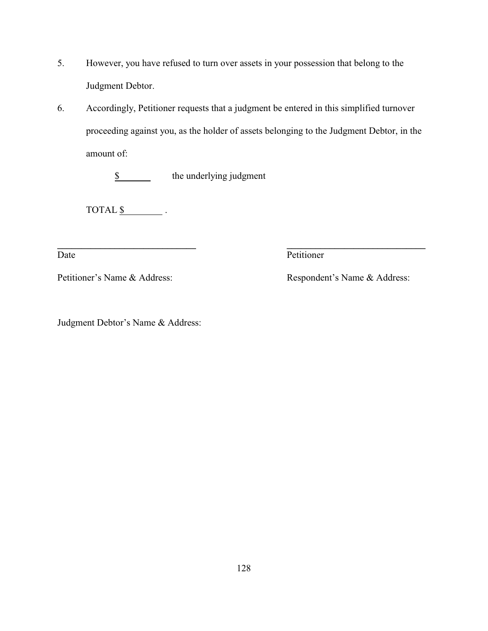- 5. However, you have refused to turn over assets in your possession that belong to the Judgment Debtor.
- 6. Accordingly, Petitioner requests that a judgment be entered in this simplified turnover proceeding against you, as the holder of assets belonging to the Judgment Debtor, in the amount of:
	- \$ the underlying judgment

TOTAL  $\underline{\$$ .

**\_\_\_\_\_\_\_\_\_\_\_\_\_\_\_\_\_\_\_\_\_\_\_\_\_\_\_\_\_ \_\_\_\_\_\_\_\_\_\_\_\_\_\_\_\_\_\_\_\_\_\_\_\_\_\_\_\_\_** Date Petitioner

Petitioner's Name & Address: Respondent's Name & Address:

Judgment Debtor's Name & Address: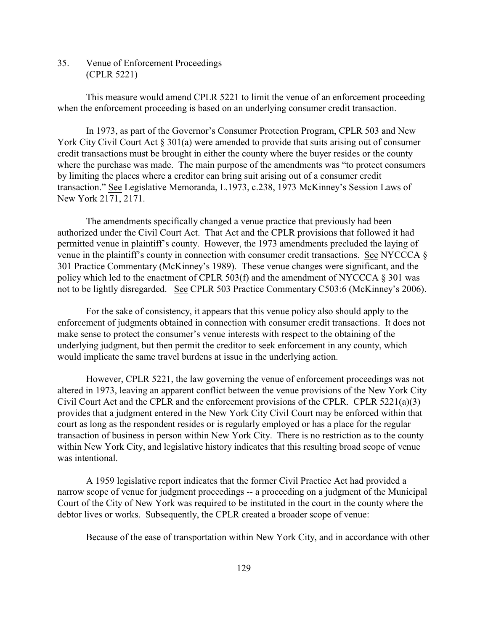# 35. Venue of Enforcement Proceedings (CPLR 5221)

This measure would amend CPLR 5221 to limit the venue of an enforcement proceeding when the enforcement proceeding is based on an underlying consumer credit transaction.

In 1973, as part of the Governor's Consumer Protection Program, CPLR 503 and New York City Civil Court Act § 301(a) were amended to provide that suits arising out of consumer credit transactions must be brought in either the county where the buyer resides or the county where the purchase was made. The main purpose of the amendments was "to protect consumers by limiting the places where a creditor can bring suit arising out of a consumer credit transaction." See Legislative Memoranda, L.1973, c.238, 1973 McKinney's Session Laws of New York 2171, 2171.

The amendments specifically changed a venue practice that previously had been authorized under the Civil Court Act. That Act and the CPLR provisions that followed it had permitted venue in plaintiff's county. However, the 1973 amendments precluded the laying of venue in the plaintiff's county in connection with consumer credit transactions. See NYCCCA § 301 Practice Commentary (McKinney's 1989). These venue changes were significant, and the policy which led to the enactment of CPLR 503(f) and the amendment of NYCCCA § 301 was not to be lightly disregarded. See CPLR 503 Practice Commentary C503:6 (McKinney's 2006).

For the sake of consistency, it appears that this venue policy also should apply to the enforcement of judgments obtained in connection with consumer credit transactions. It does not make sense to protect the consumer's venue interests with respect to the obtaining of the underlying judgment, but then permit the creditor to seek enforcement in any county, which would implicate the same travel burdens at issue in the underlying action.

However, CPLR 5221, the law governing the venue of enforcement proceedings was not altered in 1973, leaving an apparent conflict between the venue provisions of the New York City Civil Court Act and the CPLR and the enforcement provisions of the CPLR. CPLR 5221(a)(3) provides that a judgment entered in the New York City Civil Court may be enforced within that court as long as the respondent resides or is regularly employed or has a place for the regular transaction of business in person within New York City. There is no restriction as to the county within New York City, and legislative history indicates that this resulting broad scope of venue was intentional.

A 1959 legislative report indicates that the former Civil Practice Act had provided a narrow scope of venue for judgment proceedings -- a proceeding on a judgment of the Municipal Court of the City of New York was required to be instituted in the court in the county where the debtor lives or works. Subsequently, the CPLR created a broader scope of venue:

Because of the ease of transportation within New York City, and in accordance with other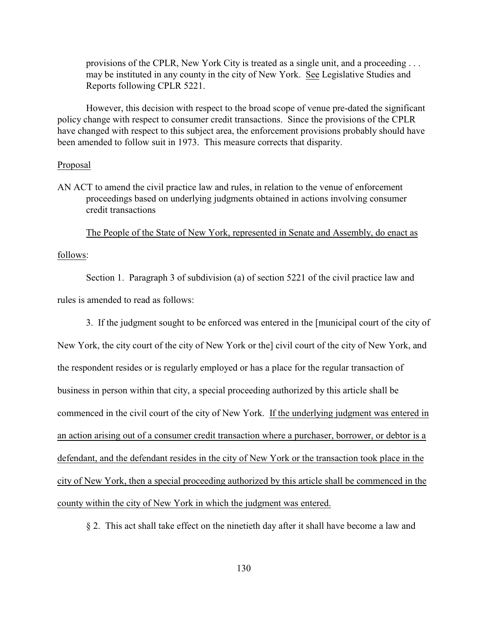provisions of the CPLR, New York City is treated as a single unit, and a proceeding . . . may be instituted in any county in the city of New York. See Legislative Studies and Reports following CPLR 5221.

However, this decision with respect to the broad scope of venue pre-dated the significant policy change with respect to consumer credit transactions. Since the provisions of the CPLR have changed with respect to this subject area, the enforcement provisions probably should have been amended to follow suit in 1973. This measure corrects that disparity.

#### Proposal

AN ACT to amend the civil practice law and rules, in relation to the venue of enforcement proceedings based on underlying judgments obtained in actions involving consumer credit transactions

The People of the State of New York, represented in Senate and Assembly, do enact as

# follows:

Section 1. Paragraph 3 of subdivision (a) of section 5221 of the civil practice law and rules is amended to read as follows:

3. If the judgment sought to be enforced was entered in the [municipal court of the city of

New York, the city court of the city of New York or the] civil court of the city of New York, and the respondent resides or is regularly employed or has a place for the regular transaction of business in person within that city, a special proceeding authorized by this article shall be commenced in the civil court of the city of New York. If the underlying judgment was entered in an action arising out of a consumer credit transaction where a purchaser, borrower, or debtor is a defendant, and the defendant resides in the city of New York or the transaction took place in the city of New York, then a special proceeding authorized by this article shall be commenced in the county within the city of New York in which the judgment was entered.

§ 2. This act shall take effect on the ninetieth day after it shall have become a law and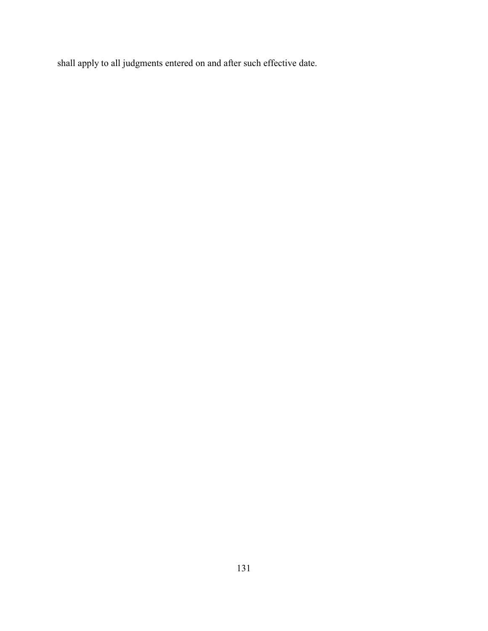shall apply to all judgments entered on and after such effective date.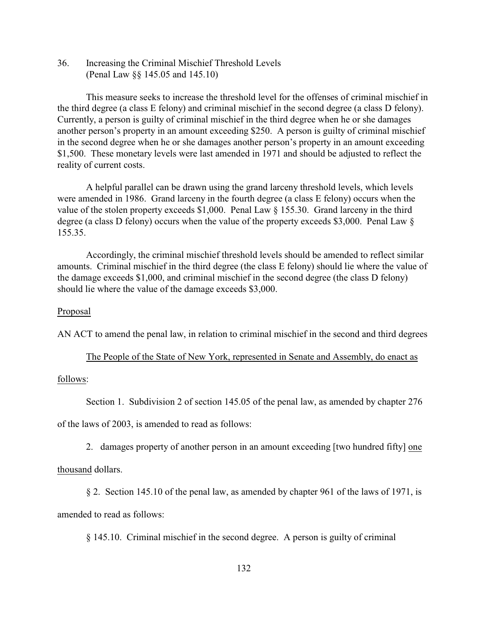36. Increasing the Criminal Mischief Threshold Levels (Penal Law §§ 145.05 and 145.10)

This measure seeks to increase the threshold level for the offenses of criminal mischief in the third degree (a class E felony) and criminal mischief in the second degree (a class D felony). Currently, a person is guilty of criminal mischief in the third degree when he or she damages another person's property in an amount exceeding \$250. A person is guilty of criminal mischief in the second degree when he or she damages another person's property in an amount exceeding \$1,500. These monetary levels were last amended in 1971 and should be adjusted to reflect the reality of current costs.

A helpful parallel can be drawn using the grand larceny threshold levels, which levels were amended in 1986. Grand larceny in the fourth degree (a class E felony) occurs when the value of the stolen property exceeds \$1,000. Penal Law § 155.30. Grand larceny in the third degree (a class D felony) occurs when the value of the property exceeds \$3,000. Penal Law § 155.35.

Accordingly, the criminal mischief threshold levels should be amended to reflect similar amounts. Criminal mischief in the third degree (the class E felony) should lie where the value of the damage exceeds \$1,000, and criminal mischief in the second degree (the class D felony) should lie where the value of the damage exceeds \$3,000.

## Proposal

AN ACT to amend the penal law, in relation to criminal mischief in the second and third degrees

### The People of the State of New York, represented in Senate and Assembly, do enact as

## follows:

Section 1. Subdivision 2 of section 145.05 of the penal law, as amended by chapter 276

of the laws of 2003, is amended to read as follows:

2. damages property of another person in an amount exceeding [two hundred fifty] one

thousand dollars.

§ 2. Section 145.10 of the penal law, as amended by chapter 961 of the laws of 1971, is

amended to read as follows:

§ 145.10. Criminal mischief in the second degree. A person is guilty of criminal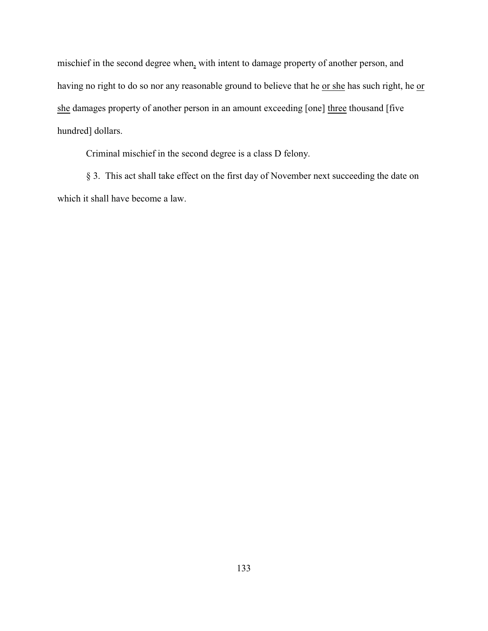mischief in the second degree when, with intent to damage property of another person, and having no right to do so nor any reasonable ground to believe that he or she has such right, he or she damages property of another person in an amount exceeding [one] three thousand [five hundred] dollars.

Criminal mischief in the second degree is a class D felony.

§ 3. This act shall take effect on the first day of November next succeeding the date on which it shall have become a law.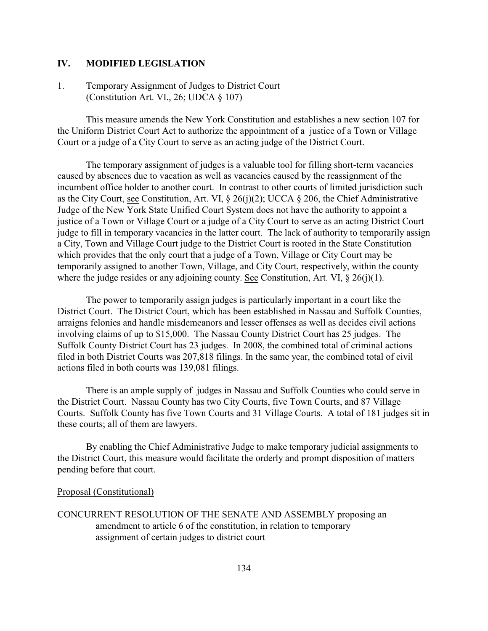# **IV. MODIFIED LEGISLATION**

1. Temporary Assignment of Judges to District Court (Constitution Art. VI., 26; UDCA § 107)

This measure amends the New York Constitution and establishes a new section 107 for the Uniform District Court Act to authorize the appointment of a justice of a Town or Village Court or a judge of a City Court to serve as an acting judge of the District Court.

The temporary assignment of judges is a valuable tool for filling short-term vacancies caused by absences due to vacation as well as vacancies caused by the reassignment of the incumbent office holder to another court. In contrast to other courts of limited jurisdiction such as the City Court, see Constitution, Art. VI, § 26(j)(2); UCCA § 206, the Chief Administrative Judge of the New York State Unified Court System does not have the authority to appoint a justice of a Town or Village Court or a judge of a City Court to serve as an acting District Court judge to fill in temporary vacancies in the latter court. The lack of authority to temporarily assign a City, Town and Village Court judge to the District Court is rooted in the State Constitution which provides that the only court that a judge of a Town, Village or City Court may be temporarily assigned to another Town, Village, and City Court, respectively, within the county where the judge resides or any adjoining county. See Constitution, Art. VI,  $\S 26(i)(1)$ .

The power to temporarily assign judges is particularly important in a court like the District Court. The District Court, which has been established in Nassau and Suffolk Counties, arraigns felonies and handle misdemeanors and lesser offenses as well as decides civil actions involving claims of up to \$15,000. The Nassau County District Court has 25 judges. The Suffolk County District Court has 23 judges. In 2008, the combined total of criminal actions filed in both District Courts was 207,818 filings. In the same year, the combined total of civil actions filed in both courts was 139,081 filings.

There is an ample supply of judges in Nassau and Suffolk Counties who could serve in the District Court. Nassau County has two City Courts, five Town Courts, and 87 Village Courts. Suffolk County has five Town Courts and 31 Village Courts. A total of 181 judges sit in these courts; all of them are lawyers.

By enabling the Chief Administrative Judge to make temporary judicial assignments to the District Court, this measure would facilitate the orderly and prompt disposition of matters pending before that court.

## Proposal (Constitutional)

CONCURRENT RESOLUTION OF THE SENATE AND ASSEMBLY proposing an amendment to article 6 of the constitution, in relation to temporary assignment of certain judges to district court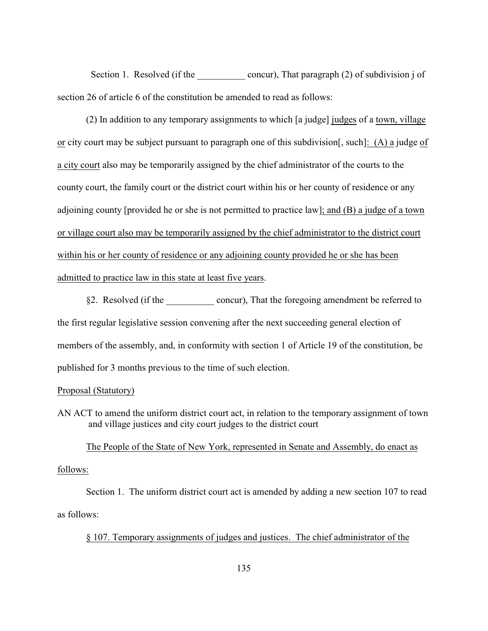Section 1. Resolved (if the  $\qquad \qquad \text{concur}$ ), That paragraph (2) of subdivision j of section 26 of article 6 of the constitution be amended to read as follows:

(2) In addition to any temporary assignments to which [a judge] judges of a town, village or city court may be subject pursuant to paragraph one of this subdivision[, such]: (A) a judge of a city court also may be temporarily assigned by the chief administrator of the courts to the county court, the family court or the district court within his or her county of residence or any adjoining county [provided he or she is not permitted to practice law]; and (B) a judge of a town or village court also may be temporarily assigned by the chief administrator to the district court within his or her county of residence or any adjoining county provided he or she has been admitted to practice law in this state at least five years.

§2. Resolved (if the concur), That the foregoing amendment be referred to the first regular legislative session convening after the next succeeding general election of members of the assembly, and, in conformity with section 1 of Article 19 of the constitution, be published for 3 months previous to the time of such election.

## Proposal (Statutory)

AN ACT to amend the uniform district court act, in relation to the temporary assignment of town and village justices and city court judges to the district court

The People of the State of New York, represented in Senate and Assembly, do enact as follows:

Section 1. The uniform district court act is amended by adding a new section 107 to read as follows:

§ 107. Temporary assignments of judges and justices. The chief administrator of the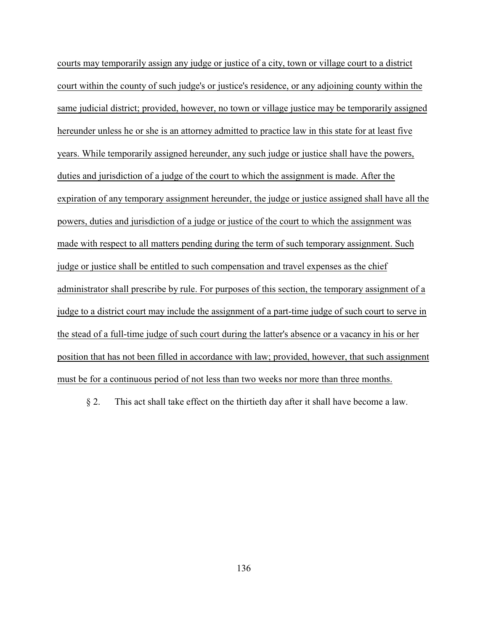courts may temporarily assign any judge or justice of a city, town or village court to a district court within the county of such judge's or justice's residence, or any adjoining county within the same judicial district; provided, however, no town or village justice may be temporarily assigned hereunder unless he or she is an attorney admitted to practice law in this state for at least five years. While temporarily assigned hereunder, any such judge or justice shall have the powers, duties and jurisdiction of a judge of the court to which the assignment is made. After the expiration of any temporary assignment hereunder, the judge or justice assigned shall have all the powers, duties and jurisdiction of a judge or justice of the court to which the assignment was made with respect to all matters pending during the term of such temporary assignment. Such judge or justice shall be entitled to such compensation and travel expenses as the chief administrator shall prescribe by rule. For purposes of this section, the temporary assignment of a judge to a district court may include the assignment of a part-time judge of such court to serve in the stead of a full-time judge of such court during the latter's absence or a vacancy in his or her position that has not been filled in accordance with law; provided, however, that such assignment must be for a continuous period of not less than two weeks nor more than three months.

§ 2. This act shall take effect on the thirtieth day after it shall have become a law.